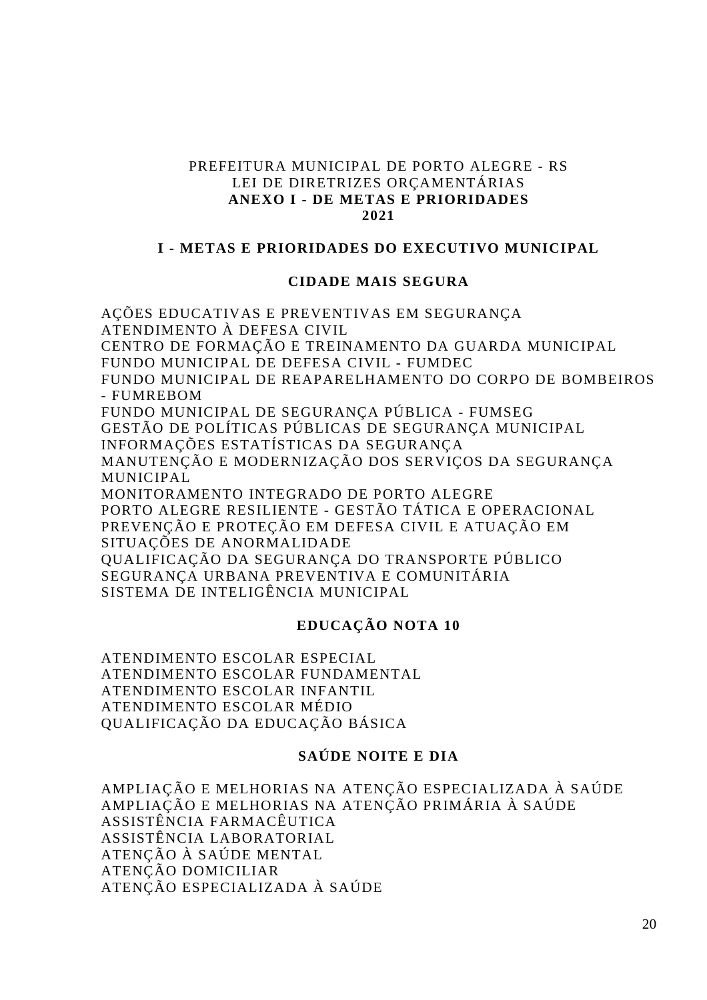#### PREFEITURA MUNICIPAL DE PORTO ALEGRE - RS LEI DE DIRETRIZES ORCAMENTÁRIAS **ANEXO I - DE METAS E PRIORIDADES 2021**

#### **I - METAS E PRIORIDADES DO EXECUTIVO MUNICIPAL**

#### **CIDADE MAIS SEGURA**

AÇÕES EDUCATIVAS E PREVENTIVAS EM SEGURANÇA ATENDIMENTO À DEFESA CIVIL CENTRO DE FORMAÇÃO E TREINAMENTO DA GUARDA MUNICIPAL FUNDO MUNICIPAL DE DEFESA CIVIL - FUMDEC FUNDO MUNICIPAL DE REAPARELHAMENTO DO CORPO DE BOMBEIROS - FUMREBOM FUNDO MUNICIPAL DE SEGURANÇA PÚBLICA - FUMSEG GESTÃO DE POLÍTICAS PÚBLICAS DE SEGURANÇA MUNICIPAL INFORMAÇÕES ESTATÍSTICAS DA SEGURANÇA MANUTENÇÃO E MODERNIZAÇÃO DOS SERVIÇOS DA SEGURANÇA MUNICIPAL MONITORAMENTO INTEGRADO DE PORTO ALEGRE PORTO ALEGRE RESILIENTE - GESTÃO TÁTICA E OPERACIONAL PREVENÇÃO E PROTEÇÃO EM DEFESA CIVIL E ATUAÇÃO EM SITUAÇÕES DE ANORMALIDADE QUALIFICAÇÃO DA SEGURANÇA DO TRANSPORTE PÚBLICO SEGURANÇA URBANA PREVENTIVA E COMUNITÁRIA SISTEMA DE INTELIGÊNCIA MUNICIPAL

### **EDUCAÇÃO NOTA 10**

ATENDIMENTO ESCOLAR ESPECIAL ATENDIMENTO ESCOLAR FUNDAMENTAL ATENDIMENTO ESCOLAR INFANTIL ATENDIMENTO ESCOLAR MÉDIO QUALIFICAÇÃO DA EDUCAÇÃO BÁSICA

### **SAÚDE NOITE E DIA**

AMPLIAÇÃO E MELHORIAS NA ATENÇÃO ESPECIALIZADA À SAÚDE AMPLIAÇÃO E MELHORIAS NA ATENÇÃO PRIMÁRIA À SAÚDE ASSISTÊNCIA FARMACÊUTICA ASSISTÊNCIA LABORATORIAL ATENÇÃO À SAÚDE MENTAL ATENÇÃO DOMICILIAR ATENÇÃO ESPECIALIZADA À SAÚDE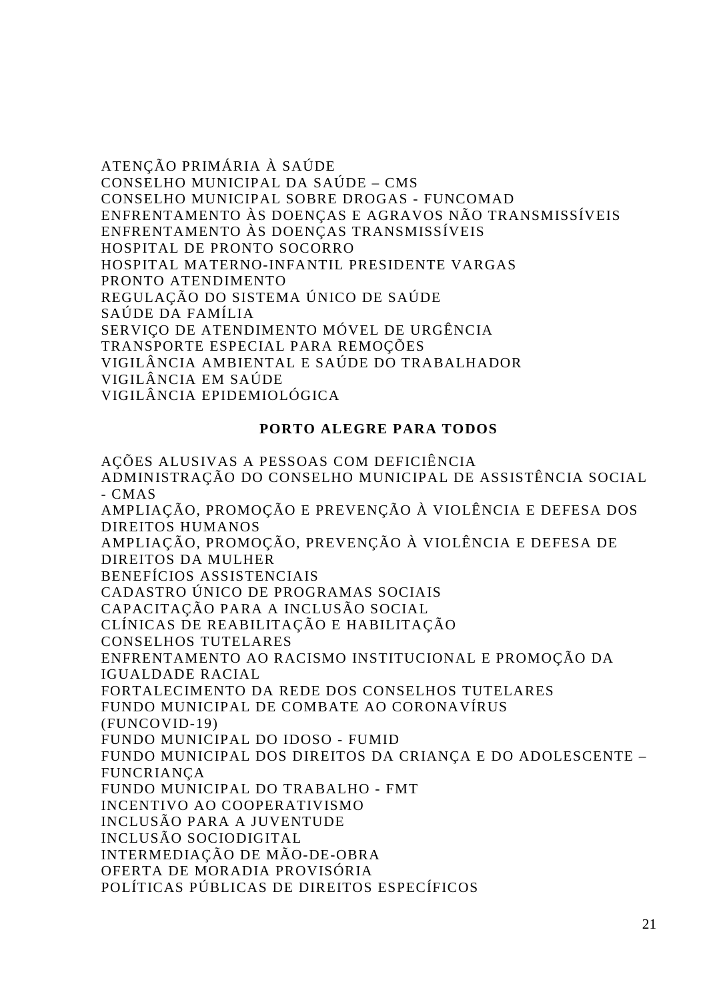ATENÇÃO PRIMÁRIA À SAÚDE CONSELHO MUNICIPAL DA SAÚDE – CMS CONSELHO MUNICIPAL SOBRE DROGAS - FUNCOMAD ENFRENTAMENTO ÀS DOENÇAS E AGRAVOS NÃO TRANSMISSÍVEIS ENFRENTAMENTO ÀS DOENÇAS TRANSMISSÍVEIS HOSPITAL DE PRONTO SOCORRO HOSPITAL MATERNO-INFANTIL PRESIDENTE VARGAS PRONTO ATENDIMENTO REGULAÇÃO DO SISTEMA ÚNICO DE SAÚDE SAÚDE DA FAMÍLIA SERVIÇO DE ATENDIMENTO MÓVEL DE URGÊNCIA TRANSPORTE ESPECIAL PARA REMOÇÕES VIGILÂNCIA AMBIENTAL E SAÚDE DO TRABALHADOR VIGILÂNCIA EM SAÚDE VIGILÂNCIA EPIDEMIOLÓGICA

### **PORTO ALEGRE PARA TODOS**

AÇÕES ALUSIVAS A PESSOAS COM DEFICIÊNCIA ADMINISTRAÇÃO DO CONSELHO MUNICIPAL DE ASSISTÊNCIA SOCIAL - CMAS AMPLIAÇÃO, PROMOÇÃO E PREVENÇÃO À VIOLÊNCIA E DEFESA DOS DIREITOS HUMANOS AMPLIAÇÃO, PROMOÇÃO, PREVENÇÃO À VIOLÊNCIA E DEFESA DE DIREITOS DA MULHER BENEFÍCIOS ASSISTENCIAIS CADASTRO ÚNICO DE PROGRAMAS SOCIAIS CAPACITAÇÃO PARA A INCLUSÃO SOCIAL CLÍNICAS DE REABILITAÇÃO E HABILITAÇÃO CONSELHOS TUTELARES ENFRENTAMENTO AO RACISMO INSTITUCIONAL E PROMOÇÃO DA IGUALDADE RACIAL FORTALECIMENTO DA REDE DOS CONSELHOS TUTELARES FUNDO MUNICIPAL DE COMBATE AO CORONAVÍRUS (FUNCOVID-19) FUNDO MUNICIPAL DO IDOSO - FUMID FUNDO MUNICIPAL DOS DIREITOS DA CRIANÇA E DO ADOLESCENTE – FUNCRIANÇA FUNDO MUNICIPAL DO TRABALHO - FMT INCENTIVO AO COOPERATIVISMO INCLUSÃO PARA A JUVENTUDE INCLUSÃO SOCIODIGITAL INTERMEDIAÇÃO DE MÃO-DE-OBRA OFERTA DE MORADIA PROVISÓRIA POLÍTICAS PÚBLICAS DE DIREITOS ESPECÍFICOS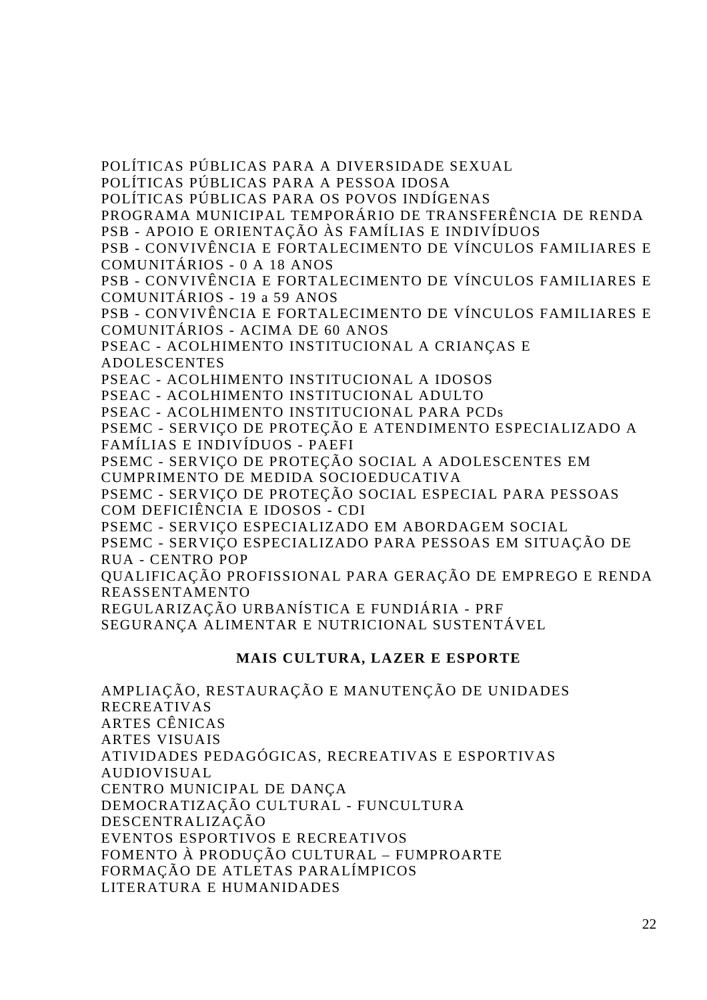POLÍTICAS PÚBLICAS PARA A DIVERSIDADE SEXUAL POLÍTICAS PÚBLICAS PARA A PESSOA IDOSA POLÍTICAS PÚBLICAS PARA OS POVOS INDÍGENAS PROGRAMA MUNICIPAL TEMPORÁRIO DE TRANSFERÊNCIA DE RENDA PSB - APOIO E ORIENTAÇÃO ÀS FAMÍLIAS E INDIVÍDUOS PSB - CONVIVÊNCIA E FORTALECIMENTO DE VÍNCULOS FAMILIARES E COMUNITÁRIOS - 0 A 18 ANOS PSB - CONVIVÊNCIA E FORTALECIMENTO DE VÍNCULOS FAMILIARES E COMUNITÁRIOS - 19 a 59 ANOS PSB - CONVIVÊNCIA E FORTALECIMENTO DE VÍNCULOS FAMILIARES E COMUNITÁRIOS - ACIMA DE 60 ANOS PSEAC - ACOLHIMENTO INSTITUCIONAL A CRIANÇAS E ADOLESCENTES

PSEAC - ACOLHIMENTO INSTITUCIONAL A IDOSOS

PSEAC - ACOLHIMENTO INSTITUCIONAL ADULTO

PSEAC - ACOLHIMENTO INSTITUCIONAL PARA PCDs

PSEMC - SERVIÇO DE PROTEÇÃO E ATENDIMENTO ESPECIALIZADO A FAMÍLIAS E INDIVÍDUOS - PAEFI

PSEMC - SERVIÇO DE PROTEÇÃO SOCIAL A ADOLESCENTES EM CUMPRIMENTO DE MEDIDA SOCIOEDUCATIVA

PSEMC - SERVIÇO DE PROTEÇÃO SOCIAL ESPECIAL PARA PESSOAS COM DEFICIÊNCIA E IDOSOS - CDI

PSEMC - SERVIÇO ESPECIALIZADO EM ABORDAGEM SOCIAL

PSEMC - SERVIÇO ESPECIALIZADO PARA PESSOAS EM SITUAÇÃO DE RUA - CENTRO POP

QUALIFICAÇÃO PROFISSIONAL PARA GERAÇÃO DE EMPREGO E RENDA REASSENTAMENTO

REGULARIZAÇÃO URBANÍSTICA E FUNDIÁRIA - PRF

SEGURANÇA ALIMENTAR E NUTRICIONAL SUSTENTÁVEL

### **MAIS CULTURA, LAZER E ESPORTE**

AMPLIAÇÃO, RESTAURAÇÃO E MANUTENÇÃO DE UNIDADES RECREATIVAS ARTES CÊNICAS ARTES VISUAIS ATIVIDADES PEDAGÓGICAS, RECREATIVAS E ESPORTIVAS AUDIOVISUAL CENTRO MUNICIPAL DE DANÇA DEMOCRATIZAÇÃO CULTURAL - FUNCULTURA DESCENTRALIZAÇÃO EVENTOS ESPORTIVOS E RECREATIVOS FOMENTO À PRODUÇÃO CULTURAL – FUMPROARTE FORMAÇÃO DE ATLETAS PARALÍMPICOS LITERATURA E HUMANIDADES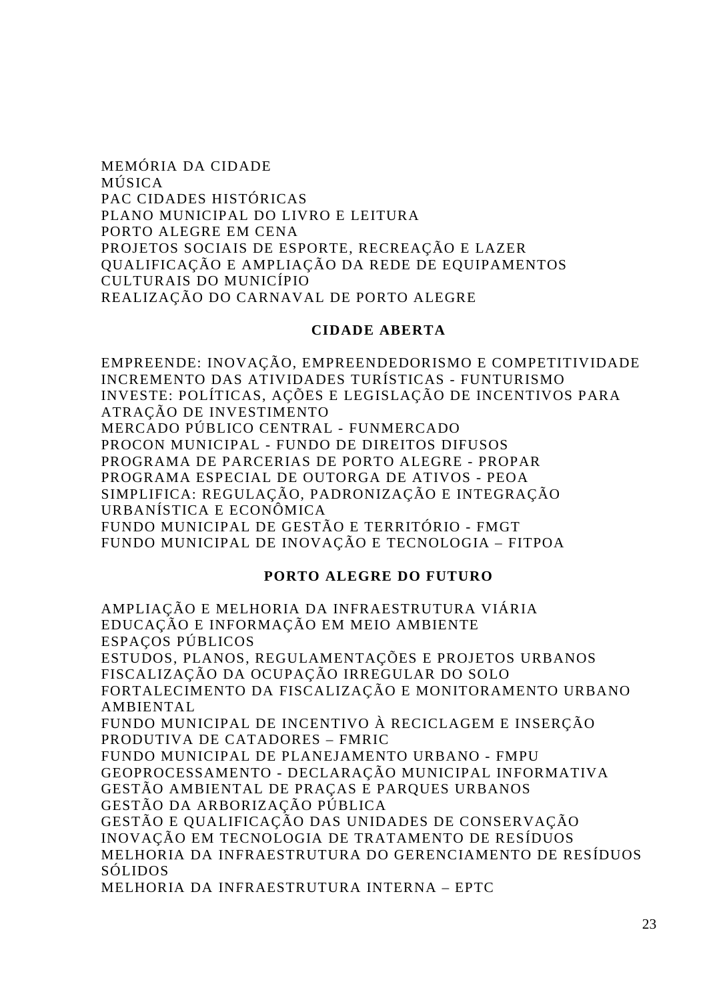MEMÓRIA DA CIDADE MÚSICA PAC CIDADES HISTÓRICAS PLANO MUNICIPAL DO LIVRO E LEITURA PORTO ALEGRE EM CENA PROJETOS SOCIAIS DE ESPORTE, RECREAÇÃO E LAZER QUALIFICAÇÃO E AMPLIAÇÃO DA REDE DE EQUIPAMENTOS CULTURAIS DO MUNICÍPIO REALIZAÇÃO DO CARNAVAL DE PORTO ALEGRE

#### **CIDADE ABERTA**

EMPREENDE: INOVAÇÃO, EMPREENDEDORISMO E COMPETITIVIDADE INCREMENTO DAS ATIVIDADES TURÍSTICAS - FUNTURISMO INVESTE: POLÍTICAS, AÇÕES E LEGISLAÇÃO DE INCENTIVOS PARA ATRAÇÃO DE INVESTIMENTO

MERCADO PÚBLICO CENTRAL - FUNMERCADO PROCON MUNICIPAL - FUNDO DE DIREITOS DIFUSOS PROGRAMA DE PARCERIAS DE PORTO ALEGRE - PROPAR PROGRAMA ESPECIAL DE OUTORGA DE ATIVOS - PEOA SIMPLIFICA: REGULAÇÃO, PADRONIZAÇÃO E INTEGRAÇÃO URBANÍSTICA E ECONÔMICA FUNDO MUNICIPAL DE GESTÃO E TERRITÓRIO - FMGT

FUNDO MUNICIPAL DE INOVAÇÃO E TECNOLOGIA – FITPOA

#### **PORTO ALEGRE DO FUTURO**

AMPLIAÇÃO E MELHORIA DA INFRAESTRUTURA VIÁRIA EDUCAÇÃO E INFORMAÇÃO EM MEIO AMBIENTE ESPAÇOS PÚBLICOS ESTUDOS, PLANOS, REGULAMENTAÇÕES E PROJETOS URBANOS FISCALIZAÇÃO DA OCUPAÇÃO IRREGULAR DO SOLO FORTALECIMENTO DA FISCALIZAÇÃO E MONITORAMENTO URBANO AMBIENTAL FUNDO MUNICIPAL DE INCENTIVO À RECICLAGEM E INSERÇÃO PRODUTIVA DE CATADORES – FMRIC FUNDO MUNICIPAL DE PLANEJAMENTO URBANO - FMPU GEOPROCESSAMENTO - DECLARAÇÃO MUNICIPAL INFORMATIVA GESTÃO AMBIENTAL DE PRAÇAS E PARQUES URBANOS GESTÃO DA ARBORIZAÇÃO PÚBLICA GESTÃO E QUALIFICAÇÃO DAS UNIDADES DE CONSERVAÇÃO INOVAÇÃO EM TECNOLOGIA DE TRATAMENTO DE RESÍDUOS MELHORIA DA INFRAESTRUTURA DO GERENCIAMENTO DE RESÍDUOS SÓLIDOS

MELHORIA DA INFRAESTRUTURA INTERNA – EPTC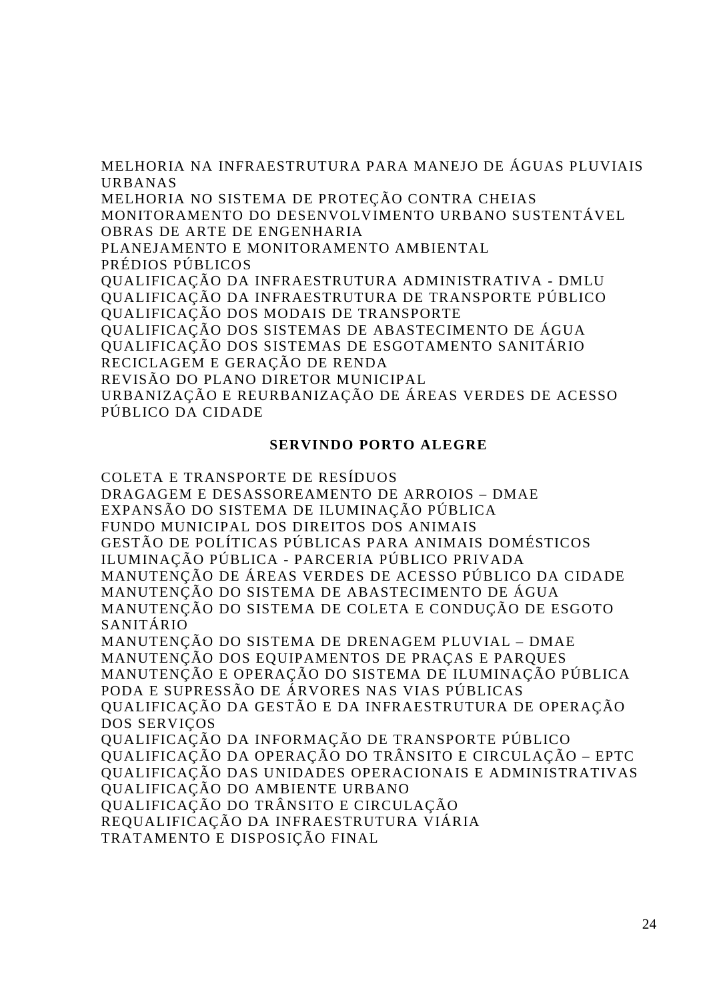MELHORIA NA INFRAESTRUTURA PARA MANEJO DE ÁGUAS PLUVIAIS URBANAS

MELHORIA NO SISTEMA DE PROTEÇÃO CONTRA CHEIAS MONITORAMENTO DO DESENVOLVIMENTO URBANO SUSTENTÁVEL OBRAS DE ARTE DE ENGENHARIA PLANEJAMENTO E MONITORAMENTO AMBIENTAL PRÉDIOS PÚBLICOS QUALIFICAÇÃO DA INFRAESTRUTURA ADMINISTRATIVA - DMLU QUALIFICAÇÃO DA INFRAESTRUTURA DE TRANSPORTE PÚBLICO QUALIFICAÇÃO DOS MODAIS DE TRANSPORTE QUALIFICAÇÃO DOS SISTEMAS DE ABASTECIMENTO DE ÁGUA QUALIFICAÇÃO DOS SISTEMAS DE ESGOTAMENTO SANITÁRIO

RECICLAGEM E GERAÇÃO DE RENDA

REVISÃO DO PLANO DIRETOR MUNICIPAL

URBANIZAÇÃO E REURBANIZAÇÃO DE ÁREAS VERDES DE ACESSO PÚBLICO DA CIDADE

### **SERVINDO PORTO ALEGRE**

COLETA E TRANSPORTE DE RESÍDUOS DRAGAGEM E DESASSOREAMENTO DE ARROIOS – DMAE EXPANSÃO DO SISTEMA DE ILUMINAÇÃO PÚBLICA FUNDO MUNICIPAL DOS DIREITOS DOS ANIMAIS GESTÃO DE POLÍTICAS PÚBLICAS PARA ANIMAIS DOMÉSTICOS ILUMINAÇÃO PÚBLICA - PARCERIA PÚBLICO PRIVADA MANUTENÇÃO DE ÁREAS VERDES DE ACESSO PÚBLICO DA CIDADE MANUTENÇÃO DO SISTEMA DE ABASTECIMENTO DE ÁGUA MANUTENÇÃO DO SISTEMA DE COLETA E CONDUÇÃO DE ESGOTO SANITÁRIO MANUTENÇÃO DO SISTEMA DE DRENAGEM PLUVIAL – DMAE MANUTENÇÃO DOS EQUIPAMENTOS DE PRAÇAS E PARQUES MANUTENÇÃO E OPERAÇÃO DO SISTEMA DE ILUMINAÇÃO PÚBLICA PODA E SUPRESSÃO DE ÁRVORES NAS VIAS PÚBLICAS QUALIFICAÇÃO DA GESTÃO E DA INFRAESTRUTURA DE OPERAÇÃO DOS SERVIÇOS QUALIFICAÇÃO DA INFORMAÇÃO DE TRANSPORTE PÚBLICO QUALIFICAÇÃO DA OPERAÇÃO DO TRÂNSITO E CIRCULAÇÃO – EPTC QUALIFICAÇÃO DAS UNIDADES OPERACIONAIS E ADMINISTRATIVAS QUALIFICAÇÃO DO AMBIENTE URBANO QUALIFICAÇÃO DO TRÂNSITO E CIRCULAÇÃO REQUALIFICAÇÃO DA INFRAESTRUTURA VIÁRIA TRATAMENTO E DISPOSIÇÃO FINAL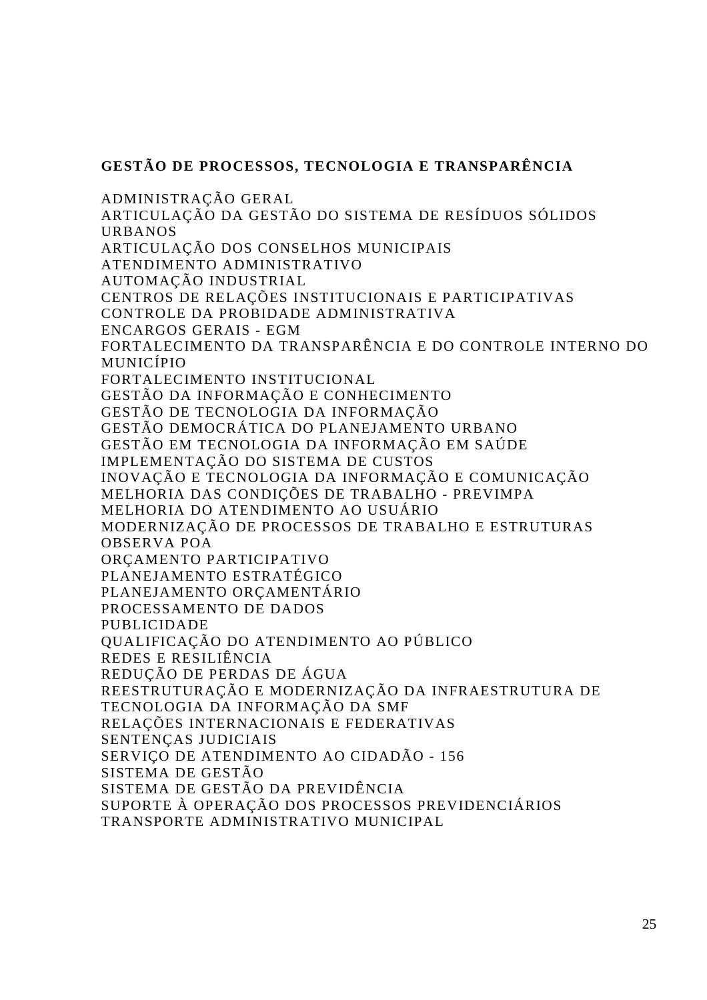### **GESTÃO DE PROCESSOS, TECNOLOGIA E TRANSPARÊNCIA**

ADMINISTRAÇÃO GERAL ARTICULAÇÃO DA GESTÃO DO SISTEMA DE RESÍDUOS SÓLIDOS URBANOS ARTICULAÇÃO DOS CONSELHOS MUNICIPAIS ATENDIMENTO ADMINISTRATIVO AUTOMAÇÃO INDUSTRIAL CENTROS DE RELAÇÕES INSTITUCIONAIS E PARTICIPATIVAS CONTROLE DA PROBIDADE ADMINISTRATIVA ENCARGOS GERAIS - EGM FORTALECIMENTO DA TRANSPARÊNCIA E DO CONTROLE INTERNO DO MUNICÍPIO FORTALECIMENTO INSTITUCIONAL GESTÃO DA INFORMAÇÃO E CONHECIMENTO GESTÃO DE TECNOLOGIA DA INFORMAÇÃO GESTÃO DEMOCRÁTICA DO PLANEJAMENTO URBANO GESTÃO EM TECNOLOGIA DA INFORMAÇÃO EM SAÚDE IMPLEMENTAÇÃO DO SISTEMA DE CUSTOS INOVAÇÃO E TECNOLOGIA DA INFORMAÇÃO E COMUNICAÇÃO MELHORIA DAS CONDIÇÕES DE TRABALHO - PREVIMPA MELHORIA DO ATENDIMENTO AO USUÁRIO MODERNIZAÇÃO DE PROCESSOS DE TRABALHO E ESTRUTURAS OBSERVA POA ORÇAMENTO PARTICIPATIVO PLANEJAMENTO ESTRATÉGICO PLANEJAMENTO ORÇAMENTÁRIO PROCESSAMENTO DE DADOS PUBLICIDADE QUALIFICAÇÃO DO ATENDIMENTO AO PÚBLICO REDES E RESILIÊNCIA REDUÇÃO DE PERDAS DE ÁGUA REESTRUTURAÇÃO E MODERNIZAÇÃO DA INFRAESTRUTURA DE TECNOLOGIA DA INFORMAÇÃO DA SMF RELAÇÕES INTERNACIONAIS E FEDERATIVAS SENTENÇAS JUDICIAIS SERVIÇO DE ATENDIMENTO AO CIDADÃO - 156 SISTEMA DE GESTÃO SISTEMA DE GESTÃO DA PREVIDÊNCIA SUPORTE À OPERAÇÃO DOS PROCESSOS PREVIDENCIÁRIOS TRANSPORTE ADMINISTRATIVO MUNICIPAL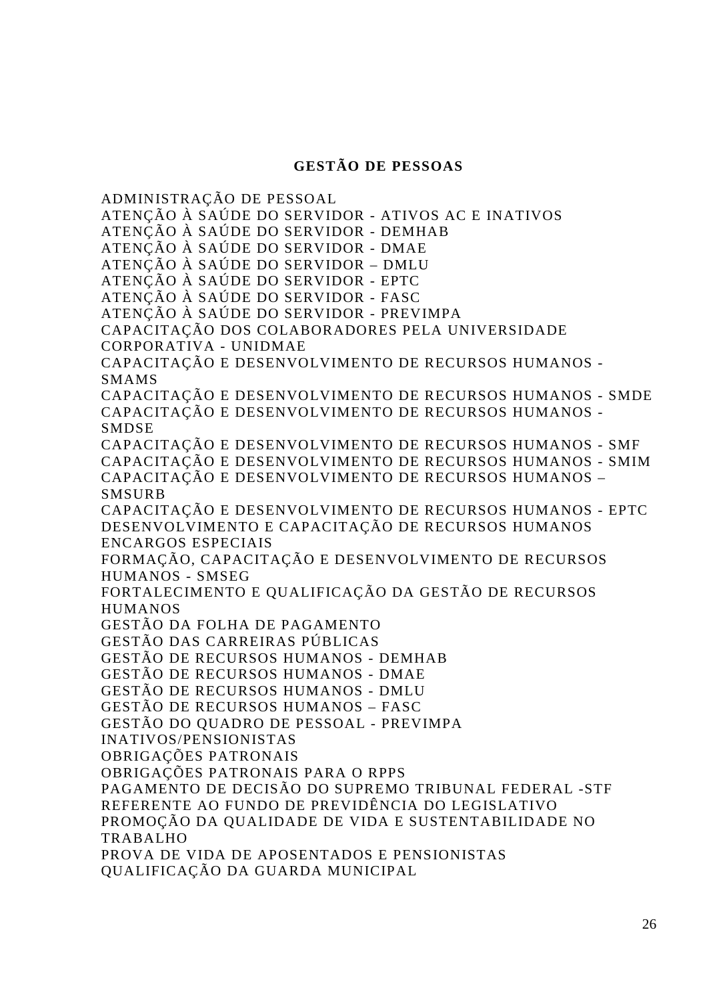### **GESTÃO DE PESSOAS**

ADMINISTRAÇÃO DE PESSOAL ATENÇÃO À SAÚDE DO SERVIDOR - ATIVOS AC E INATIVOS ATENÇÃO À SAÚDE DO SERVIDOR - DEMHAB ATENÇÃO À SAÚDE DO SERVIDOR - DMAE ATENÇÃO À SAÚDE DO SERVIDOR – DMLU ATENÇÃO À SAÚDE DO SERVIDOR - EPTC ATENÇÃO À SAÚDE DO SERVIDOR - FASC ATENÇÃO À SAÚDE DO SERVIDOR - PREVIMPA CAPACITAÇÃO DOS COLABORADORES PELA UNIVERSIDADE CORPORATIVA - UNIDMAE CAPACITAÇÃO E DESENVOLVIMENTO DE RECURSOS HUMANOS - SMAMS CAPACITAÇÃO E DESENVOLVIMENTO DE RECURSOS HUMANOS - SMDE CAPACITAÇÃO E DESENVOLVIMENTO DE RECURSOS HUMANOS - SMDSE CAPACITAÇÃO E DESENVOLVIMENTO DE RECURSOS HUMANOS - SMF CAPACITAÇÃO E DESENVOLVIMENTO DE RECURSOS HUMANOS - SMIM CAPACITAÇÃO E DESENVOLVIMENTO DE RECURSOS HUMANOS – SMSURB CAPACITAÇÃO E DESENVOLVIMENTO DE RECURSOS HUMANOS - EPTC DESENVOLVIMENTO E CAPACITAÇÃO DE RECURSOS HUMANOS ENCARGOS ESPECIAIS FORMAÇÃO, CAPACITAÇÃO E DESENVOLVIMENTO DE RECURSOS HUMANOS - SMSEG FORTALECIMENTO E QUALIFICAÇÃO DA GESTÃO DE RECURSOS HUMANOS GESTÃO DA FOLHA DE PAGAMENTO GESTÃO DAS CARREIRAS PÚBLICAS GESTÃO DE RECURSOS HUMANOS - DEMHAB GESTÃO DE RECURSOS HUMANOS - DMAE GESTÃO DE RECURSOS HUMANOS - DMLU GESTÃO DE RECURSOS HUMANOS – FASC GESTÃO DO QUADRO DE PESSOAL - PREVIMPA INATIVOS/PENSIONISTAS OBRIGAÇÕES PATRONAIS OBRIGAÇÕES PATRONAIS PARA O RPPS PAGAMENTO DE DECISÃO DO SUPREMO TRIBUNAL FEDERAL -STF REFERENTE AO FUNDO DE PREVIDÊNCIA DO LEGISLATIVO PROMOÇÃO DA QUALIDADE DE VIDA E SUSTENTABILIDADE NO TRABALHO PROVA DE VIDA DE APOSENTADOS E PENSIONISTAS QUALIFICAÇÃO DA GUARDA MUNICIPAL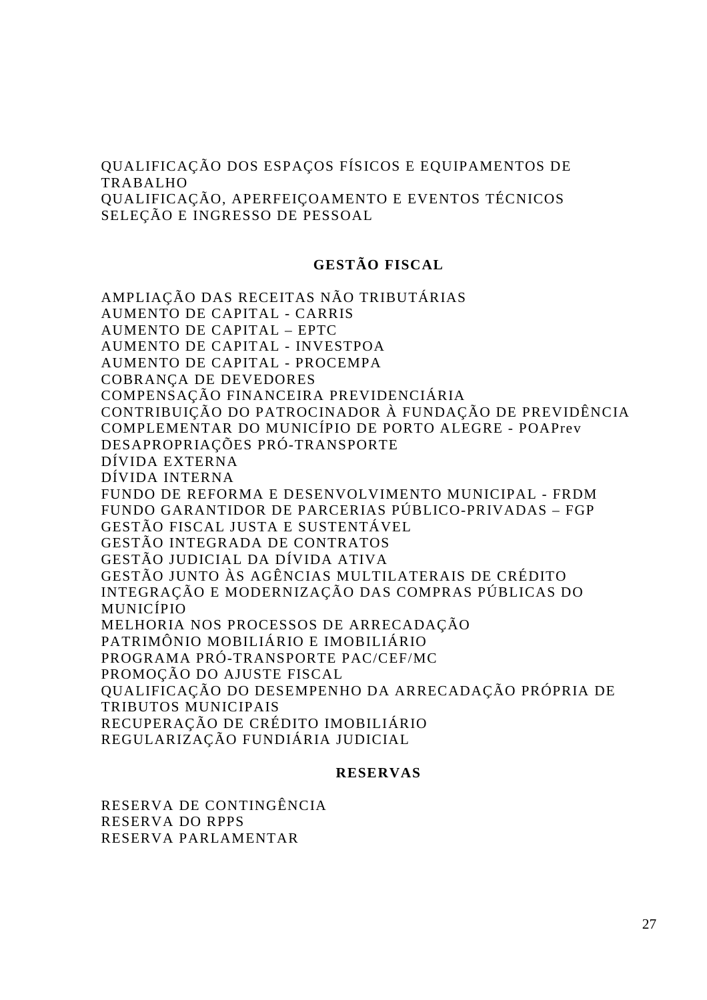QUALIFICAÇÃO DOS ESPAÇOS FÍSICOS E EQUIPAMENTOS DE TRABALHO QUALIFICAÇÃO, APERFEIÇOAMENTO E EVENTOS TÉCNICOS SELEÇÃO E INGRESSO DE PESSOAL

#### **GESTÃO FISCAL**

AMPLIAÇÃO DAS RECEITAS NÃO TRIBUTÁRIAS AUMENTO DE CAPITAL - CARRIS AUMENTO DE CAPITAL – EPTC AUMENTO DE CAPITAL - INVESTPOA AUMENTO DE CAPITAL - PROCEMPA COBRANÇA DE DEVEDORES COMPENSAÇÃO FINANCEIRA PREVIDENCIÁRIA CONTRIBUIÇÃO DO PATROCINADOR À FUNDAÇÃO DE PREVIDÊNCIA COMPLEMENTAR DO MUNICÍPIO DE PORTO ALEGRE - POAPrev DESAPROPRIAÇÕES PRÓ-TRANSPORTE DÍVIDA EXTERNA DÍVIDA INTERNA FUNDO DE REFORMA E DESENVOLVIMENTO MUNICIPAL - FRDM FUNDO GARANTIDOR DE PARCERIAS PÚBLICO-PRIVADAS – FGP GESTÃO FISCAL JUSTA E SUSTENTÁVEL GESTÃO INTEGRADA DE CONTRATOS GESTÃO JUDICIAL DA DÍVIDA ATIVA GESTÃO JUNTO ÀS AGÊNCIAS MULTILATERAIS DE CRÉDITO INTEGRAÇÃO E MODERNIZAÇÃO DAS COMPRAS PÚBLICAS DO MUNICÍPIO MELHORIA NOS PROCESSOS DE ARRECADAÇÃO PATRIMÔNIO MOBILIÁRIO E IMOBILIÁRIO PROGRAMA PRÓ-TRANSPORTE PAC/CEF/MC PROMOÇÃO DO AJUSTE FISCAL QUALIFICAÇÃO DO DESEMPENHO DA ARRECADAÇÃO PRÓPRIA DE TRIBUTOS MUNICIPAIS RECUPERAÇÃO DE CRÉDITO IMOBILIÁRIO REGULARIZAÇÃO FUNDIÁRIA JUDICIAL

#### **RESERVAS**

RESERVA DE CONTINGÊNCIA RESERVA DO RPPS RESERVA PARLAMENTAR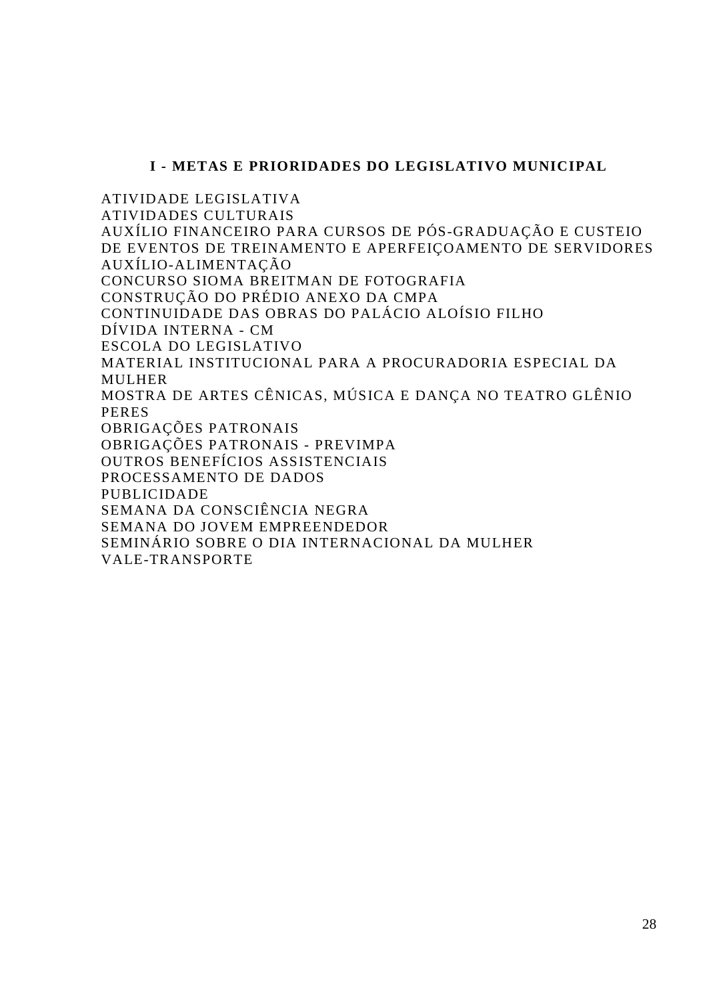### **I - METAS E PRIORIDADES DO LEGISLATIVO MUNICIPAL**

ATIVIDADE LEGISLATIVA ATIVIDADES CULTURAIS AUXÍLIO FINANCEIRO PARA CURSOS DE PÓS-GRADUAÇÃO E CUSTEIO DE EVENTOS DE TREINAMENTO E APERFEIÇOAMENTO DE SERVIDORES AUXÍLIO-ALIMENTAÇÃO CONCURSO SIOMA BREITMAN DE FOTOGRAFIA CONSTRUÇÃO DO PRÉDIO ANEXO DA CMPA CONTINUIDADE DAS OBRAS DO PALÁCIO ALOÍSIO FILHO DÍVIDA INTERNA - CM ESCOLA DO LEGISLATIVO MATERIAL INSTITUCIONAL PARA A PROCURADORIA ESPECIAL DA MULHER MOSTRA DE ARTES CÊNICAS, MÚSICA E DANÇA NO TEATRO GLÊNIO PERES OBRIGAÇÕES PATRONAIS OBRIGAÇÕES PATRONAIS - PREVIMPA OUTROS BENEFÍCIOS ASSISTENCIAIS PROCESSAMENTO DE DADOS PUBLICIDADE SEMANA DA CONSCIÊNCIA NEGRA SEMANA DO JOVEM EMPREENDEDOR SEMINÁRIO SOBRE O DIA INTERNACIONAL DA MULHER VALE-TRANSPORTE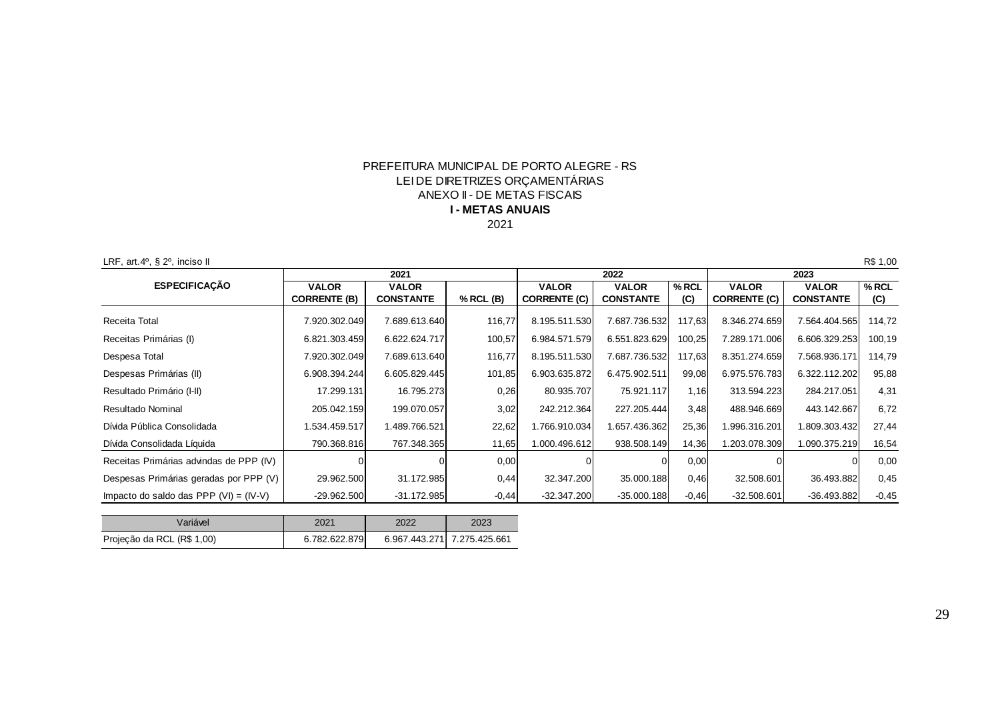#### PREFEITURA MUNICIPAL DE PORTO ALEGRE - RS2021**I - METAS ANUAIS**ANEXO II - DE METAS FISCAISLEI DE DIRETRIZES ORÇAMENTÁRIAS

LRF, art.4°, § 2°, inciso II

| LRF, art.4 $\degree$ , § 2 $\degree$ , inciso II |                     | 2021             |           |                     | 2022             |         |                     | 2023             | R\$ 1,00 |
|--------------------------------------------------|---------------------|------------------|-----------|---------------------|------------------|---------|---------------------|------------------|----------|
| <b>ESPECIFICAÇÃO</b>                             | <b>VALOR</b>        | <b>VALOR</b>     |           | <b>VALOR</b>        | <b>VALOR</b>     | $%$ RCL | <b>VALOR</b>        | <b>VALOR</b>     | $%$ RCL  |
|                                                  | <b>CORRENTE (B)</b> | <b>CONSTANTE</b> | % RCL (B) | <b>CORRENTE (C)</b> | <b>CONSTANTE</b> | (C)     | <b>CORRENTE (C)</b> | <b>CONSTANTE</b> | (C)      |
| Receita Total                                    | 7.920.302.049       | 7.689.613.640    | 116,77    | 8.195.511.530       | 7.687.736.532    | 117,63  | 8.346.274.659       | 7.564.404.565    | 114,72   |
| Receitas Primárias (I)                           | 6.821.303.459       | 6.622.624.717    | 100,57    | 6.984.571.579       | 6.551.823.629    | 100,25  | 7.289.171.006       | 6.606.329.253    | 100,19   |
| Despesa Total                                    | 7.920.302.049       | 7.689.613.640    | 116,77    | 8.195.511.530       | 7.687.736.532    | 117,63  | 8.351.274.659       | 7.568.936.171    | 114,79   |
| Despesas Primárias (II)                          | 6.908.394.244       | 6.605.829.445    | 101,85    | 6.903.635.872       | 6.475.902.511    | 99,08   | 6.975.576.783       | 6.322.112.202    | 95,88    |
| Resultado Primário (I-II)                        | 17.299.131          | 16.795.273       | 0,26      | 80.935.707          | 75.921.117       | 1,16    | 313.594.223         | 284.217.051      | 4,31     |
| Resultado Nominal                                | 205.042.159         | 199.070.057      | 3,02      | 242.212.364         | 227.205.444      | 3,48    | 488.946.669         | 443.142.667      | 6,72     |
| Dívida Pública Consolidada                       | 1.534.459.517       | 1.489.766.521    | 22,62     | ا766.910.034. ا     | 1.657.436.362    | 25,36   | 1.996.316.201       | 1.809.303.432    | 27,44    |
| Dívida Consolidada Líquida                       | 790.368.816         | 767.348.365      | 11,65     | 1.000.496.612       | 938.508.149      | 14,36   | 1.203.078.309       | 1.090.375.219    | 16,54    |
| Receitas Primárias advindas de PPP (IV)          |                     |                  | 0,00      |                     |                  | 0,00    |                     |                  | 0,00     |
| Despesas Primárias geradas por PPP (V)           | 29.962.500          | 31.172.985       | 0,44      | 32.347.200          | 35.000.188       | 0,46    | 32.508.601          | 36.493.882       | 0,45     |
| Impacto do saldo das PPP $(VI) = (IV-V)$         | $-29.962.500$       | $-31.172.985$    | $-0,44$   | $-32.347.200$       | $-35.000.188$    | $-0,46$ | $-32.508.601$       | $-36.493.882$    | $-0,45$  |

| Variável                   | 2021          | 2022 | 2023                        |
|----------------------------|---------------|------|-----------------------------|
| Projeção da RCL (R\$ 1,00) | 6.782.622.879 |      | 6.967.443.271 7.275.425.661 |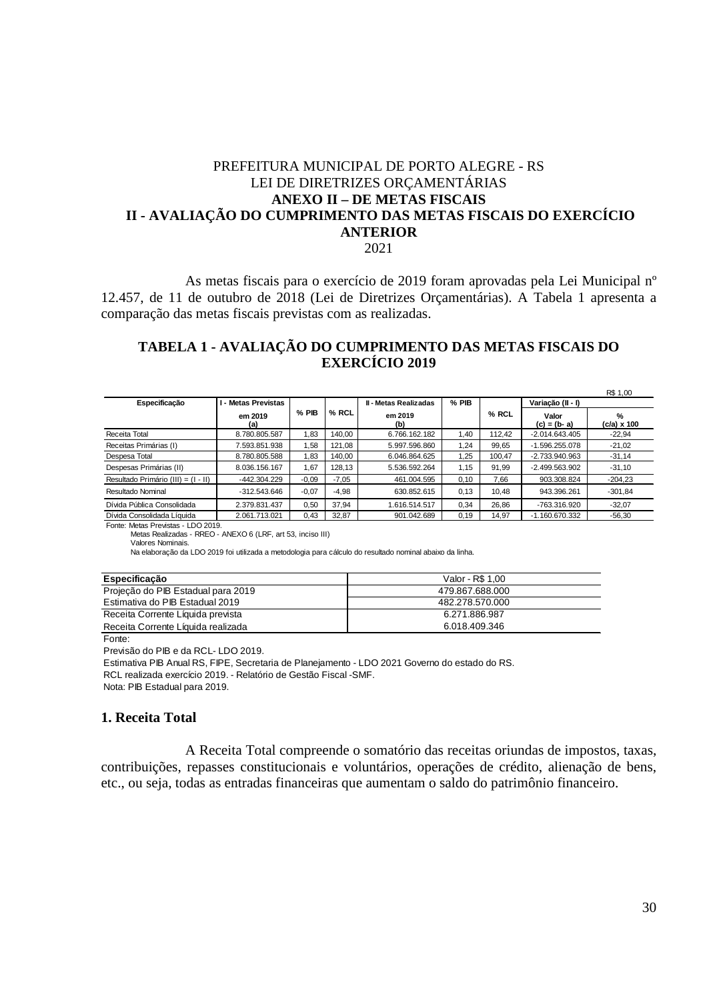### PREFEITURA MUNICIPAL DE PORTO ALEGRE - RS LEI DE DIRETRIZES ORÇAMENTÁRIAS **ANEXO II – DE METAS FISCAIS II - AVALIAÇÃO DO CUMPRIMENTO DAS METAS FISCAIS DO EXERCÍCIO ANTERIOR**

2021

As metas fiscais para o exercício de 2019 foram aprovadas pela Lei Municipal nº 12.457, de 11 de outubro de 2018 (Lei de Diretrizes Orçamentárias). A Tabela 1 apresenta a comparação das metas fiscais previstas com as realizadas.

### **TABELA 1 - AVALIAÇÃO DO CUMPRIMENTO DAS METAS FISCAIS DO EXERCÍCIO 2019**

|                                     |                            |         |         |                              |       |        |                        | R\$ 1,00                |
|-------------------------------------|----------------------------|---------|---------|------------------------------|-------|--------|------------------------|-------------------------|
| Especificação                       | <b>I - Metas Previstas</b> |         |         | <b>II - Metas Realizadas</b> | % PIB |        | Variação (II - I)      |                         |
|                                     | em 2019<br>(a)             | % PIB   | % RCL   | em 2019<br>(b)               |       | % RCL  | Valor<br>$(c) = (b-a)$ | %<br>$(c/a) \times 100$ |
| Receita Total                       | 8.780.805.587              | 1,83    | 140.00  | 6.766.162.182                | 1.40  | 112.42 | $-2.014.643.405$       | $-22.94$                |
| Receitas Primárias (I)              | 7.593.851.938              | 1.58    | 121.08  | 5.997.596.860                | 1.24  | 99.65  | $-1.596.255.078$       | $-21,02$                |
| Despesa Total                       | 8.780.805.588              | 1,83    | 140,00  | 6.046.864.625                | .25   | 100.47 | $-2.733.940.963$       | $-31,14$                |
| Despesas Primárias (II)             | 8.036.156.167              | 1,67    | 128.13  | 5.536.592.264                | 1.15  | 91.99  | $-2.499.563.902$       | $-31,10$                |
| Resultado Primário (III) = (I - II) | -442.304.229               | $-0.09$ | $-7.05$ | 461.004.595                  | 0.10  | 7.66   | 903.308.824            | $-204.23$               |
| Resultado Nominal                   | $-312.543.646$             | $-0.07$ | $-4.98$ | 630.852.615                  | 0.13  | 10.48  | 943.396.261            | $-301.84$               |
| Dívida Pública Consolidada          | 2.379.831.437              | 0.50    | 37.94   | 1.616.514.517                | 0.34  | 26.86  | -763.316.920           | $-32.07$                |
| Dívida Consolidada Líquida          | 2.061.713.021              | 0.43    | 32,87   | 901.042.689                  | 0.19  | 14.97  | $-1.160.670.332$       | $-56,30$                |

Fonte: Metas Previstas - LDO 2019.

Metas Realizadas - RREO - ANEXO 6 (LRF, art 53, inciso III)

Valores Nominais.

Na elaboração da LDO 2019 foi utilizada a metodologia para cálculo do resultado nominal abaixo da linha.

| Especificacão                      | Valor - R\$ 1.00 |
|------------------------------------|------------------|
| Projeção do PIB Estadual para 2019 | 479.867.688.000  |
| Estimativa do PIB Estadual 2019    | 482.278.570.000  |
| Receita Corrente Líquida prevista  | 6.271.886.987    |
| Receita Corrente Líquida realizada | 6.018.409.346    |

Fonte:

Previsão do PIB e da RCL- LDO 2019.

Estimativa PIB Anual RS, FIPE, Secretaria de Planejamento - LDO 2021 Governo do estado do RS.

RCL realizada exercício 2019. - Relatório de Gestão Fiscal -SMF.

Nota: PIB Estadual para 2019.

### **1. Receita Total**

A Receita Total compreende o somatório das receitas oriundas de impostos, taxas, contribuições, repasses constitucionais e voluntários, operações de crédito, alienação de bens, etc., ou seja, todas as entradas financeiras que aumentam o saldo do patrimônio financeiro.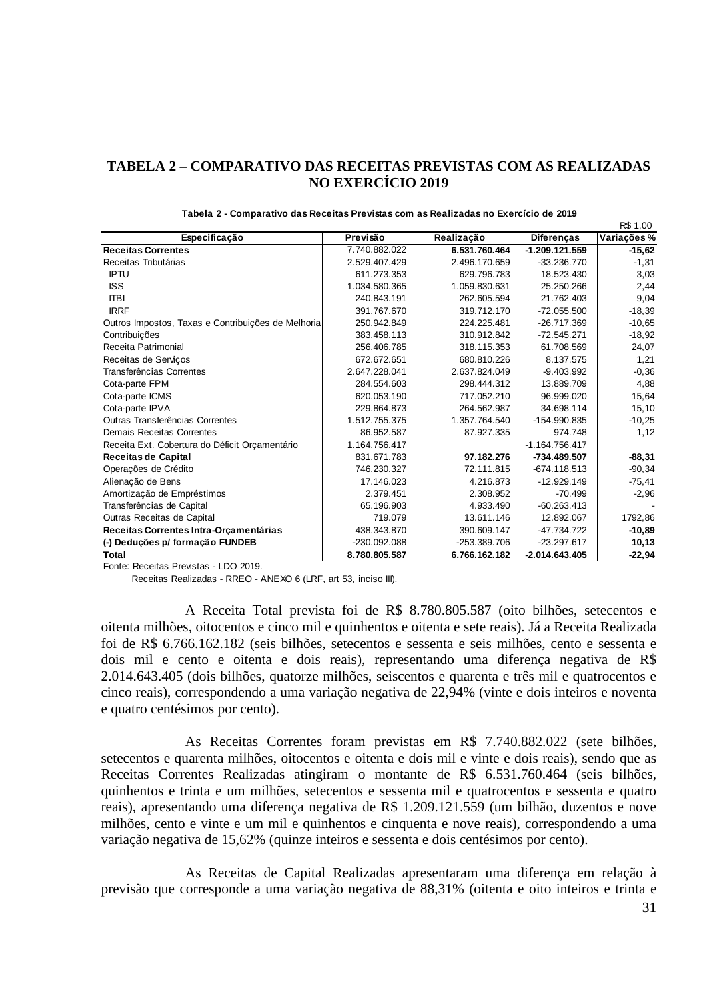### **TABELA 2 – COMPARATIVO DAS RECEITAS PREVISTAS COM AS REALIZADAS NO EXERCÍCIO 2019**

|                                                    |               |                     |                   | <b>NO.I</b> GN |
|----------------------------------------------------|---------------|---------------------|-------------------|----------------|
| Especificação                                      | Previsão      | Realização          | <b>Diferenças</b> | Variações%     |
| <b>Receitas Correntes</b>                          | 7.740.882.022 | 6.531.760.464       | $-1.209.121.559$  | $-15,62$       |
| Receitas Tributárias                               | 2.529.407.429 | 2.496.170.659       | $-33.236.770$     | $-1,31$        |
| <b>IPTU</b>                                        | 611.273.353   | 629.796.783         | 18.523.430        | 3,03           |
| <b>ISS</b>                                         | 1.034.580.365 | 1.059.830.631       | 25.250.266        | 2,44           |
| <b>ITBI</b>                                        | 240.843.191   | 262.605.594         | 21.762.403        | 9,04           |
| <b>IRRF</b>                                        | 391.767.670   | 319.712.170         | $-72.055.500$     | $-18,39$       |
| Outros Impostos, Taxas e Contribuições de Melhoria | 250.942.849   | 224.225.481         | $-26.717.369$     | $-10,65$       |
| Contribuições                                      | 383.458.113   | 310.912.842         | $-72.545.271$     | $-18,92$       |
| Receita Patrimonial                                | 256.406.785   | 318.115.353         | 61.708.569        | 24,07          |
| Receitas de Serviços                               | 672.672.651   | 680.810.226         | 8.137.575         | 1,21           |
| Transferências Correntes                           | 2.647.228.041 | 2.637.824.049       | $-9.403.992$      | $-0,36$        |
| Cota-parte FPM                                     | 284.554.603   | 298.444.312         | 13.889.709        | 4,88           |
| Cota-parte ICMS                                    | 620.053.190   | 717.052.210         | 96.999.020        | 15,64          |
| Cota-parte IPVA                                    | 229.864.873   | 264.562.987         | 34.698.114        | 15, 10         |
| Outras Transferências Correntes                    | 1.512.755.375 | 1.357.764.540       | -154.990.835      | $-10,25$       |
| <b>Demais Receitas Correntes</b>                   | 86.952.587    | 87.927.335          | 974.748           | 1,12           |
| Receita Ext. Cobertura do Déficit Orçamentário     | 1.164.756.417 |                     | $-1.164.756.417$  |                |
| <b>Receitas de Capital</b>                         | 831.671.783   | 97.182.276          | -734.489.507      | $-88,31$       |
| Operações de Crédito                               | 746.230.327   | 72.111.815 <b>l</b> | $-674.118.513$    | $-90,34$       |
| Alienação de Bens                                  | 17.146.023    | 4.216.873           | $-12.929.149$     | $-75,41$       |
| Amortização de Empréstimos                         | 2.379.451     | 2.308.952           | -70.499           | $-2,96$        |
| Transferências de Capital                          | 65.196.903    | 4.933.490           | $-60.263.413$     |                |
| Outras Receitas de Capital                         | 719.079       | 13.611.146          | 12.892.067        | 1792,86        |
| Receitas Correntes Intra-Orçamentárias             | 438.343.870   | 390.609.147         | -47.734.722       | $-10,89$       |
| (-) Deduções p/ formação FUNDEB                    | -230.092.088  | $-253.389.706$      | $-23.297.617$     | 10,13          |
| Total                                              | 8.780.805.587 | 6.766.162.182       | $-2.014.643.405$  | $-22,94$       |

|  | Tabela 2 - Comparativo das Receitas Previstas com as Realizadas no Exercício de 2019 |  |  |  |
|--|--------------------------------------------------------------------------------------|--|--|--|
|--|--------------------------------------------------------------------------------------|--|--|--|

Fonte: Receitas Previstas - LDO 2019.

Receitas Realizadas - RREO - ANEXO 6 (LRF, art 53, inciso III).

A Receita Total prevista foi de R\$ 8.780.805.587 (oito bilhões, setecentos e oitenta milhões, oitocentos e cinco mil e quinhentos e oitenta e sete reais). Já a Receita Realizada foi de R\$ 6.766.162.182 (seis bilhões, setecentos e sessenta e seis milhões, cento e sessenta e dois mil e cento e oitenta e dois reais), representando uma diferença negativa de R\$ 2.014.643.405 (dois bilhões, quatorze milhões, seiscentos e quarenta e três mil e quatrocentos e cinco reais), correspondendo a uma variação negativa de 22,94% (vinte e dois inteiros e noventa e quatro centésimos por cento).

As Receitas Correntes foram previstas em R\$ 7.740.882.022 (sete bilhões, setecentos e quarenta milhões, oitocentos e oitenta e dois mil e vinte e dois reais), sendo que as Receitas Correntes Realizadas atingiram o montante de R\$ 6.531.760.464 (seis bilhões, quinhentos e trinta e um milhões, setecentos e sessenta mil e quatrocentos e sessenta e quatro reais), apresentando uma diferença negativa de R\$ 1.209.121.559 (um bilhão, duzentos e nove milhões, cento e vinte e um mil e quinhentos e cinquenta e nove reais), correspondendo a uma variação negativa de 15,62% (quinze inteiros e sessenta e dois centésimos por cento).

As Receitas de Capital Realizadas apresentaram uma diferença em relação à previsão que corresponde a uma variação negativa de 88,31% (oitenta e oito inteiros e trinta e

 $DR 4,00$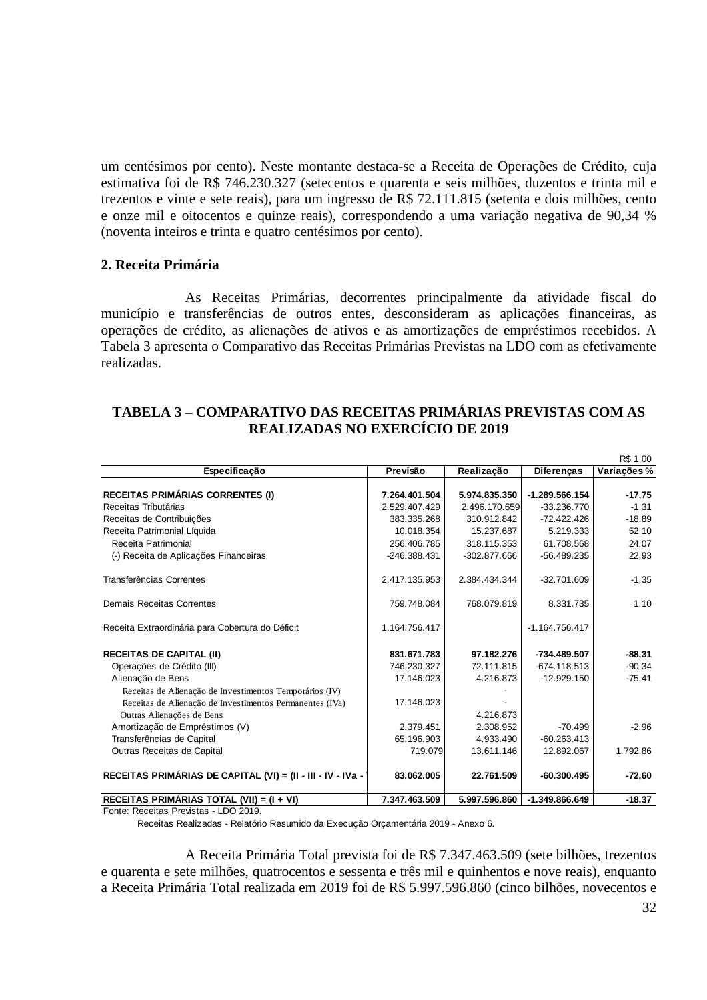um centésimos por cento). Neste montante destaca-se a Receita de Operações de Crédito, cuja estimativa foi de R\$ 746.230.327 (setecentos e quarenta e seis milhões, duzentos e trinta mil e trezentos e vinte e sete reais), para um ingresso de R\$ 72.111.815 (setenta e dois milhões, cento e onze mil e oitocentos e quinze reais), correspondendo a uma variação negativa de 90,34 % (noventa inteiros e trinta e quatro centésimos por cento).

#### **2. Receita Primária**

As Receitas Primárias, decorrentes principalmente da atividade fiscal do município e transferências de outros entes, desconsideram as aplicações financeiras, as operações de crédito, as alienações de ativos e as amortizações de empréstimos recebidos. A Tabela 3 apresenta o Comparativo das Receitas Primárias Previstas na LDO com as efetivamente realizadas.

### **TABELA 3 – COMPARATIVO DAS RECEITAS PRIMÁRIAS PREVISTAS COM AS REALIZADAS NO EXERCÍCIO DE 2019**

|                                                             |               |               |                   | R\$ 1,00   |
|-------------------------------------------------------------|---------------|---------------|-------------------|------------|
| Especificação                                               | Previsão      | Realização    | <b>Diferencas</b> | Variações% |
|                                                             |               |               |                   |            |
| <b>RECEITAS PRIMÁRIAS CORRENTES (I)</b>                     | 7.264.401.504 | 5.974.835.350 | $-1.289.566.154$  | $-17,75$   |
| Receitas Tributárias                                        | 2.529.407.429 | 2.496.170.659 | $-33.236.770$     | $-1,31$    |
| Receitas de Contribuições                                   | 383.335.268   | 310.912.842   | $-72.422.426$     | $-18.89$   |
| Receita Patrimonial Líquida                                 | 10.018.354    | 15.237.687    | 5.219.333         | 52,10      |
| Receita Patrimonial                                         | 256.406.785   | 318.115.353   | 61.708.568        | 24,07      |
| (-) Receita de Aplicações Financeiras                       | -246.388.431  | -302.877.666  | $-56.489.235$     | 22,93      |
| Transferências Correntes                                    | 2.417.135.953 | 2.384.434.344 | $-32.701.609$     | $-1,35$    |
| <b>Demais Receitas Correntes</b>                            | 759.748.084   | 768.079.819   | 8.331.735         | 1,10       |
| Receita Extraordinária para Cobertura do Déficit            | 1.164.756.417 |               | $-1.164.756.417$  |            |
| <b>RECEITAS DE CAPITAL (II)</b>                             | 831.671.783   | 97.182.276    | -734.489.507      | $-88,31$   |
| Operações de Crédito (III)                                  | 746.230.327   | 72.111.815    | $-674.118.513$    | $-90,34$   |
| Alienação de Bens                                           | 17.146.023    | 4.216.873     | $-12.929.150$     | $-75,41$   |
| Receitas de Alienação de Investimentos Temporários (IV)     |               |               |                   |            |
| Receitas de Alienação de Investimentos Permanentes (IVa)    | 17.146.023    |               |                   |            |
| Outras Alienações de Bens                                   |               | 4.216.873     |                   |            |
| Amortização de Empréstimos (V)                              | 2.379.451     | 2.308.952     | $-70.499$         | $-2,96$    |
| Transferências de Capital                                   | 65.196.903    | 4.933.490     | $-60.263.413$     |            |
| Outras Receitas de Capital                                  | 719.079       | 13.611.146    | 12.892.067        | 1.792,86   |
| RECEITAS PRIMÁRIAS DE CAPITAL (VI) = (II - III - IV - IVa - | 83.062.005    | 22.761.509    | $-60.300.495$     | $-72,60$   |
| RECEITAS PRIMÁRIAS TOTAL (VII) = (I + VI)                   | 7.347.463.509 | 5.997.596.860 | -1.349.866.649    | $-18,37$   |

Fonte: Receitas Previstas - LDO 2019.

Receitas Realizadas - Relatório Resumido da Execução Orçamentária 2019 - Anexo 6.

A Receita Primária Total prevista foi de R\$ 7.347.463.509 (sete bilhões, trezentos e quarenta e sete milhões, quatrocentos e sessenta e três mil e quinhentos e nove reais), enquanto a Receita Primária Total realizada em 2019 foi de R\$ 5.997.596.860 (cinco bilhões, novecentos e

R\$ 1,00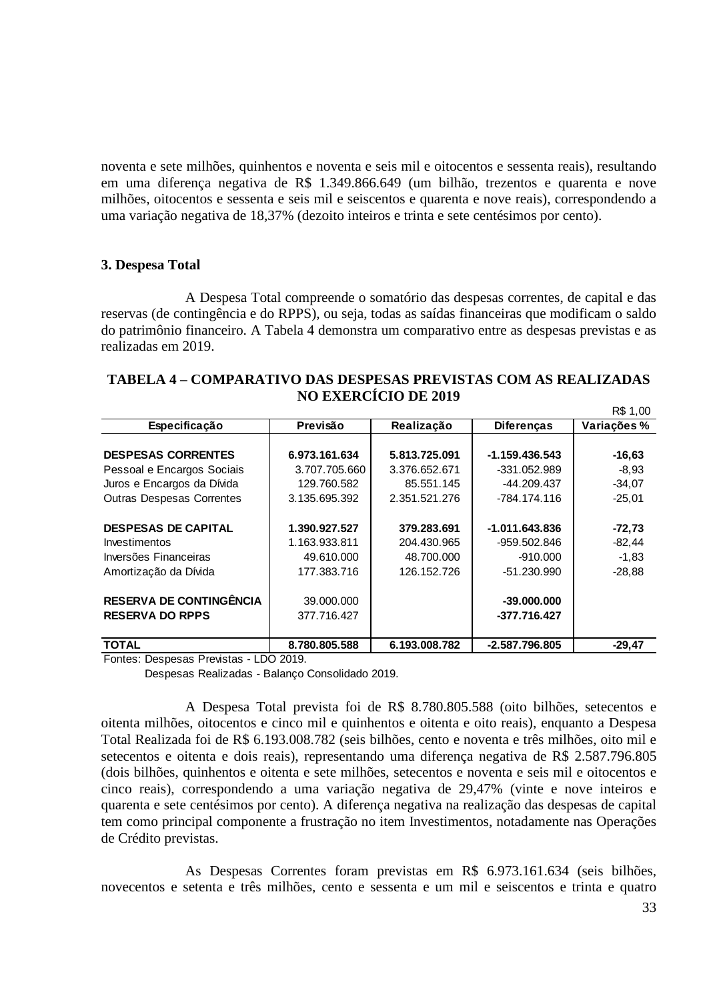noventa e sete milhões, quinhentos e noventa e seis mil e oitocentos e sessenta reais), resultando em uma diferença negativa de R\$ 1.349.866.649 (um bilhão, trezentos e quarenta e nove milhões, oitocentos e sessenta e seis mil e seiscentos e quarenta e nove reais), correspondendo a uma variação negativa de 18,37% (dezoito inteiros e trinta e sete centésimos por cento).

#### **3. Despesa Total**

A Despesa Total compreende o somatório das despesas correntes, de capital e das reservas (de contingência e do RPPS), ou seja, todas as saídas financeiras que modificam o saldo do patrimônio financeiro. A Tabela 4 demonstra um comparativo entre as despesas previstas e as realizadas em 2019.

|                                  |               |               |                   | R\$ 1,00    |
|----------------------------------|---------------|---------------|-------------------|-------------|
| Especificação                    | Previsão      | Realização    | <b>Diferencas</b> | Variações % |
|                                  |               |               |                   |             |
| <b>DESPESAS CORRENTES</b>        | 6.973.161.634 | 5.813.725.091 | $-1.159.436.543$  | $-16,63$    |
| Pessoal e Encargos Sociais       | 3.707.705.660 | 3.376.652.671 | $-331.052.989$    | $-8,93$     |
| Juros e Encargos da Dívida       | 129.760.582   | 85.551.145    | -44.209.437       | $-34,07$    |
| <b>Outras Despesas Correntes</b> | 3.135.695.392 | 2.351.521.276 | -784.174.116      | $-25,01$    |
| <b>DESPESAS DE CAPITAL</b>       | 1.390.927.527 | 379.283.691   | $-1.011.643.836$  | $-72,73$    |
| <b>Investimentos</b>             | 1.163.933.811 | 204.430.965   | -959.502.846      | $-82,44$    |
| Inversões Financeiras            | 49.610.000    | 48.700.000    | $-910.000$        | $-1,83$     |
| Amortização da Dívida            | 177.383.716   | 126.152.726   | $-51.230.990$     | $-28.88$    |
| <b>RESERVA DE CONTINGÊNCIA</b>   | 39.000.000    |               | $-39,000,000$     |             |
| <b>RESERVA DO RPPS</b>           | 377.716.427   |               | -377.716.427      |             |
| <b>TOTAL</b>                     | 8.780.805.588 | 6.193.008.782 | $-2.587.796.805$  | $-29,47$    |

### **TABELA 4 – COMPARATIVO DAS DESPESAS PREVISTAS COM AS REALIZADAS NO EXERCÍCIO DE 2019**

Fontes: Despesas Previstas - LDO 2019.

Despesas Realizadas - Balanço Consolidado 2019.

A Despesa Total prevista foi de R\$ 8.780.805.588 (oito bilhões, setecentos e oitenta milhões, oitocentos e cinco mil e quinhentos e oitenta e oito reais), enquanto a Despesa Total Realizada foi de R\$ 6.193.008.782 (seis bilhões, cento e noventa e três milhões, oito mil e setecentos e oitenta e dois reais), representando uma diferença negativa de R\$ 2.587.796.805 (dois bilhões, quinhentos e oitenta e sete milhões, setecentos e noventa e seis mil e oitocentos e cinco reais), correspondendo a uma variação negativa de 29,47% (vinte e nove inteiros e quarenta e sete centésimos por cento). A diferença negativa na realização das despesas de capital tem como principal componente a frustração no item Investimentos, notadamente nas Operações de Crédito previstas.

As Despesas Correntes foram previstas em R\$ 6.973.161.634 (seis bilhões, novecentos e setenta e três milhões, cento e sessenta e um mil e seiscentos e trinta e quatro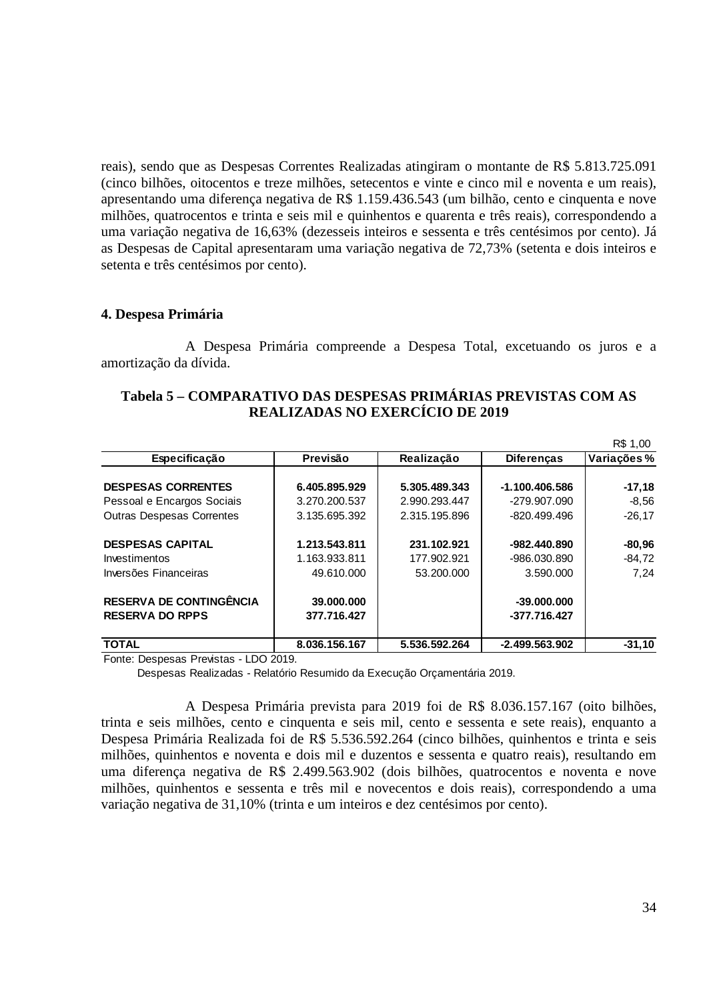reais), sendo que as Despesas Correntes Realizadas atingiram o montante de R\$ 5.813.725.091 (cinco bilhões, oitocentos e treze milhões, setecentos e vinte e cinco mil e noventa e um reais), apresentando uma diferença negativa de R\$ 1.159.436.543 (um bilhão, cento e cinquenta e nove milhões, quatrocentos e trinta e seis mil e quinhentos e quarenta e três reais), correspondendo a uma variação negativa de 16,63% (dezesseis inteiros e sessenta e três centésimos por cento). Já as Despesas de Capital apresentaram uma variação negativa de 72,73% (setenta e dois inteiros e setenta e três centésimos por cento).

#### **4. Despesa Primária**

A Despesa Primária compreende a Despesa Total, excetuando os juros e a amortização da dívida.

| Tabela 5 – COMPARATIVO DAS DESPESAS PRIMÁRIAS PREVISTAS COM AS |  |
|----------------------------------------------------------------|--|
| <b>REALIZADAS NO EXERCÍCIO DE 2019</b>                         |  |

|                                  |               |               |                   | R\$ 1,00   |
|----------------------------------|---------------|---------------|-------------------|------------|
| Especificação                    | Previsão      | Realização    | <b>Diferenças</b> | Variações% |
|                                  |               |               |                   |            |
| <b>DESPESAS CORRENTES</b>        | 6.405.895.929 | 5.305.489.343 | $-1.100.406.586$  | $-17,18$   |
| Pessoal e Encargos Sociais       | 3.270.200.537 | 2.990.293.447 | -279.907.090      | $-8,56$    |
| <b>Outras Despesas Correntes</b> | 3.135.695.392 | 2.315.195.896 | -820.499.496      | $-26.17$   |
| <b>DESPESAS CAPITAL</b>          | 1.213.543.811 | 231.102.921   | -982.440.890      | $-80,96$   |
| <b>Investimentos</b>             | 1.163.933.811 | 177.902.921   | -986.030.890      | $-84,72$   |
| Inversões Financeiras            | 49.610.000    | 53.200.000    | 3.590.000         | 7.24       |
| <b>RESERVA DE CONTINGÊNCIA</b>   | 39.000.000    |               | $-39,000,000$     |            |
| <b>RESERVA DO RPPS</b>           | 377.716.427   |               | -377.716.427      |            |
| <b>TOTAL</b>                     | 8.036.156.167 | 5.536.592.264 | $-2.499.563.902$  | $-31.10$   |

Fonte: Despesas Previstas - LDO 2019.

Despesas Realizadas - Relatório Resumido da Execução Orçamentária 2019.

A Despesa Primária prevista para 2019 foi de R\$ 8.036.157.167 (oito bilhões, trinta e seis milhões, cento e cinquenta e seis mil, cento e sessenta e sete reais), enquanto a Despesa Primária Realizada foi de R\$ 5.536.592.264 (cinco bilhões, quinhentos e trinta e seis milhões, quinhentos e noventa e dois mil e duzentos e sessenta e quatro reais), resultando em uma diferença negativa de R\$ 2.499.563.902 (dois bilhões, quatrocentos e noventa e nove milhões, quinhentos e sessenta e três mil e novecentos e dois reais), correspondendo a uma variação negativa de 31,10% (trinta e um inteiros e dez centésimos por cento).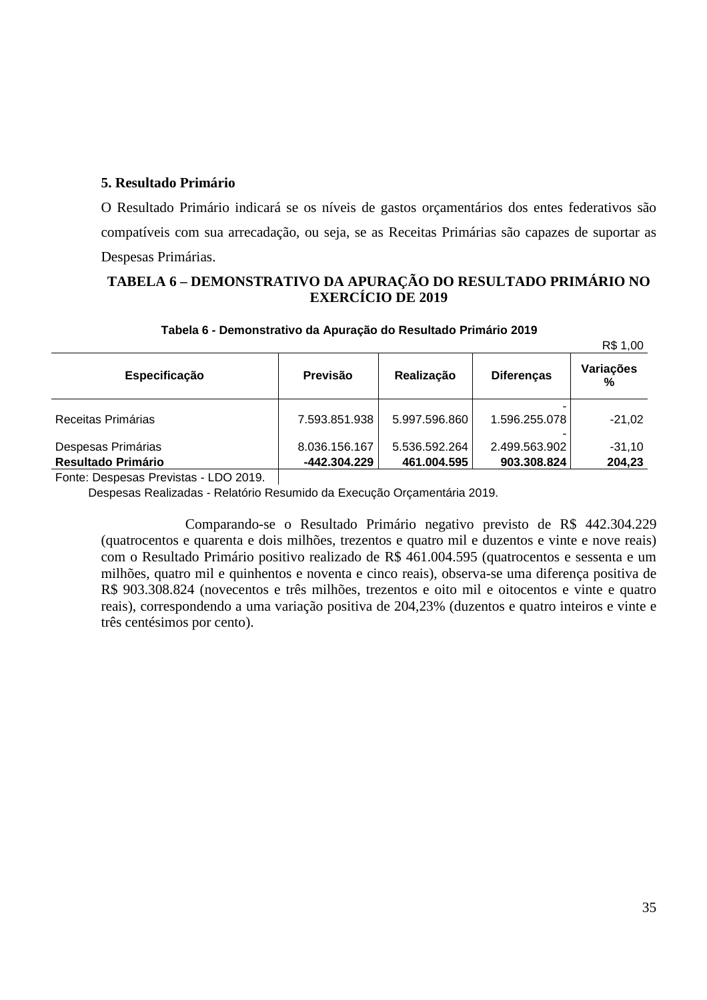### **5. Resultado Primário**

O Resultado Primário indicará se os níveis de gastos orçamentários dos entes federativos são compatíveis com sua arrecadação, ou seja, se as Receitas Primárias são capazes de suportar as Despesas Primárias.

### **TABELA 6 – DEMONSTRATIVO DA APURAÇÃO DO RESULTADO PRIMÁRIO NO EXERCÍCIO DE 2019**

|                    |                |               |                   | R\$ 1,00       |
|--------------------|----------------|---------------|-------------------|----------------|
| Especificação      | Previsão       | Realização    | <b>Diferenças</b> | Variações<br>% |
| Receitas Primárias | 7.593.851.938  | 5.997.596.860 | 1.596.255.078     | $-21,02$       |
| Despesas Primárias | 8.036.156.167  | 5.536.592.264 | 2.499.563.902     | $-31,10$       |
| Resultado Primário | $-442.304.229$ | 461.004.595   | 903.308.824       | 204,23         |
|                    |                |               |                   |                |

#### **Tabela 6 - Demonstrativo da Apuração do Resultado Primário 2019**

Fonte: Despesas Previstas - LDO 2019.

Despesas Realizadas - Relatório Resumido da Execução Orçamentária 2019.

Comparando-se o Resultado Primário negativo previsto de R\$ 442.304.229 (quatrocentos e quarenta e dois milhões, trezentos e quatro mil e duzentos e vinte e nove reais) com o Resultado Primário positivo realizado de R\$ 461.004.595 (quatrocentos e sessenta e um milhões, quatro mil e quinhentos e noventa e cinco reais), observa-se uma diferença positiva de R\$ 903.308.824 (novecentos e três milhões, trezentos e oito mil e oitocentos e vinte e quatro reais), correspondendo a uma variação positiva de 204,23% (duzentos e quatro inteiros e vinte e três centésimos por cento).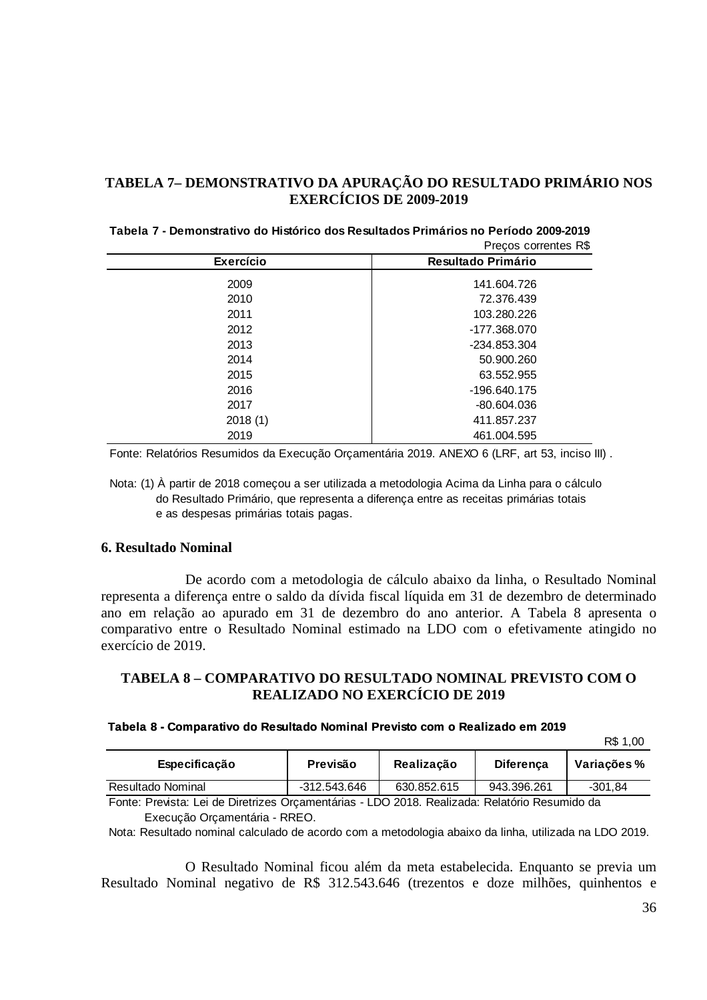### **TABELA 7– DEMONSTRATIVO DA APURAÇÃO DO RESULTADO PRIMÁRIO NOS EXERCÍCIOS DE 2009-2019**

|                  | Precos correntes R\$      |
|------------------|---------------------------|
| <b>Exercício</b> | <b>Resultado Primário</b> |
| 2009             | 141.604.726               |
| 2010             | 72.376.439                |
| 2011             | 103.280.226               |
| 2012             | -177.368.070              |
| 2013             | -234.853.304              |
| 2014             | 50,900,260                |
| 2015             | 63.552.955                |
| 2016             | -196.640.175              |
| 2017             | -80.604.036               |
| 2018(1)          | 411.857.237               |
| 2019             | 461.004.595               |
|                  |                           |

| Tabela 7 - Demonstrativo do Histórico dos Resultados Primários no Período 2009-2019 |                      |
|-------------------------------------------------------------------------------------|----------------------|
|                                                                                     | Preços correntes R\$ |

Fonte: Relatórios Resumidos da Execução Orçamentária 2019. ANEXO 6 (LRF, art 53, inciso III) .

Nota: (1) À partir de 2018 começou a ser utilizada a metodologia Acima da Linha para o cálculo do Resultado Primário, que representa a diferença entre as receitas primárias totais e as despesas primárias totais pagas.

#### **6. Resultado Nominal**

De acordo com a metodologia de cálculo abaixo da linha, o Resultado Nominal representa a diferença entre o saldo da dívida fiscal líquida em 31 de dezembro de determinado ano em relação ao apurado em 31 de dezembro do ano anterior. A Tabela 8 apresenta o comparativo entre o Resultado Nominal estimado na LDO com o efetivamente atingido no exercício de 2019.

### **TABELA 8 – COMPARATIVO DO RESULTADO NOMINAL PREVISTO COM O REALIZADO NO EXERCÍCIO DE 2019**

#### **Tabela 8 - Comparativo do Resultado Nominal Previsto com o Realizado em 2019**

R\$ 1,00

| Especificação     | Previsão     | Realização  | <b>Diferenca</b> | Variações% |
|-------------------|--------------|-------------|------------------|------------|
| Resultado Nominal | -312.543.646 | 630.852.615 | 943.396.261      | $-301.84$  |

Fonte: Prevista: Lei de Diretrizes Orçamentárias - LDO 2018. Realizada: Relatório Resumido da Execução Orçamentária - RREO.

Nota: Resultado nominal calculado de acordo com a metodologia abaixo da linha, utilizada na LDO 2019.

O Resultado Nominal ficou além da meta estabelecida. Enquanto se previa um Resultado Nominal negativo de R\$ 312.543.646 (trezentos e doze milhões, quinhentos e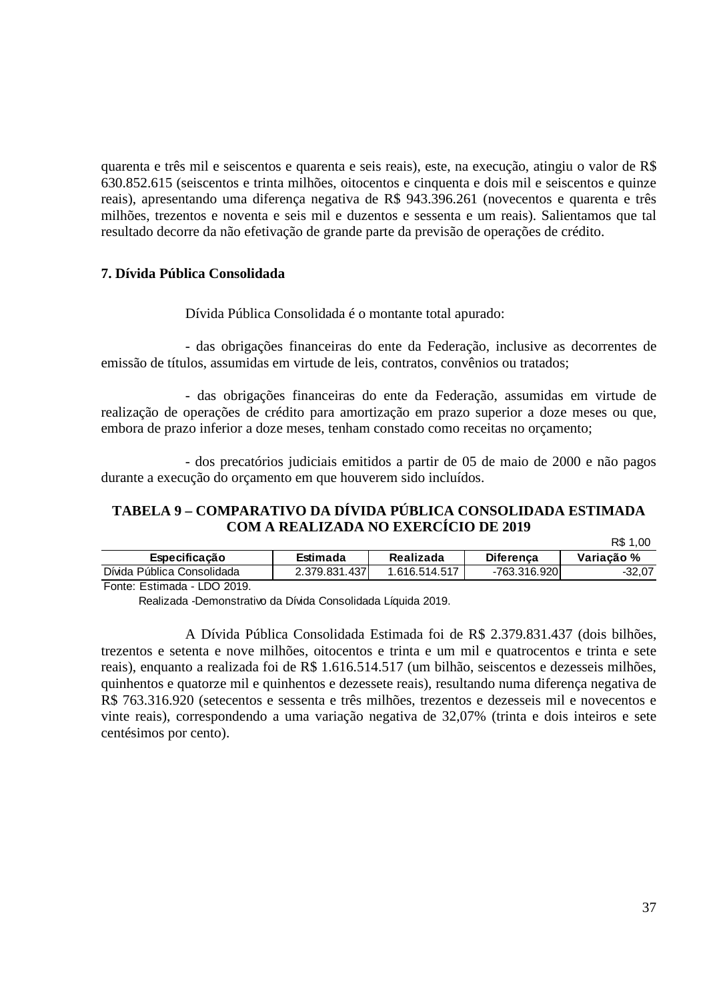quarenta e três mil e seiscentos e quarenta e seis reais), este, na execução, atingiu o valor de R\$ 630.852.615 (seiscentos e trinta milhões, oitocentos e cinquenta e dois mil e seiscentos e quinze reais), apresentando uma diferença negativa de R\$ 943.396.261 (novecentos e quarenta e três milhões, trezentos e noventa e seis mil e duzentos e sessenta e um reais). Salientamos que tal resultado decorre da não efetivação de grande parte da previsão de operações de crédito.

### **7. Dívida Pública Consolidada**

Dívida Pública Consolidada é o montante total apurado:

- das obrigações financeiras do ente da Federação, inclusive as decorrentes de emissão de títulos, assumidas em virtude de leis, contratos, convênios ou tratados;

- das obrigações financeiras do ente da Federação, assumidas em virtude de realização de operações de crédito para amortização em prazo superior a doze meses ou que, embora de prazo inferior a doze meses, tenham constado como receitas no orçamento;

- dos precatórios judiciais emitidos a partir de 05 de maio de 2000 e não pagos durante a execução do orçamento em que houverem sido incluídos.

#### **TABELA 9 – COMPARATIVO DA DÍVIDA PÚBLICA CONSOLIDADA ESTIMADA COM A REALIZADA NO EXERCÍCIO DE 2019**   $DP 1,00$

|                                             |               |               |                  | <b>NO 1, UU</b> |
|---------------------------------------------|---------------|---------------|------------------|-----------------|
| Especificação                               | Estimada      | Realizada     | <b>Diferenca</b> | Variacão %      |
| Dívida Pública Consolidada                  | 2.379.831.437 | 1.616.514.517 | -763.316.9201    | $-32.07$        |
| $\overline{1}$ DO 0010<br>Fasta: Fathwards, |               |               |                  |                 |

Fonte: Estimada - LDO 2019.

Realizada -Demonstrativo da Dívida Consolidada Líquida 2019.

A Dívida Pública Consolidada Estimada foi de R\$ 2.379.831.437 (dois bilhões, trezentos e setenta e nove milhões, oitocentos e trinta e um mil e quatrocentos e trinta e sete reais), enquanto a realizada foi de R\$ 1.616.514.517 (um bilhão, seiscentos e dezesseis milhões, quinhentos e quatorze mil e quinhentos e dezessete reais), resultando numa diferença negativa de R\$ 763.316.920 (setecentos e sessenta e três milhões, trezentos e dezesseis mil e novecentos e vinte reais), correspondendo a uma variação negativa de 32,07% (trinta e dois inteiros e sete centésimos por cento).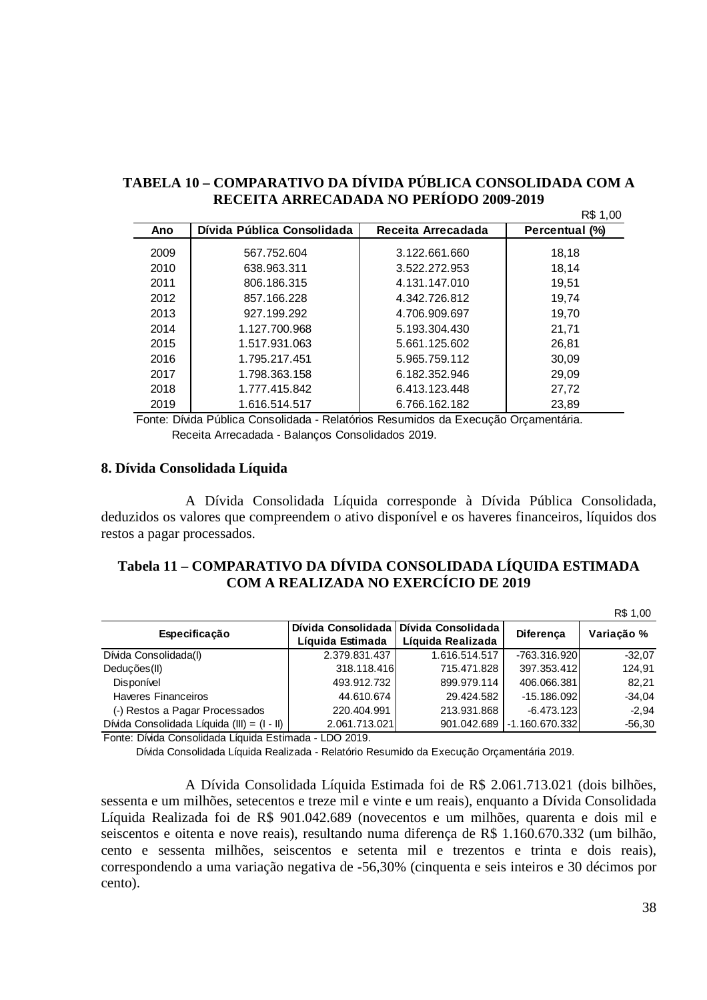### **TABELA 10 – COMPARATIVO DA DÍVIDA PÚBLICA CONSOLIDADA COM A RECEITA ARRECADADA NO PERÍODO 2009-2019**

|      |                            |                    | R\$ 1,00       |
|------|----------------------------|--------------------|----------------|
| Ano  | Dívida Pública Consolidada | Receita Arrecadada | Percentual (%) |
| 2009 | 567.752.604                | 3.122.661.660      | 18,18          |
| 2010 | 638.963.311                | 3.522.272.953      | 18,14          |
| 2011 | 806.186.315                | 4.131.147.010      | 19,51          |
| 2012 | 857.166.228                | 4.342.726.812      | 19.74          |
| 2013 | 927.199.292                | 4.706.909.697      | 19.70          |
| 2014 | 1.127.700.968              | 5.193.304.430      | 21,71          |
| 2015 | 1.517.931.063              | 5.661.125.602      | 26,81          |
| 2016 | 1.795.217.451              | 5.965.759.112      | 30,09          |
| 2017 | 1.798.363.158              | 6.182.352.946      | 29,09          |
| 2018 | 1.777.415.842              | 6.413.123.448      | 27,72          |
| 2019 | 1.616.514.517              | 6.766.162.182      | 23.89          |

Fonte: Dívida Pública Consolidada - Relatórios Resumidos da Execução Orçamentária. Receita Arrecadada - Balanços Consolidados 2019.

#### **8. Dívida Consolidada Líquida**

A Dívida Consolidada Líquida corresponde à Dívida Pública Consolidada, deduzidos os valores que compreendem o ativo disponível e os haveres financeiros, líquidos dos restos a pagar processados.

### **Tabela 11 – COMPARATIVO DA DÍVIDA CONSOLIDADA LÍQUIDA ESTIMADA COM A REALIZADA NO EXERCÍCIO DE 2019**

|                                             |                  |                                         |                  | R\$ 1,00   |
|---------------------------------------------|------------------|-----------------------------------------|------------------|------------|
| Especificação                               |                  | Dívida Consolidada   Dívida Consolidada | <b>Diferenca</b> | Variação % |
|                                             | Líquida Estimada | Líquida Realizada                       |                  |            |
| Dívida Consolidada(I)                       | 2.379.831.437    | 1.616.514.517                           | -763.316.920     | $-32.07$   |
| Deduções(II)                                | 318.118.416      | 715.471.828                             | 397.353.412      | 124,91     |
| Disponível                                  | 493.912.732      | 899.979.114                             | 406.066.381      | 82.21      |
| <b>Haveres Financeiros</b>                  | 44.610.674       | 29.424.582                              | $-15.186.092$    | $-34,04$   |
| (-) Restos a Pagar Processados              | 220.404.991      | 213.931.868                             | $-6.473.123$     | $-2,94$    |
| Dívida Consolidada Líquida (III) = (I - II) | 2.061.713.021    | 901.042.689                             | -1.160.670.332   | $-56,30$   |

Fonte: Dívida Consolidada Líquida Estimada - LDO 2019.

Dívida Consolidada Líquida Realizada - Relatório Resumido da Execução Orçamentária 2019.

A Dívida Consolidada Líquida Estimada foi de R\$ 2.061.713.021 (dois bilhões, sessenta e um milhões, setecentos e treze mil e vinte e um reais), enquanto a Dívida Consolidada Líquida Realizada foi de R\$ 901.042.689 (novecentos e um milhões, quarenta e dois mil e seiscentos e oitenta e nove reais), resultando numa diferença de R\$ 1.160.670.332 (um bilhão, cento e sessenta milhões, seiscentos e setenta mil e trezentos e trinta e dois reais), correspondendo a uma variação negativa de -56,30% (cinquenta e seis inteiros e 30 décimos por cento).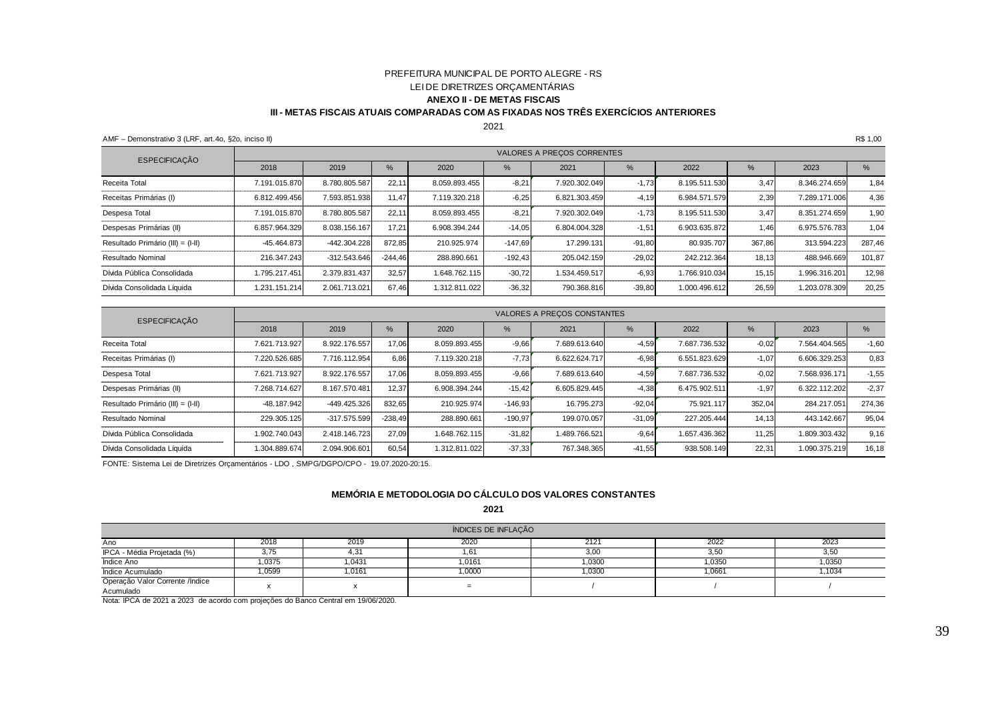#### PREFEITURA MUNICIPAL DE PORTO ALEGRE - RSLEI DE DIRETRIZES ORÇAMENTÁRIAS **ANEXO II - DE METAS FISCAISIII - METAS FISCAIS ATUAIS COMPARADAS COM AS FIXADAS NOS TRÊS EXERCÍCIOS ANTERIORES**

#### 2021

AMF – Demonstrativo 3 (LRF, art.4o, §2o, inciso II)R\$ 1,00

| <b>ESPECIFICAÇÃO</b>              |               |                |           |               |               | VALORES A PRECOS CORRENTES |               |               |        |               |        |
|-----------------------------------|---------------|----------------|-----------|---------------|---------------|----------------------------|---------------|---------------|--------|---------------|--------|
|                                   | 2018          | 2019           | %         | 2020          | $\frac{9}{6}$ | 2021                       | $\frac{9}{6}$ | 2022          | $\%$   | 2023          | $\%$   |
| Receita Total                     | 7.191.015.870 | 8.780.805.587  | 22,11     | 8.059.893.455 | $-8,21$       | 7.920.302.049              | $-1,73$       | 8.195.511.530 | 3,47   | 8.346.274.659 | 1.84   |
| Receitas Primárias (I)            | 6.812.499.456 | 7.593.851.938  | 11,47     | 7.119.320.218 | $-6,25$       | 6.821.303.459              | $-4,19$       | 6.984.571.579 | 2,39   | 7.289.171.006 | 4,36   |
| Despesa Total                     | 7.191.015.870 | 8.780.805.587  | 22,11     | 8.059.893.455 | $-8,21$       | 7.920.302.049              | $-1,73$       | 8.195.511.530 | 3.47   | 8.351.274.659 | 1,90   |
| Despesas Primárias (II)           | 6.857.964.329 | 8.038.156.167  | 17,21     | 6.908.394.244 | $-14,05$      | 6.804.004.328              | $-1,51$       | 6.903.635.872 | 1,46   | 6.975.576.783 | 1,04   |
| Resultado Primário (III) = (I-II) | $-45.464.873$ | $-442.304.228$ | 872,85    | 210.925.974   | $-147.69$     | 17.299.131                 | $-91,80$      | 80.935.707    | 367,86 | 313.594.223   | 287.46 |
| Resultado Nominal                 | 216.347.243   | $-312.543.646$ | $-244.46$ | 288.890.661   | $-192.43$     | 205.042.159                | $-29,02$      | 242.212.364   | 18,13  | 488.946.669   | 101,87 |
| Dívida Pública Consolidada        | 1.795.217.451 | 2.379.831.437  | 32,57     | 1.648.762.115 | $-30,72$      | 1.534.459.517              | $-6,93$       | 1.766.910.034 | 15,15  | 1.996.316.201 | 12,98  |
| Dívida Consolidada Líquida        | 1.231.151.214 | 2.061.713.021  | 67,46     | 1.312.811.022 | $-36,32$      | 790.368.816                | $-39,80$      | 1.000.496.612 | 26,59  | 1.203.078.309 | 20,25  |

| <b>ESPECIFICAÇÃO</b>              |               |                |           |               |           | VALORES A PRECOS CONSTANTES |          |               |         |               |         |
|-----------------------------------|---------------|----------------|-----------|---------------|-----------|-----------------------------|----------|---------------|---------|---------------|---------|
|                                   | 2018          | 2019           | %         | 2020          | %         | 2021                        | $\%$     | 2022          | $\%$    | 2023          | %       |
| Receita Total                     | 7.621.713.927 | 8.922.176.557  | 17,06     | 8.059.893.455 | $-9,66$   | 7.689.613.640               | $-4.59$  | 7.687.736.532 | $-0,02$ | 7.564.404.565 | $-1,60$ |
| Receitas Primárias (I)            | 7.220.526.685 | 7.716.112.954  | 6,86      | 7.119.320.218 | $-7,73$   | 6.622.624.717               | $-6,98$  | 6.551.823.629 | $-1,07$ | 6.606.329.253 | 0,83    |
| Despesa Total                     | 7.621.713.927 | 8.922.176.557  | 17,06     | 8.059.893.455 | $-9,66$   | 7.689.613.640               | $-4.59$  | 7.687.736.532 | $-0.02$ | 7.568.936.171 | $-1,55$ |
| Despesas Primárias (II)           | 7.268.714.627 | 8.167.570.481  | 12,37     | 6.908.394.244 | $-15,42$  | 6.605.829.445               | $-4,38$  | 6.475.902.511 | $-1,97$ | 6.322.112.202 | $-2.37$ |
| Resultado Primário (III) = (I-II) | $-48.187.942$ | $-449.425.326$ | 832,65    | 210.925.974   | $-146.93$ | 16.795.273                  | $-92.04$ | 75.921.117    | 352,04  | 284.217.051   | 274.36  |
| Resultado Nominal                 | 229.305.125   | $-317.575.599$ | $-238,49$ | 288.890.661   | $-190,97$ | 199.070.057                 | $-31,09$ | 227.205.444   | 14,13   | 443.142.667   | 95,04   |
| Dívida Pública Consolidada        | 1.902.740.043 | 2.418.146.723  | 27,09     | 1.648.762.115 | $-31,82$  | 1.489.766.521               | $-9,64$  | 1.657.436.362 | 11,25   | 1.809.303.432 | 9,16    |
| Dívida Consolidada Líquida        | 1.304.889.674 | 2.094.906.601  | 60,54     | 1.312.811.022 | $-37,33$  | 767.348.365                 | $-41,55$ | 938.508.149   | 22,31   | 1.090.375.219 | 16,18   |

FONTE: Sistema Lei de Diretrizes Orçamentários - LDO , SMPG/DGPO/CPO - 19.07.2020-20:15.

#### **MEMÓRIA E METODOLOGIA DO CÁLCULO DOS VALORES CONSTANTES**

**2021**

| ÍNDICES DE INFLAÇÃO              |        |        |        |        |        |        |  |  |  |
|----------------------------------|--------|--------|--------|--------|--------|--------|--|--|--|
| Ano                              | 2018   | 2019   | 2020   | 212'   | 2022   | 2023   |  |  |  |
| IPCA - Média Projetada (%)       | 3,75   | 4,31   | . . 61 | 3,00   | 3,50   | 3,50   |  |  |  |
| Indice Ano                       | 1,0375 | 1,0431 | 1,0161 | 1,0300 | 1,0350 | 1,0350 |  |  |  |
| Índice Acumulado                 | .0599  | 1,0161 | 1,0000 | .0300  | 1,0661 | 1,1034 |  |  |  |
| Operação Valor Corrente / Indice |        |        | =      |        |        |        |  |  |  |
| Acumulado                        |        |        |        |        |        |        |  |  |  |

Nota: IPCA de 2021 a 2023 de acordo com projeções do Banco Central em 19/06/2020.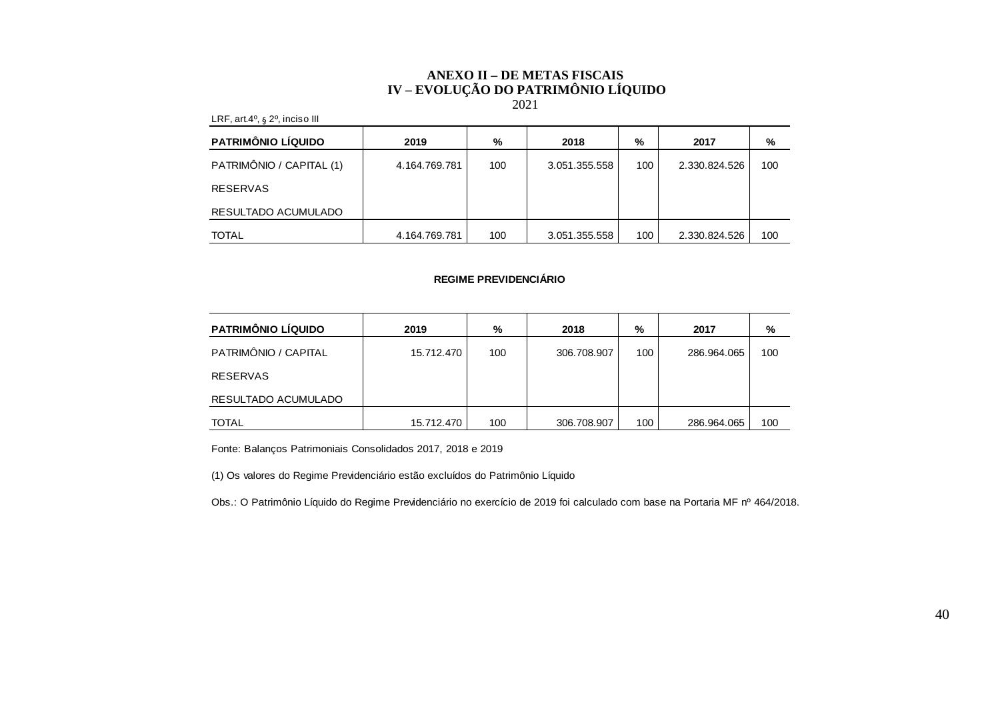#### **ANEXO II – DE METAS FISCAIS IV – EVOLUÇÃO DO PATRIMÔNIO LÍQUIDO**  2021

| $= 111, 211, 112, 221$   |               |     |               |     |               |     |
|--------------------------|---------------|-----|---------------|-----|---------------|-----|
| PATRIMÔNIO LÍQUIDO       | 2019          | %   | 2018          | %   | 2017          | %   |
| PATRIMÔNIO / CAPITAL (1) | 4.164.769.781 | 100 | 3.051.355.558 | 100 | 2.330.824.526 | 100 |
| <b>RESERVAS</b>          |               |     |               |     |               |     |
| RESULTADO ACUMULADO      |               |     |               |     |               |     |
| <b>TOTAL</b>             | 4.164.769.781 | 100 | 3.051.355.558 | 100 | 2.330.824.526 | 100 |

#### **REGIME PREVIDENCIÁRIO**

| <b>PATRIMÔNIO LÍQUIDO</b> | 2019       | %   | 2018        | %   | 2017        | %   |
|---------------------------|------------|-----|-------------|-----|-------------|-----|
| PATRIMÔNIO / CAPITAL      | 15.712.470 | 100 | 306.708.907 | 100 | 286.964.065 | 100 |
| <b>RESERVAS</b>           |            |     |             |     |             |     |
| RESULTADO ACUMULADO       |            |     |             |     |             |     |
| <b>TOTAL</b>              | 15.712.470 | 100 | 306.708.907 | 100 | 286.964.065 | 100 |

Fonte: Balanços Patrimoniais Consolidados 2017, 2018 e 2019

LRF, art.4º, s.2º, inciso III

(1) Os valores do Regime Previdenciário estão excluídos do Patrimônio Líquido

Obs.: O Patrimônio Líquido do Regime Previdenciário no exercício de 2019 foi calculado com base na Portaria MF nº 464/2018.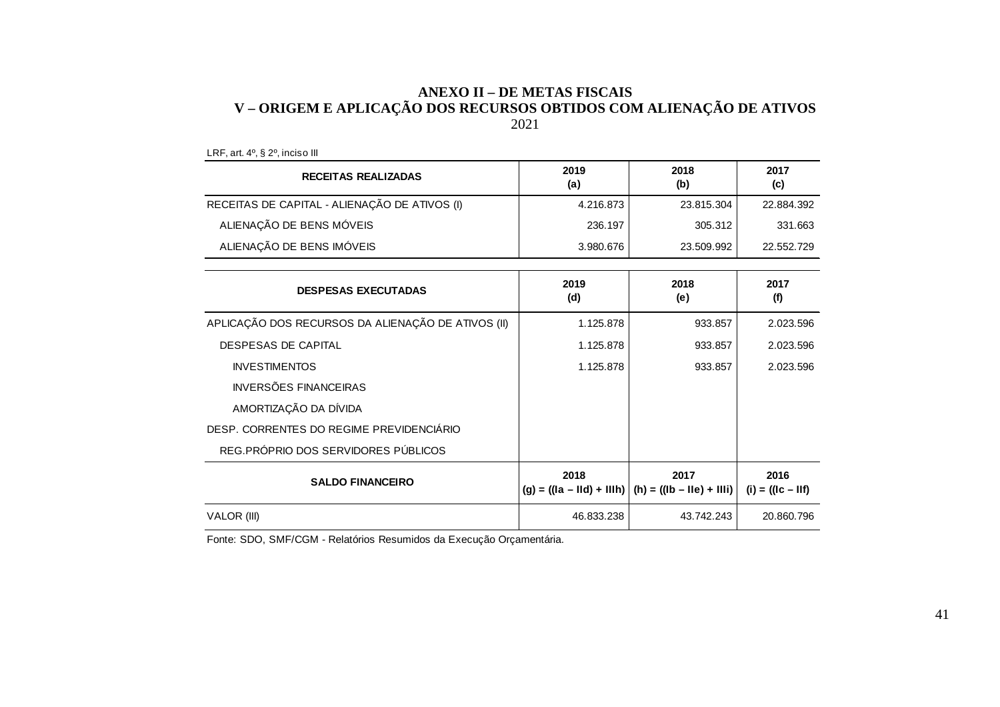# ANEXO II – DE METAS FISCAIS<br>V – ORIGEM E APLICAÇÃO DOS RECURSOS OBTIDOS COM ALIENAÇÃO DE ATIVOS<br>2021

| <b>RECEITAS REALIZADAS</b>                         | 2019<br>(a) | 2018<br>(b)                                                     | 2017<br>(c)                  |
|----------------------------------------------------|-------------|-----------------------------------------------------------------|------------------------------|
| RECEITAS DE CAPITAL - ALIENAÇÃO DE ATIVOS (I)      | 4.216.873   | 23.815.304                                                      | 22.884.392                   |
| ALIENAÇÃO DE BENS MÓVEIS                           | 236.197     | 305.312                                                         | 331.663                      |
| ALIENAÇÃO DE BENS IMÓVEIS                          | 3.980.676   | 23.509.992                                                      | 22.552.729                   |
|                                                    |             |                                                                 |                              |
| <b>DESPESAS EXECUTADAS</b>                         | 2019<br>(d) | 2018<br>(e)                                                     | 2017<br>(f)                  |
| APLICAÇÃO DOS RECURSOS DA ALIENAÇÃO DE ATIVOS (II) | 1.125.878   | 933.857                                                         | 2.023.596                    |
| <b>DESPESAS DE CAPITAL</b>                         | 1.125.878   | 933.857                                                         | 2.023.596                    |
| <b>INVESTIMENTOS</b>                               | 1.125.878   | 933.857                                                         | 2.023.596                    |
| <b>INVERSÕES FINANCEIRAS</b>                       |             |                                                                 |                              |
| AMORTIZAÇÃO DA DÍVIDA                              |             |                                                                 |                              |
| DESP. CORRENTES DO REGIME PREVIDENCIÁRIO           |             |                                                                 |                              |
| REG.PRÓPRIO DOS SERVIDORES PÚBLICOS                |             |                                                                 |                              |
| <b>SALDO FINANCEIRO</b>                            | 2018        | 2017<br>$(g) = ((1a - 11d) + 111h)   (h) = ((1b - 11e) + 111i)$ | 2016<br>$(i) = ((lc - llf))$ |
| VALOR (III)                                        | 46.833.238  | 43.742.243                                                      | 20.860.796                   |

LRF, art. 4º, § 2º, inciso III

Fonte: SDO, SMF/CGM - Relatórios Resumidos da Execução Orçamentária.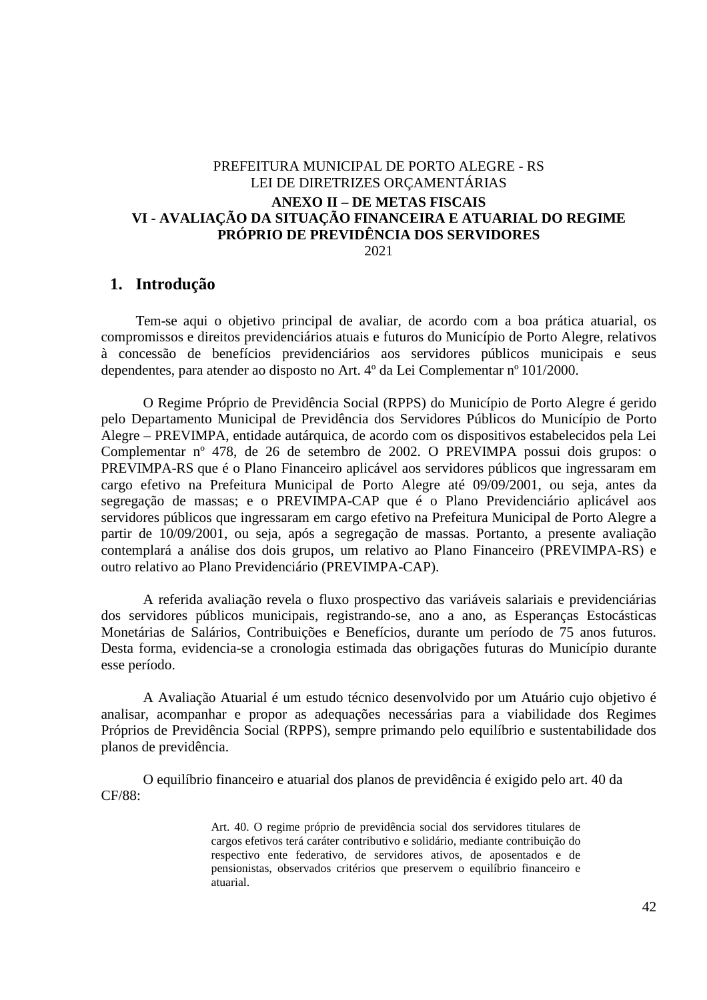### PREFEITURA MUNICIPAL DE PORTO ALEGRE - RS LEI DE DIRETRIZES ORÇAMENTÁRIAS **ANEXO II – DE METAS FISCAIS VI - AVALIAÇÃO DA SITUAÇÃO FINANCEIRA E ATUARIAL DO REGIME PRÓPRIO DE PREVIDÊNCIA DOS SERVIDORES**

2021

#### **1. Introdução**

Tem-se aqui o objetivo principal de avaliar, de acordo com a boa prática atuarial, os compromissos e direitos previdenciários atuais e futuros do Município de Porto Alegre, relativos à concessão de benefícios previdenciários aos servidores públicos municipais e seus dependentes, para atender ao disposto no Art. 4º da Lei Complementar nº 101/2000.

O Regime Próprio de Previdência Social (RPPS) do Município de Porto Alegre é gerido pelo Departamento Municipal de Previdência dos Servidores Públicos do Município de Porto Alegre – PREVIMPA, entidade autárquica, de acordo com os dispositivos estabelecidos pela Lei Complementar nº 478, de 26 de setembro de 2002. O PREVIMPA possui dois grupos: o PREVIMPA-RS que é o Plano Financeiro aplicável aos servidores públicos que ingressaram em cargo efetivo na Prefeitura Municipal de Porto Alegre até 09/09/2001, ou seja, antes da segregação de massas; e o PREVIMPA-CAP que é o Plano Previdenciário aplicável aos servidores públicos que ingressaram em cargo efetivo na Prefeitura Municipal de Porto Alegre a partir de 10/09/2001, ou seja, após a segregação de massas. Portanto, a presente avaliação contemplará a análise dos dois grupos, um relativo ao Plano Financeiro (PREVIMPA-RS) e outro relativo ao Plano Previdenciário (PREVIMPA-CAP).

A referida avaliação revela o fluxo prospectivo das variáveis salariais e previdenciárias dos servidores públicos municipais, registrando-se, ano a ano, as Esperanças Estocásticas Monetárias de Salários, Contribuições e Benefícios, durante um período de 75 anos futuros. Desta forma, evidencia-se a cronologia estimada das obrigações futuras do Município durante esse período.

A Avaliação Atuarial é um estudo técnico desenvolvido por um Atuário cujo objetivo é analisar, acompanhar e propor as adequações necessárias para a viabilidade dos Regimes Próprios de Previdência Social (RPPS), sempre primando pelo equilíbrio e sustentabilidade dos planos de previdência.

O equilíbrio financeiro e atuarial dos planos de previdência é exigido pelo art. 40 da CF/88:

> Art. 40. O regime próprio de previdência social dos servidores titulares de cargos efetivos terá caráter contributivo e solidário, mediante contribuição do respectivo ente federativo, de servidores ativos, de aposentados e de pensionistas, observados critérios que preservem o equilíbrio financeiro e atuarial.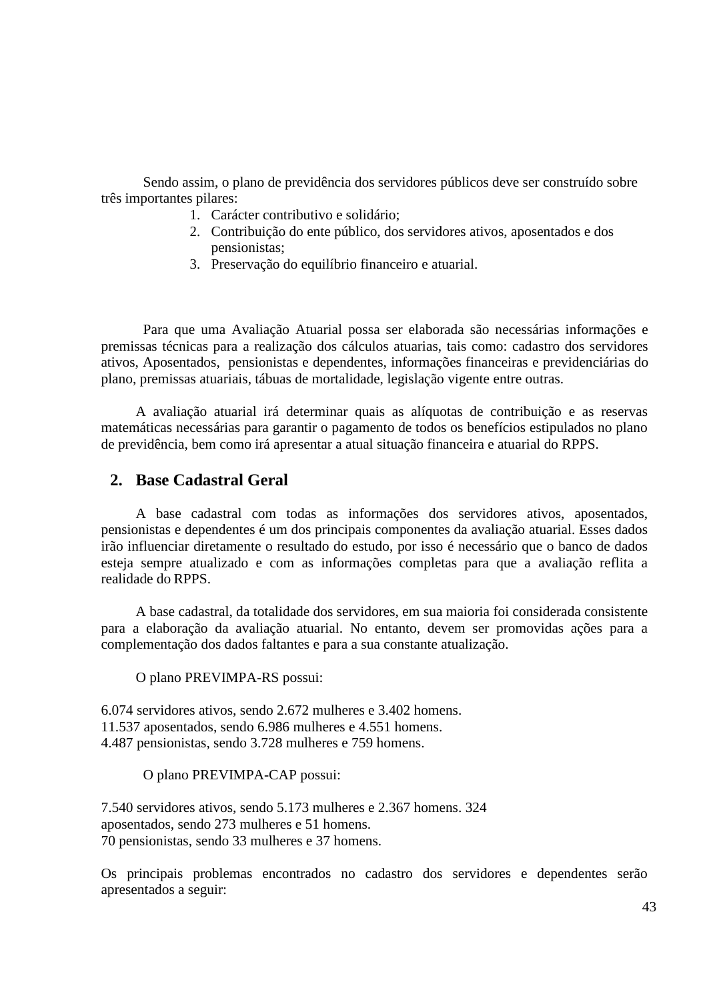Sendo assim, o plano de previdência dos servidores públicos deve ser construído sobre três importantes pilares:

- 1. Carácter contributivo e solidário;
- 2. Contribuição do ente público, dos servidores ativos, aposentados e dos pensionistas;
- 3. Preservação do equilíbrio financeiro e atuarial.

Para que uma Avaliação Atuarial possa ser elaborada são necessárias informações e premissas técnicas para a realização dos cálculos atuarias, tais como: cadastro dos servidores ativos, Aposentados, pensionistas e dependentes, informações financeiras e previdenciárias do plano, premissas atuariais, tábuas de mortalidade, legislação vigente entre outras.

A avaliação atuarial irá determinar quais as alíquotas de contribuição e as reservas matemáticas necessárias para garantir o pagamento de todos os benefícios estipulados no plano de previdência, bem como irá apresentar a atual situação financeira e atuarial do RPPS.

### **2. Base Cadastral Geral**

A base cadastral com todas as informações dos servidores ativos, aposentados, pensionistas e dependentes é um dos principais componentes da avaliação atuarial. Esses dados irão influenciar diretamente o resultado do estudo, por isso é necessário que o banco de dados esteja sempre atualizado e com as informações completas para que a avaliação reflita a realidade do RPPS.

A base cadastral, da totalidade dos servidores, em sua maioria foi considerada consistente para a elaboração da avaliação atuarial. No entanto, devem ser promovidas ações para a complementação dos dados faltantes e para a sua constante atualização.

O plano PREVIMPA-RS possui:

6.074 servidores ativos, sendo 2.672 mulheres e 3.402 homens. 11.537 aposentados, sendo 6.986 mulheres e 4.551 homens. 4.487 pensionistas, sendo 3.728 mulheres e 759 homens.

#### O plano PREVIMPA-CAP possui:

7.540 servidores ativos, sendo 5.173 mulheres e 2.367 homens. 324 aposentados, sendo 273 mulheres e 51 homens. 70 pensionistas, sendo 33 mulheres e 37 homens.

Os principais problemas encontrados no cadastro dos servidores e dependentes serão apresentados a seguir: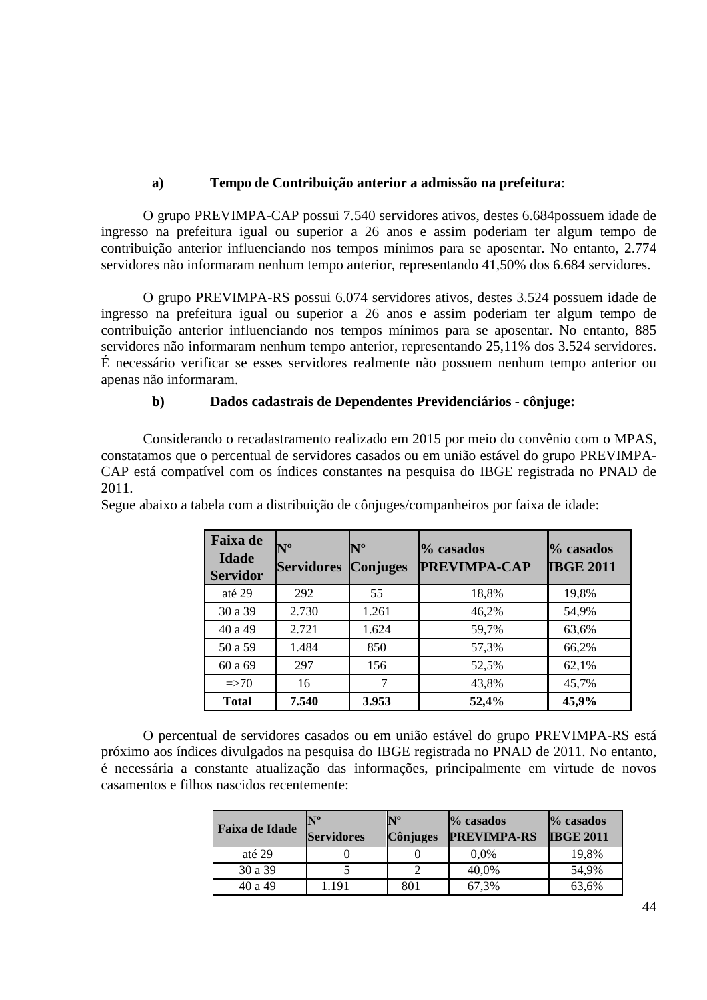### **a) Tempo de Contribuição anterior a admissão na prefeitura**:

O grupo PREVIMPA-CAP possui 7.540 servidores ativos, destes 6.684possuem idade de ingresso na prefeitura igual ou superior a 26 anos e assim poderiam ter algum tempo de contribuição anterior influenciando nos tempos mínimos para se aposentar. No entanto, 2.774 servidores não informaram nenhum tempo anterior, representando 41,50% dos 6.684 servidores.

O grupo PREVIMPA-RS possui 6.074 servidores ativos, destes 3.524 possuem idade de ingresso na prefeitura igual ou superior a 26 anos e assim poderiam ter algum tempo de contribuição anterior influenciando nos tempos mínimos para se aposentar. No entanto, 885 servidores não informaram nenhum tempo anterior, representando 25,11% dos 3.524 servidores. É necessário verificar se esses servidores realmente não possuem nenhum tempo anterior ou apenas não informaram.

#### **b) Dados cadastrais de Dependentes Previdenciários - cônjuge:**

Considerando o recadastramento realizado em 2015 por meio do convênio com o MPAS, constatamos que o percentual de servidores casados ou em união estável do grupo PREVIMPA-CAP está compatível com os índices constantes na pesquisa do IBGE registrada no PNAD de 2011.

| <b>Faixa</b> de<br><b>Idade</b><br><b>Servidor</b> | $N^{\rm o}$<br><b>Servidores</b> | $\mathbb{N}^{\mathrm{o}}$<br><b>Conjuges</b> | % casados<br><b>PREVIMPA-CAP</b> | % casados<br><b>IBGE 2011</b> |
|----------------------------------------------------|----------------------------------|----------------------------------------------|----------------------------------|-------------------------------|
| até 29                                             | 292                              | 55                                           | 18,8%                            | 19,8%                         |
| 30 a 39                                            | 2.730                            | 1.261                                        | 46,2%                            | 54,9%                         |
| 40 a 49                                            | 2.721                            | 1.624                                        | 59,7%                            | 63,6%                         |
| 50 a 59                                            | 1.484                            | 850                                          | 57,3%                            | 66,2%                         |
| 60 a 69                                            | 297                              | 156                                          | 52,5%                            | 62,1%                         |
| $\Rightarrow 70$                                   | 16                               | 7                                            | 43,8%                            | 45,7%                         |
| <b>Total</b>                                       | 7.540                            | 3.953                                        | 52,4%                            | 45,9%                         |

Segue abaixo a tabela com a distribuição de cônjuges/companheiros por faixa de idade:

O percentual de servidores casados ou em união estável do grupo PREVIMPA-RS está próximo aos índices divulgados na pesquisa do IBGE registrada no PNAD de 2011. No entanto, é necessária a constante atualização das informações, principalmente em virtude de novos casamentos e filhos nascidos recentemente:

| Faixa de Idade | $\mathbf{N}^{\mathbf{0}}$<br><b>Servidores</b> | $\mathbf{N}^{\mathbf{0}}$<br><b>Cônjuges</b> | % casados<br><b>PREVIMPA-RS</b> | $\%$ casados<br><b>IBGE 2011</b> |
|----------------|------------------------------------------------|----------------------------------------------|---------------------------------|----------------------------------|
| até 29         |                                                |                                              | $0.0\%$                         | 19,8%                            |
| 30 a 39        |                                                |                                              | 40,0%                           | 54,9%                            |
| 40 a 49        | .191                                           | 801                                          | 67,3%                           | 63,6%                            |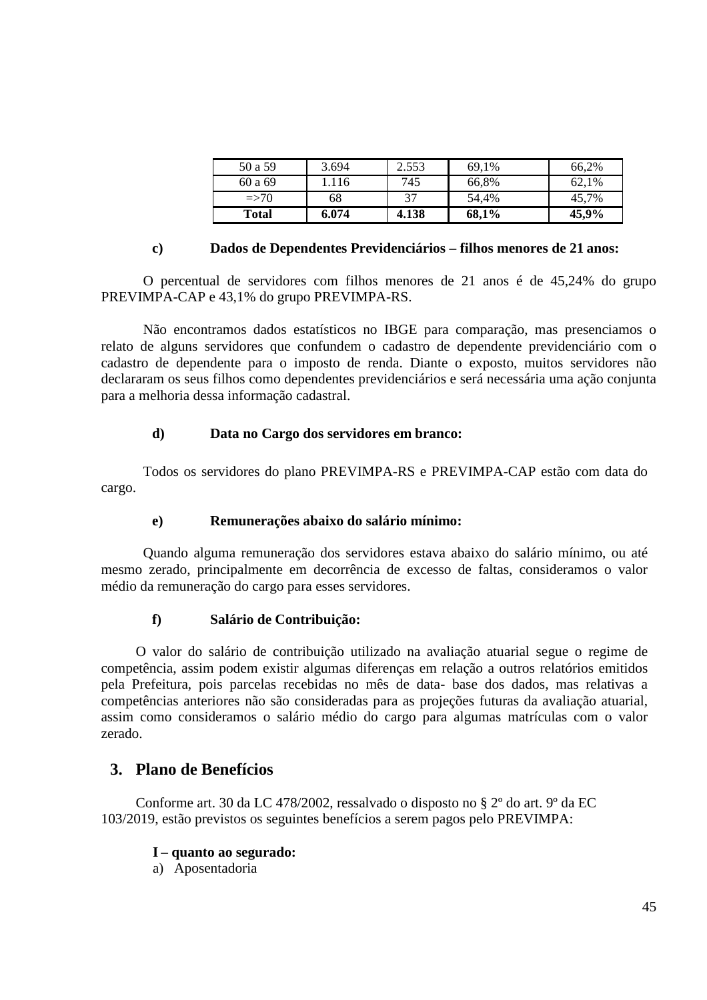| 50 a 59      | 3.694 | 2.553 | 69,1% | 66.2% |
|--------------|-------|-------|-------|-------|
| 60 a 69      | l.116 | 745   | 66,8% | 62,1% |
| $\approx$ 70 | 68    | 37    | 54.4% | 45,7% |
| <b>Total</b> | 6.074 | 4.138 | 68,1% | 45,9% |

#### **c) Dados de Dependentes Previdenciários – filhos menores de 21 anos:**

O percentual de servidores com filhos menores de 21 anos é de 45,24% do grupo PREVIMPA-CAP e 43,1% do grupo PREVIMPA-RS.

Não encontramos dados estatísticos no IBGE para comparação, mas presenciamos o relato de alguns servidores que confundem o cadastro de dependente previdenciário com o cadastro de dependente para o imposto de renda. Diante o exposto, muitos servidores não declararam os seus filhos como dependentes previdenciários e será necessária uma ação conjunta para a melhoria dessa informação cadastral.

#### **d) Data no Cargo dos servidores em branco:**

Todos os servidores do plano PREVIMPA-RS e PREVIMPA-CAP estão com data do cargo.

#### **e) Remunerações abaixo do salário mínimo:**

Quando alguma remuneração dos servidores estava abaixo do salário mínimo, ou até mesmo zerado, principalmente em decorrência de excesso de faltas, consideramos o valor médio da remuneração do cargo para esses servidores.

#### **f) Salário de Contribuição:**

O valor do salário de contribuição utilizado na avaliação atuarial segue o regime de competência, assim podem existir algumas diferenças em relação a outros relatórios emitidos pela Prefeitura, pois parcelas recebidas no mês de data- base dos dados, mas relativas a competências anteriores não são consideradas para as projeções futuras da avaliação atuarial, assim como consideramos o salário médio do cargo para algumas matrículas com o valor zerado.

### **3. Plano de Benefícios**

Conforme art. 30 da LC 478/2002, ressalvado o disposto no § 2º do art. 9º da EC 103/2019, estão previstos os seguintes benefícios a serem pagos pelo PREVIMPA:

#### **I – quanto ao segurado:**

a) Aposentadoria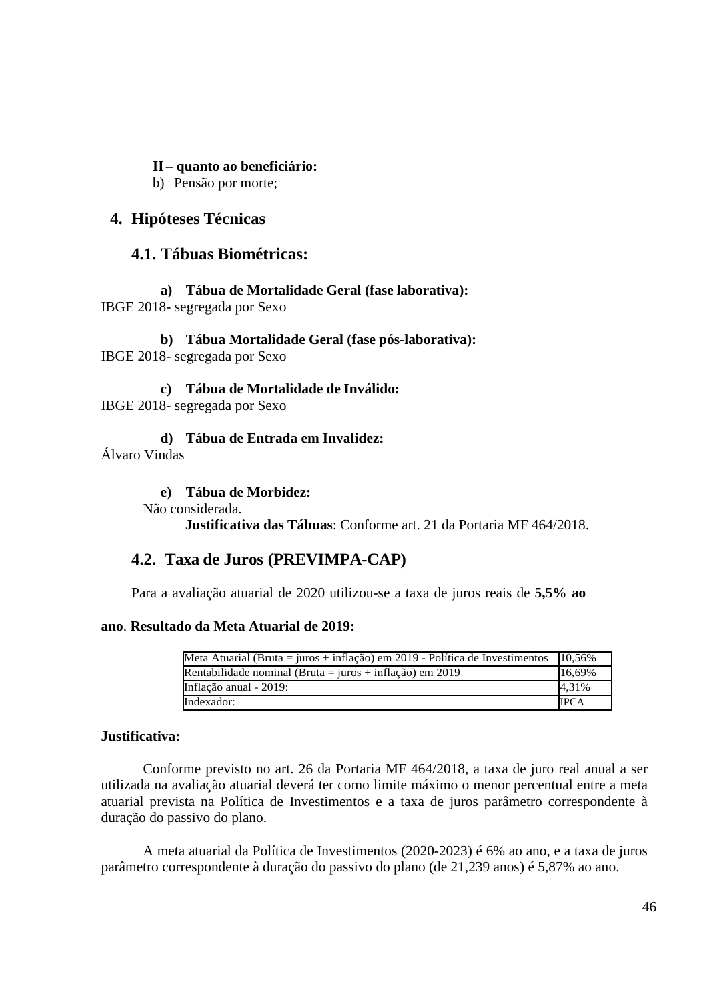### **II – quanto ao beneficiário:**

b) Pensão por morte;

### **4. Hipóteses Técnicas**

### **4.1. Tábuas Biométricas:**

**a) Tábua de Mortalidade Geral (fase laborativa):**  IBGE 2018- segregada por Sexo

**b) Tábua Mortalidade Geral (fase pós-laborativa):**  IBGE 2018- segregada por Sexo

**c) Tábua de Mortalidade de Inválido:**  IBGE 2018- segregada por Sexo

**d) Tábua de Entrada em Invalidez:**  Álvaro Vindas

**e) Tábua de Morbidez:** 

Não considerada.

**Justificativa das Tábuas**: Conforme art. 21 da Portaria MF 464/2018.

## **4.2. Taxa de Juros (PREVIMPA-CAP)**

Para a avaliação atuarial de 2020 utilizou-se a taxa de juros reais de **5,5% ao** 

#### **ano**. **Resultado da Meta Atuarial de 2019:**

| Meta Atuarial (Bruta = juros + inflação) em 2019 - Política de Investimentos | 10.56%      |
|------------------------------------------------------------------------------|-------------|
| Rentabilidade nominal (Bruta = juros + inflação) em 2019                     | 16,69%      |
| Inflação anual - 2019:                                                       | 4,31%       |
| Indexador:                                                                   | <b>IPCA</b> |

#### **Justificativa:**

Conforme previsto no art. 26 da Portaria MF 464/2018, a taxa de juro real anual a ser utilizada na avaliação atuarial deverá ter como limite máximo o menor percentual entre a meta atuarial prevista na Política de Investimentos e a taxa de juros parâmetro correspondente à duração do passivo do plano.

A meta atuarial da Política de Investimentos (2020-2023) é 6% ao ano, e a taxa de juros parâmetro correspondente à duração do passivo do plano (de 21,239 anos) é 5,87% ao ano.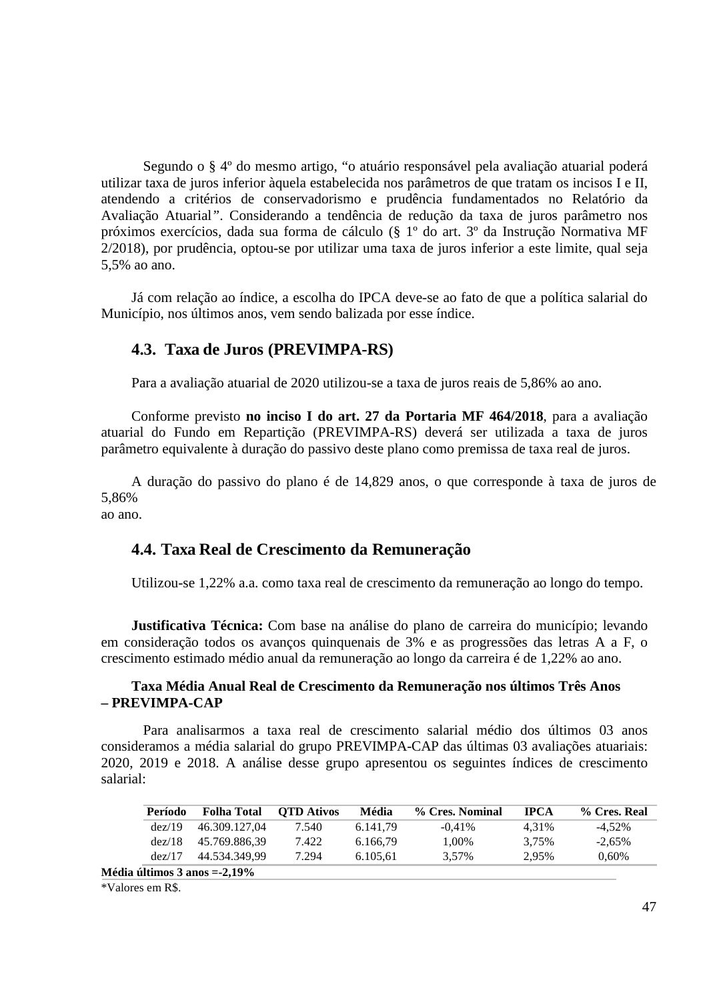Segundo o § 4º do mesmo artigo, "o atuário responsável pela avaliação atuarial poderá utilizar taxa de juros inferior àquela estabelecida nos parâmetros de que tratam os incisos I e II, atendendo a critérios de conservadorismo e prudência fundamentados no Relatório da Avaliação Atuarial*"*. Considerando a tendência de redução da taxa de juros parâmetro nos próximos exercícios, dada sua forma de cálculo (§ 1º do art. 3º da Instrução Normativa MF 2/2018), por prudência, optou-se por utilizar uma taxa de juros inferior a este limite, qual seja 5,5% ao ano.

Já com relação ao índice, a escolha do IPCA deve-se ao fato de que a política salarial do Município, nos últimos anos, vem sendo balizada por esse índice.

### **4.3. Taxa de Juros (PREVIMPA-RS)**

Para a avaliação atuarial de 2020 utilizou-se a taxa de juros reais de 5,86% ao ano.

Conforme previsto **no inciso I do art. 27 da Portaria MF 464/2018**, para a avaliação atuarial do Fundo em Repartição (PREVIMPA-RS) deverá ser utilizada a taxa de juros parâmetro equivalente à duração do passivo deste plano como premissa de taxa real de juros.

A duração do passivo do plano é de 14,829 anos, o que corresponde à taxa de juros de 5,86%

ao ano.

### **4.4. Taxa Real de Crescimento da Remuneração**

Utilizou-se 1,22% a.a. como taxa real de crescimento da remuneração ao longo do tempo.

**Justificativa Técnica:** Com base na análise do plano de carreira do município; levando em consideração todos os avanços quinquenais de 3% e as progressões das letras A a F, o crescimento estimado médio anual da remuneração ao longo da carreira é de 1,22% ao ano.

#### **Taxa Média Anual Real de Crescimento da Remuneração nos últimos Três Anos – PREVIMPA-CAP**

Para analisarmos a taxa real de crescimento salarial médio dos últimos 03 anos consideramos a média salarial do grupo PREVIMPA-CAP das últimas 03 avaliações atuariais: 2020, 2019 e 2018. A análise desse grupo apresentou os seguintes índices de crescimento salarial:

| Período | <b>Folha Total</b>   | <b>OTD</b> Ativos | Média    | % Cres. Nominal | <b>TPCA</b> | % Cres. Real |
|---------|----------------------|-------------------|----------|-----------------|-------------|--------------|
| dez/19  | 46.309.127.04        | 7.540             | 6.141.79 | $-0.41\%$       | 4.31%       | $-4.52\%$    |
| dez/18  | 45.769.886.39        | 7.422             | 6.166.79 | 1.00%           | 3.75%       | $-2.65\%$    |
| dez/17  | 44.534.349.99        | 7.294             | 6.105.61 | 3.57%           | 2.95%       | 0.60%        |
|         | $-214$ $-222$ $-222$ |                   |          |                 |             |              |

**Média últimos 3 anos =-2,19%** 

<sup>\*</sup>Valores em R\$.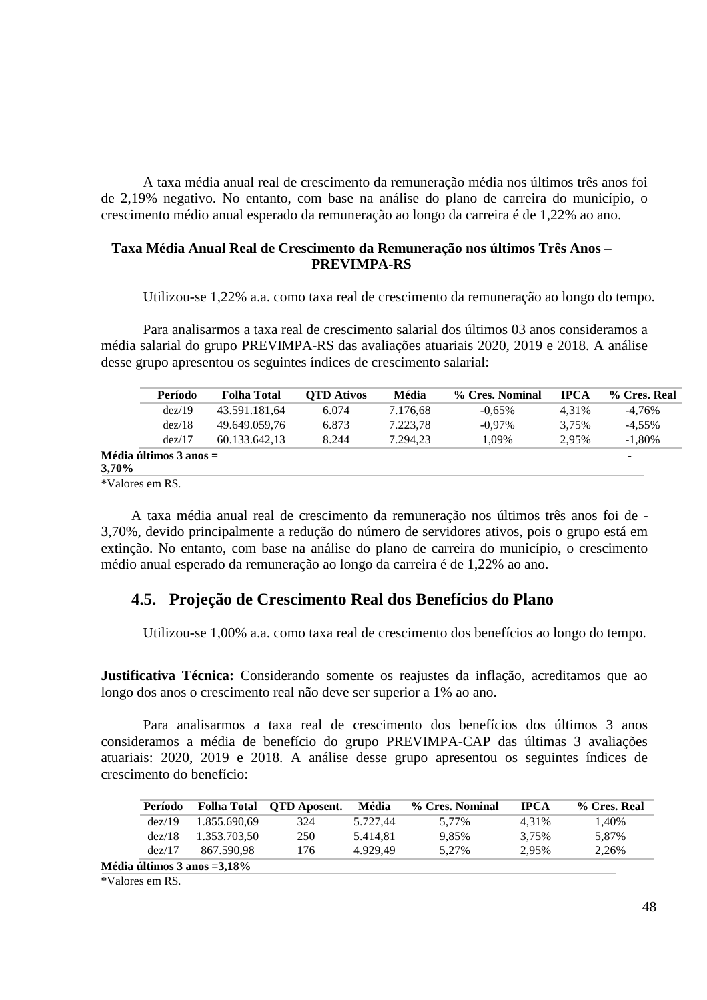A taxa média anual real de crescimento da remuneração média nos últimos três anos foi de 2,19% negativo. No entanto, com base na análise do plano de carreira do município, o crescimento médio anual esperado da remuneração ao longo da carreira é de 1,22% ao ano.

#### **Taxa Média Anual Real de Crescimento da Remuneração nos últimos Três Anos – PREVIMPA-RS**

Utilizou-se 1,22% a.a. como taxa real de crescimento da remuneração ao longo do tempo.

Para analisarmos a taxa real de crescimento salarial dos últimos 03 anos consideramos a média salarial do grupo PREVIMPA-RS das avaliações atuariais 2020, 2019 e 2018. A análise desse grupo apresentou os seguintes índices de crescimento salarial:

|       | Período                          | <b>Folha Total</b> | <b>OTD</b> Ativos | Média    | % Cres. Nominal | <b>IPCA</b> | % Cres. Real |
|-------|----------------------------------|--------------------|-------------------|----------|-----------------|-------------|--------------|
|       | dez/19                           | 43.591.181,64      | 6.074             | 7.176,68 | $-0.65\%$       | 4.31%       | $-4.76\%$    |
|       | dez/18                           | 49.649.059,76      | 6.873             | 7.223.78 | $-0.97\%$       | 3.75%       | $-4.55\%$    |
|       | dez/17                           | 60.133.642.13      | 8.244             | 7.294.23 | 1.09%           | 2.95%       | $-1.80%$     |
| 3,70% | $Média \acute{u}ltimos 3 anos =$ |                    |                   |          |                 |             | ۰            |

\*Valores em R\$.

A taxa média anual real de crescimento da remuneração nos últimos três anos foi de - 3,70%, devido principalmente a redução do número de servidores ativos, pois o grupo está em extinção. No entanto, com base na análise do plano de carreira do município, o crescimento médio anual esperado da remuneração ao longo da carreira é de 1,22% ao ano.

### **4.5. Projeção de Crescimento Real dos Benefícios do Plano**

Utilizou-se 1,00% a.a. como taxa real de crescimento dos benefícios ao longo do tempo.

**Justificativa Técnica:** Considerando somente os reajustes da inflação, acreditamos que ao longo dos anos o crescimento real não deve ser superior a 1% ao ano.

Para analisarmos a taxa real de crescimento dos benefícios dos últimos 3 anos consideramos a média de benefício do grupo PREVIMPA-CAP das últimas 3 avaliações atuariais: 2020, 2019 e 2018. A análise desse grupo apresentou os seguintes índices de crescimento do benefício:

| Período |                                | Folha Total QTD Aposent. | Média    | % Cres. Nominal | <b>IPCA</b> | % Cres. Real |
|---------|--------------------------------|--------------------------|----------|-----------------|-------------|--------------|
| dez/19  | 1.855.690.69                   | 324                      | 5.727.44 | 5.77%           | 4.31%       | 1.40%        |
| dez/18  | 1.353.703,50                   | 250                      | 5.414.81 | 9.85%           | 3.75%       | 5,87%        |
| dez/17  | 867.590.98                     | 176                      | 4.929.49 | 5.27%           | 2.95%       | 2,26%        |
|         | Média últimos 3 anos $=3,18\%$ |                          |          |                 |             |              |

\*Valores em R\$.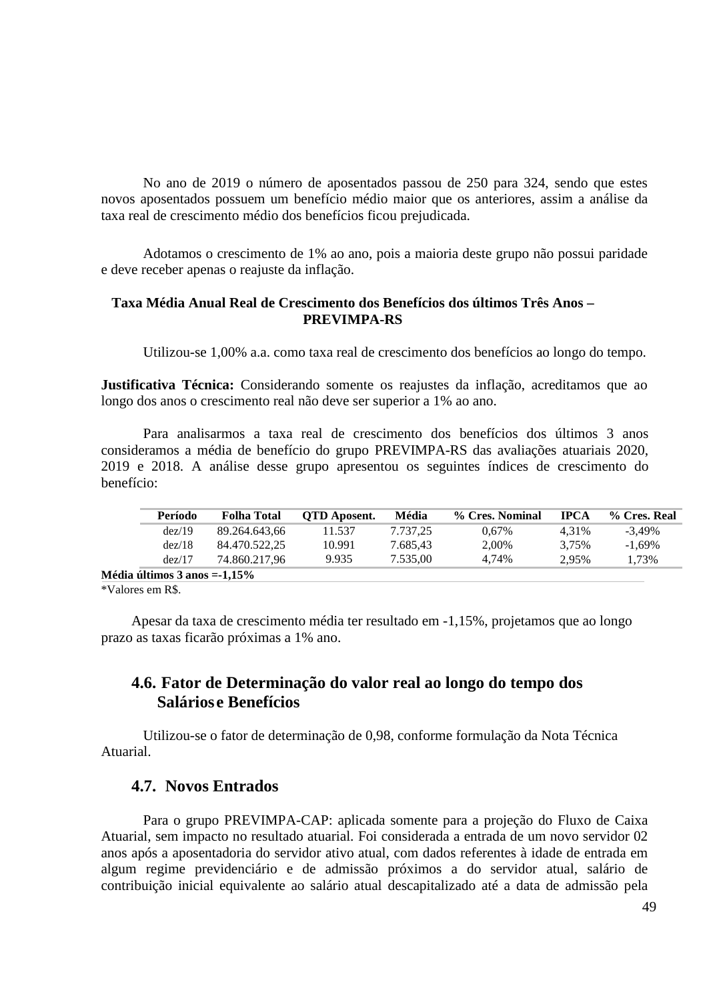No ano de 2019 o número de aposentados passou de 250 para 324, sendo que estes novos aposentados possuem um benefício médio maior que os anteriores, assim a análise da taxa real de crescimento médio dos benefícios ficou prejudicada.

Adotamos o crescimento de 1% ao ano, pois a maioria deste grupo não possui paridade e deve receber apenas o reajuste da inflação.

#### **Taxa Média Anual Real de Crescimento dos Benefícios dos últimos Três Anos – PREVIMPA-RS**

Utilizou-se 1,00% a.a. como taxa real de crescimento dos benefícios ao longo do tempo.

**Justificativa Técnica:** Considerando somente os reajustes da inflação, acreditamos que ao longo dos anos o crescimento real não deve ser superior a 1% ao ano.

Para analisarmos a taxa real de crescimento dos benefícios dos últimos 3 anos consideramos a média de benefício do grupo PREVIMPA-RS das avaliações atuariais 2020, 2019 e 2018. A análise desse grupo apresentou os seguintes índices de crescimento do benefício:

| Período                      | <b>Folha Total</b> | <b>OTD</b> Aposent. | Média    | % Cres. Nominal | <b>IPCA</b> | % Cres. Real |
|------------------------------|--------------------|---------------------|----------|-----------------|-------------|--------------|
| dez/19                       | 89.264.643.66      | 11.537              | 7.737.25 | 0.67%           | 4.31%       | $-3.49\%$    |
| dez/18                       | 84.470.522.25      | 10.991              | 7.685.43 | 2.00%           | 3.75%       | $-1.69\%$    |
| dez/17                       | 74.860.217.96      | 9.935               | 7.535,00 | 4.74%           | 2.95%       | 1.73%        |
| Média últimos 3 anos =-1,15% |                    |                     |          |                 |             |              |

\*Valores em R\$.

Apesar da taxa de crescimento média ter resultado em -1,15%, projetamos que ao longo prazo as taxas ficarão próximas a 1% ano.

### **4.6. Fator de Determinação do valor real ao longo do tempo dos Salários e Benefícios**

Utilizou-se o fator de determinação de 0,98, conforme formulação da Nota Técnica Atuarial.

### **4.7. Novos Entrados**

Para o grupo PREVIMPA-CAP: aplicada somente para a projeção do Fluxo de Caixa Atuarial, sem impacto no resultado atuarial. Foi considerada a entrada de um novo servidor 02 anos após a aposentadoria do servidor ativo atual, com dados referentes à idade de entrada em algum regime previdenciário e de admissão próximos a do servidor atual, salário de contribuição inicial equivalente ao salário atual descapitalizado até a data de admissão pela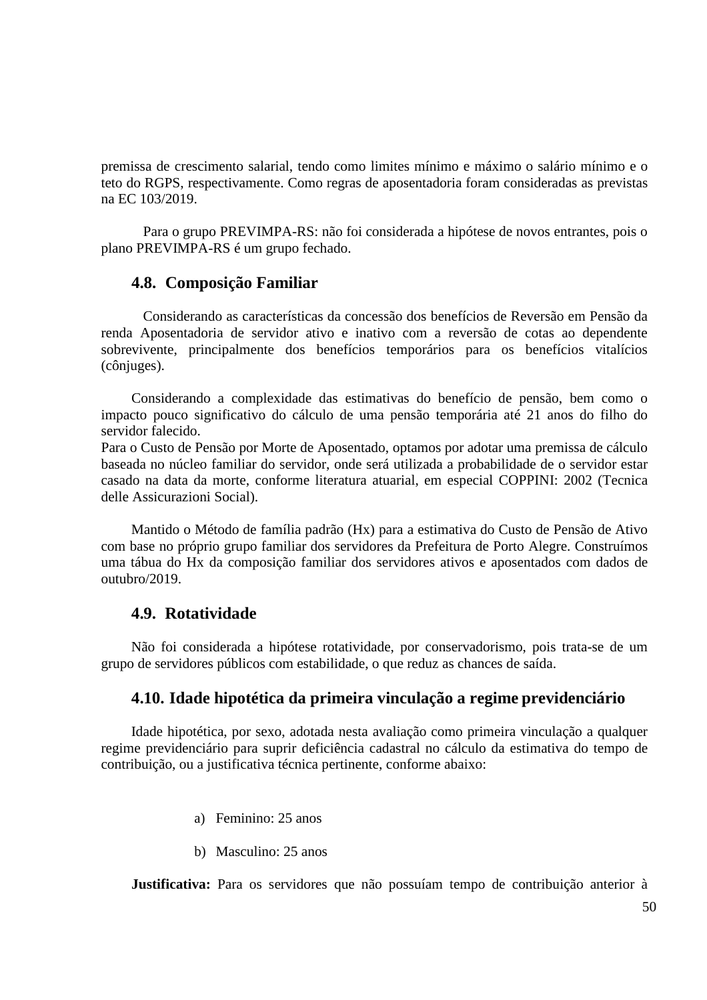premissa de crescimento salarial, tendo como limites mínimo e máximo o salário mínimo e o teto do RGPS, respectivamente. Como regras de aposentadoria foram consideradas as previstas na EC 103/2019.

Para o grupo PREVIMPA-RS: não foi considerada a hipótese de novos entrantes, pois o plano PREVIMPA-RS é um grupo fechado.

### **4.8. Composição Familiar**

Considerando as características da concessão dos benefícios de Reversão em Pensão da renda Aposentadoria de servidor ativo e inativo com a reversão de cotas ao dependente sobrevivente, principalmente dos benefícios temporários para os benefícios vitalícios (cônjuges).

Considerando a complexidade das estimativas do benefício de pensão, bem como o impacto pouco significativo do cálculo de uma pensão temporária até 21 anos do filho do servidor falecido.

Para o Custo de Pensão por Morte de Aposentado, optamos por adotar uma premissa de cálculo baseada no núcleo familiar do servidor, onde será utilizada a probabilidade de o servidor estar casado na data da morte, conforme literatura atuarial, em especial COPPINI: 2002 (Tecnica delle Assicurazioni Social).

Mantido o Método de família padrão (Hx) para a estimativa do Custo de Pensão de Ativo com base no próprio grupo familiar dos servidores da Prefeitura de Porto Alegre. Construímos uma tábua do Hx da composição familiar dos servidores ativos e aposentados com dados de outubro/2019.

### **4.9. Rotatividade**

Não foi considerada a hipótese rotatividade, por conservadorismo, pois trata-se de um grupo de servidores públicos com estabilidade, o que reduz as chances de saída.

#### **4.10. Idade hipotética da primeira vinculação a regime previdenciário**

Idade hipotética, por sexo, adotada nesta avaliação como primeira vinculação a qualquer regime previdenciário para suprir deficiência cadastral no cálculo da estimativa do tempo de contribuição, ou a justificativa técnica pertinente, conforme abaixo:

- a) Feminino: 25 anos
- b) Masculino: 25 anos

**Justificativa:** Para os servidores que não possuíam tempo de contribuição anterior à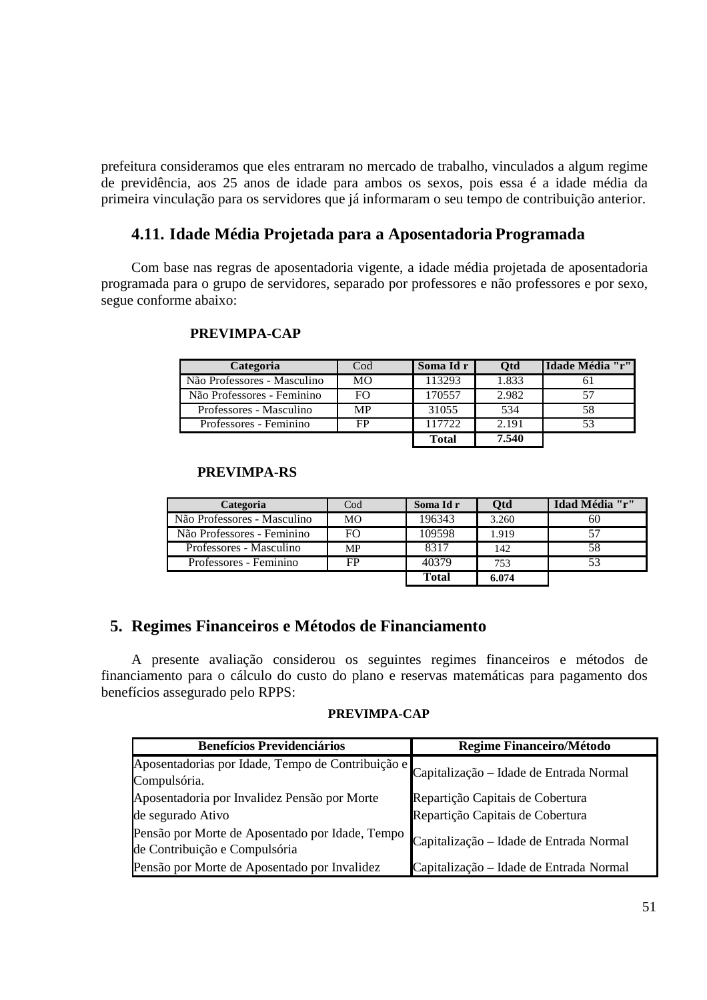prefeitura consideramos que eles entraram no mercado de trabalho, vinculados a algum regime de previdência, aos 25 anos de idade para ambos os sexos, pois essa é a idade média da primeira vinculação para os servidores que já informaram o seu tempo de contribuição anterior.

### **4.11. Idade Média Projetada para a Aposentadoria Programada**

Com base nas regras de aposentadoria vigente, a idade média projetada de aposentadoria programada para o grupo de servidores, separado por professores e não professores e por sexo, segue conforme abaixo:

#### **PREVIMPA-CAP**

| Categoria                   | $\mathrm{Cod}$ | Soma Id r    | Otd   | Idade Média "r" |
|-----------------------------|----------------|--------------|-------|-----------------|
| Não Professores - Masculino | MО             | 113293       | 1.833 |                 |
| Não Professores - Feminino  | <b>FO</b>      | 170557       | 2.982 |                 |
| Professores - Masculino     | <b>MP</b>      | 31055        | 534   | 58              |
| Professores - Feminino      | FP             | 117722       | 2.191 |                 |
|                             |                | <b>Total</b> | 7.540 |                 |

### **PREVIMPA-RS**

| Categoria                   | $\rm{Cod}$ | Soma Id r | Otd   | Idad Média "r" |
|-----------------------------|------------|-----------|-------|----------------|
| Não Professores - Masculino | <b>MO</b>  | 196343    | 3.260 | 60             |
| Não Professores - Feminino  | FΟ         | 109598    | 1.919 |                |
| Professores - Masculino     | MP         | 8317      | 142   | 58             |
| Professores - Feminino      | FP         | 40379     | 753   |                |
|                             |            | Total     | 6.074 |                |

### **5. Regimes Financeiros e Métodos de Financiamento**

A presente avaliação considerou os seguintes regimes financeiros e métodos de financiamento para o cálculo do custo do plano e reservas matemáticas para pagamento dos benefícios assegurado pelo RPPS:

#### **PREVIMPA-CAP**

| <b>Benefícios Previdenciários</b>                                                | Regime Financeiro/Método                |
|----------------------------------------------------------------------------------|-----------------------------------------|
| Aposentadorias por Idade, Tempo de Contribuição e<br>Compulsória.                | Capitalização - Idade de Entrada Normal |
| Aposentadoria por Invalidez Pensão por Morte                                     | Repartição Capitais de Cobertura        |
| de segurado Ativo                                                                | Repartição Capitais de Cobertura        |
| Pensão por Morte de Aposentado por Idade, Tempo<br>de Contribuição e Compulsória | Capitalização - Idade de Entrada Normal |
| Pensão por Morte de Aposentado por Invalidez                                     | Capitalização – Idade de Entrada Normal |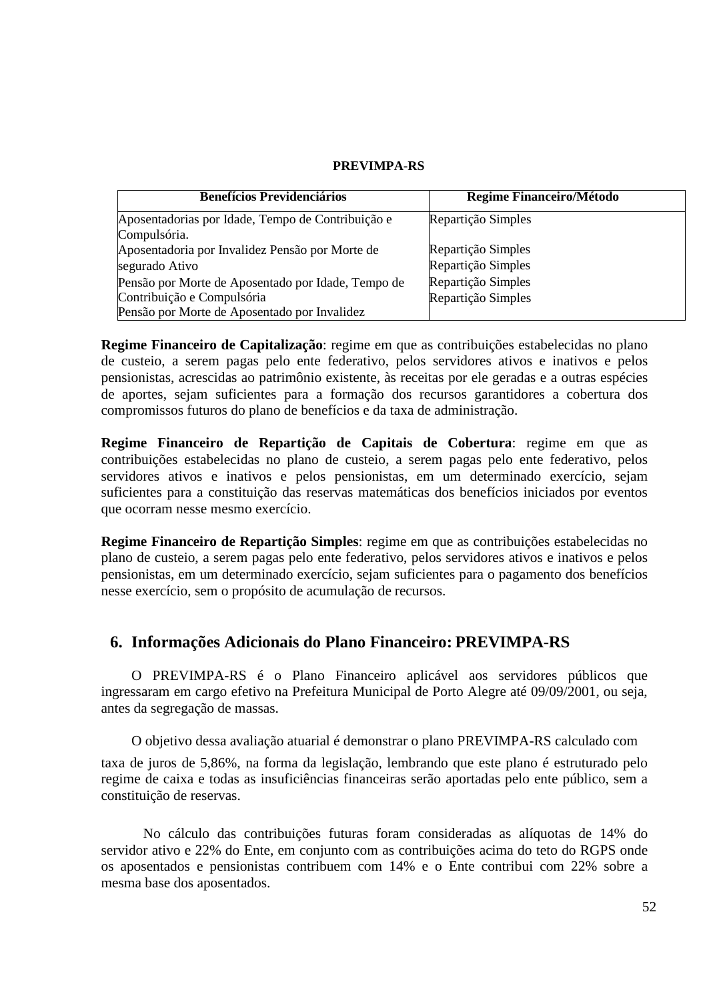#### **PREVIMPA-RS**

| <b>Benefícios Previdenciários</b>                  | Regime Financeiro/Método |
|----------------------------------------------------|--------------------------|
| Aposentadorias por Idade, Tempo de Contribuição e  | Repartição Simples       |
| Compulsória.                                       |                          |
| Aposentadoria por Invalidez Pensão por Morte de    | Repartição Simples       |
| segurado Ativo                                     | Repartição Simples       |
| Pensão por Morte de Aposentado por Idade, Tempo de | Repartição Simples       |
| Contribuição e Compulsória                         | Repartição Simples       |
| Pensão por Morte de Aposentado por Invalidez       |                          |

**Regime Financeiro de Capitalização**: regime em que as contribuições estabelecidas no plano de custeio, a serem pagas pelo ente federativo, pelos servidores ativos e inativos e pelos pensionistas, acrescidas ao patrimônio existente, às receitas por ele geradas e a outras espécies de aportes, sejam suficientes para a formação dos recursos garantidores a cobertura dos compromissos futuros do plano de benefícios e da taxa de administração.

**Regime Financeiro de Repartição de Capitais de Cobertura**: regime em que as contribuições estabelecidas no plano de custeio, a serem pagas pelo ente federativo, pelos servidores ativos e inativos e pelos pensionistas, em um determinado exercício, sejam suficientes para a constituição das reservas matemáticas dos benefícios iniciados por eventos que ocorram nesse mesmo exercício.

**Regime Financeiro de Repartição Simples**: regime em que as contribuições estabelecidas no plano de custeio, a serem pagas pelo ente federativo, pelos servidores ativos e inativos e pelos pensionistas, em um determinado exercício, sejam suficientes para o pagamento dos benefícios nesse exercício, sem o propósito de acumulação de recursos.

### **6. Informações Adicionais do Plano Financeiro: PREVIMPA-RS**

O PREVIMPA-RS é o Plano Financeiro aplicável aos servidores públicos que ingressaram em cargo efetivo na Prefeitura Municipal de Porto Alegre até 09/09/2001, ou seja, antes da segregação de massas.

O objetivo dessa avaliação atuarial é demonstrar o plano PREVIMPA-RS calculado com

taxa de juros de 5,86%, na forma da legislação, lembrando que este plano é estruturado pelo regime de caixa e todas as insuficiências financeiras serão aportadas pelo ente público, sem a constituição de reservas.

No cálculo das contribuições futuras foram consideradas as alíquotas de 14% do servidor ativo e 22% do Ente, em conjunto com as contribuições acima do teto do RGPS onde os aposentados e pensionistas contribuem com 14% e o Ente contribui com 22% sobre a mesma base dos aposentados.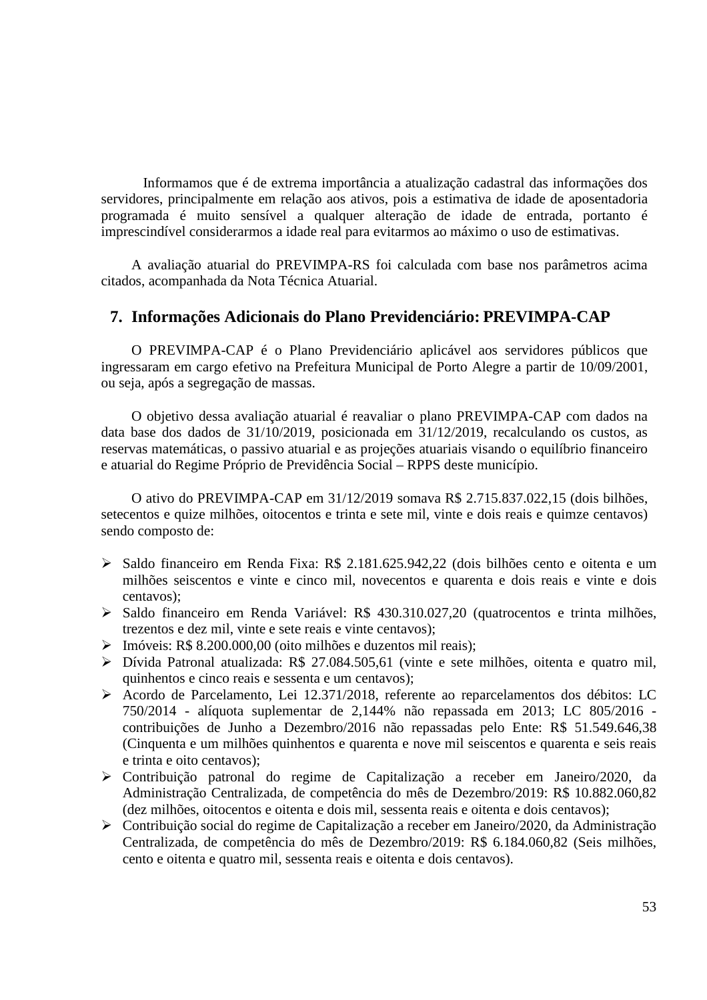Informamos que é de extrema importância a atualização cadastral das informações dos servidores, principalmente em relação aos ativos, pois a estimativa de idade de aposentadoria programada é muito sensível a qualquer alteração de idade de entrada, portanto é imprescindível considerarmos a idade real para evitarmos ao máximo o uso de estimativas.

A avaliação atuarial do PREVIMPA-RS foi calculada com base nos parâmetros acima citados, acompanhada da Nota Técnica Atuarial.

### **7. Informações Adicionais do Plano Previdenciário: PREVIMPA-CAP**

O PREVIMPA-CAP é o Plano Previdenciário aplicável aos servidores públicos que ingressaram em cargo efetivo na Prefeitura Municipal de Porto Alegre a partir de 10/09/2001, ou seja, após a segregação de massas.

O objetivo dessa avaliação atuarial é reavaliar o plano PREVIMPA-CAP com dados na data base dos dados de 31/10/2019, posicionada em 31/12/2019, recalculando os custos, as reservas matemáticas, o passivo atuarial e as projeções atuariais visando o equilíbrio financeiro e atuarial do Regime Próprio de Previdência Social – RPPS deste município.

O ativo do PREVIMPA-CAP em 31/12/2019 somava R\$ 2.715.837.022,15 (dois bilhões, setecentos e quize milhões, oitocentos e trinta e sete mil, vinte e dois reais e quimze centavos) sendo composto de:

- Saldo financeiro em Renda Fixa: R\$ 2.181.625.942,22 (dois bilhões cento e oitenta e um milhões seiscentos e vinte e cinco mil, novecentos e quarenta e dois reais e vinte e dois centavos);
- Saldo financeiro em Renda Variável: R\$ 430.310.027,20 (quatrocentos e trinta milhões, trezentos e dez mil, vinte e sete reais e vinte centavos);
- $\triangleright$  Imóveis: R\$ 8.200,000,00 (oito milhões e duzentos mil reais):
- Dívida Patronal atualizada: R\$ 27.084.505,61 (vinte e sete milhões, oitenta e quatro mil, quinhentos e cinco reais e sessenta e um centavos);
- Acordo de Parcelamento, Lei 12.371/2018, referente ao reparcelamentos dos débitos: LC 750/2014 - alíquota suplementar de 2,144% não repassada em 2013; LC 805/2016 contribuições de Junho a Dezembro/2016 não repassadas pelo Ente: R\$ 51.549.646,38 (Cinquenta e um milhões quinhentos e quarenta e nove mil seiscentos e quarenta e seis reais e trinta e oito centavos);
- Contribuição patronal do regime de Capitalização a receber em Janeiro/2020, da Administração Centralizada, de competência do mês de Dezembro/2019: R\$ 10.882.060,82 (dez milhões, oitocentos e oitenta e dois mil, sessenta reais e oitenta e dois centavos);
- Contribuição social do regime de Capitalização a receber em Janeiro/2020, da Administração Centralizada, de competência do mês de Dezembro/2019: R\$ 6.184.060,82 (Seis milhões, cento e oitenta e quatro mil, sessenta reais e oitenta e dois centavos).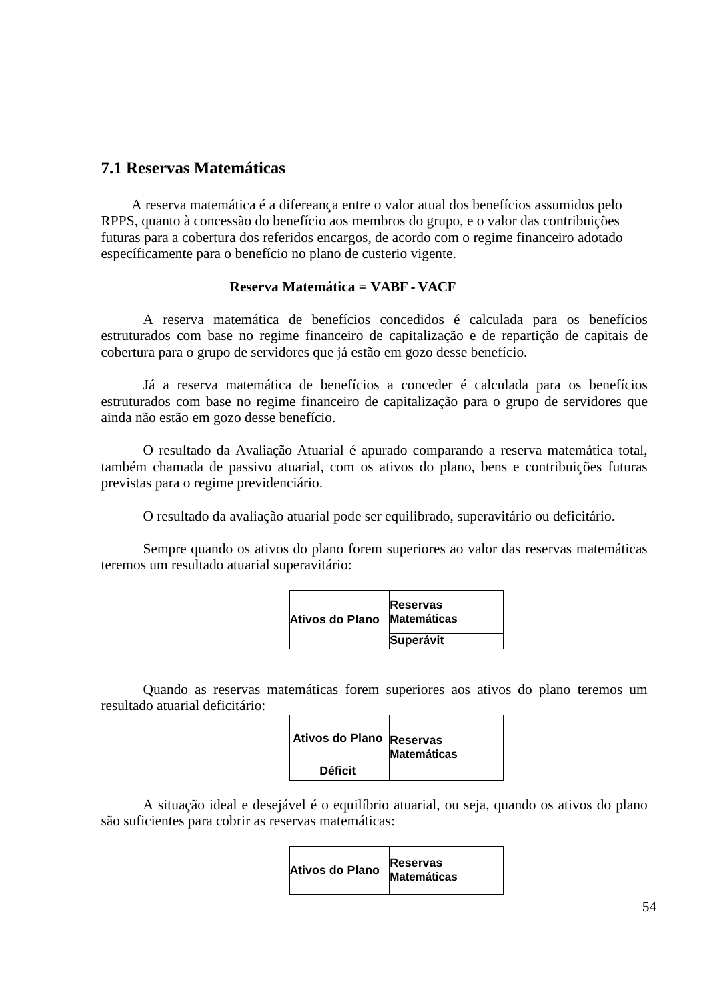### **7.1 Reservas Matemáticas**

A reserva matemática é a difereança entre o valor atual dos benefícios assumidos pelo RPPS, quanto à concessão do benefício aos membros do grupo, e o valor das contribuições futuras para a cobertura dos referidos encargos, de acordo com o regime financeiro adotado específicamente para o benefício no plano de custerio vigente.

#### **Reserva Matemática = VABF - VACF**

A reserva matemática de benefícios concedidos é calculada para os benefícios estruturados com base no regime financeiro de capitalização e de repartição de capitais de cobertura para o grupo de servidores que já estão em gozo desse benefício.

Já a reserva matemática de benefícios a conceder é calculada para os benefícios estruturados com base no regime financeiro de capitalização para o grupo de servidores que ainda não estão em gozo desse benefício.

O resultado da Avaliação Atuarial é apurado comparando a reserva matemática total, também chamada de passivo atuarial, com os ativos do plano, bens e contribuições futuras previstas para o regime previdenciário.

O resultado da avaliação atuarial pode ser equilibrado, superavitário ou deficitário.

Sempre quando os ativos do plano forem superiores ao valor das reservas matemáticas teremos um resultado atuarial superavitário:

| Ativos do Plano | <b>Reservas</b><br><b>Matemáticas</b> |
|-----------------|---------------------------------------|
|                 | <b>Superávit</b>                      |

Quando as reservas matemáticas forem superiores aos ativos do plano teremos um resultado atuarial deficitário:

| Ativos do Plano Reservas | <b>Matemáticas</b> |
|--------------------------|--------------------|
| <b>Déficit</b>           |                    |

A situação ideal e desejável é o equilíbrio atuarial, ou seja, quando os ativos do plano são suficientes para cobrir as reservas matemáticas:

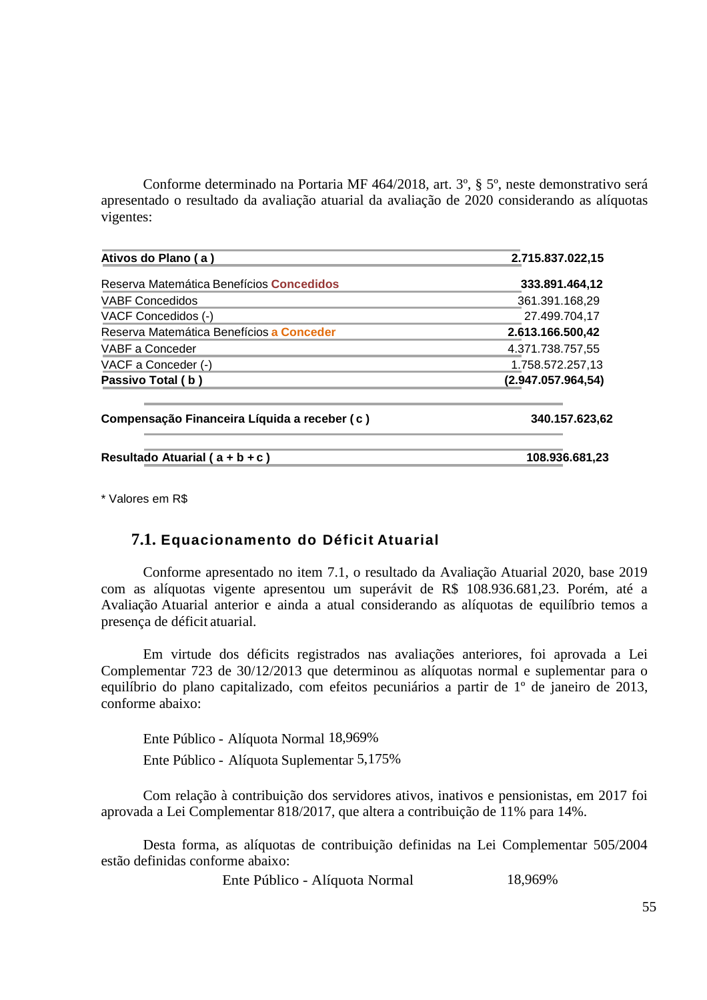Conforme determinado na Portaria MF 464/2018, art. 3º, § 5º, neste demonstrativo será apresentado o resultado da avaliação atuarial da avaliação de 2020 considerando as alíquotas vigentes:

| Ativos do Plano (a)                          | 2.715.837.022,15   |
|----------------------------------------------|--------------------|
| Reserva Matemática Benefícios Concedidos     | 333.891.464,12     |
| <b>VABF Concedidos</b>                       | 361.391.168,29     |
| VACF Concedidos (-)                          | 27.499.704.17      |
| Reserva Matemática Benefícios a Conceder     | 2.613.166.500,42   |
| VABF a Conceder                              | 4.371.738.757,55   |
| VACF a Conceder (-)                          | 1.758.572.257,13   |
| Passivo Total (b)                            | (2.947.057.964.54) |
| Compensação Financeira Líquida a receber (c) | 340.157.623,62     |
| Resultado Atuarial ( $a + b + c$ )           | 108.936.681,23     |

\* Valores em R\$

### **7.1. Equacionamento do Déficit Atuarial**

Conforme apresentado no item 7.1, o resultado da Avaliação Atuarial 2020, base 2019 com as alíquotas vigente apresentou um superávit de R\$ 108.936.681,23. Porém, até a Avaliação Atuarial anterior e ainda a atual considerando as alíquotas de equilíbrio temos a presença de déficit atuarial.

Em virtude dos déficits registrados nas avaliações anteriores, foi aprovada a Lei Complementar 723 de 30/12/2013 que determinou as alíquotas normal e suplementar para o equilíbrio do plano capitalizado, com efeitos pecuniários a partir de 1º de janeiro de 2013, conforme abaixo:

Ente Público - Alíquota Normal 18,969% Ente Público - Alíquota Suplementar 5,175%

Com relação à contribuição dos servidores ativos, inativos e pensionistas, em 2017 foi aprovada a Lei Complementar 818/2017, que altera a contribuição de 11% para 14%.

Desta forma, as alíquotas de contribuição definidas na Lei Complementar 505/2004 estão definidas conforme abaixo:

Ente Público - Alíquota Normal 18,969%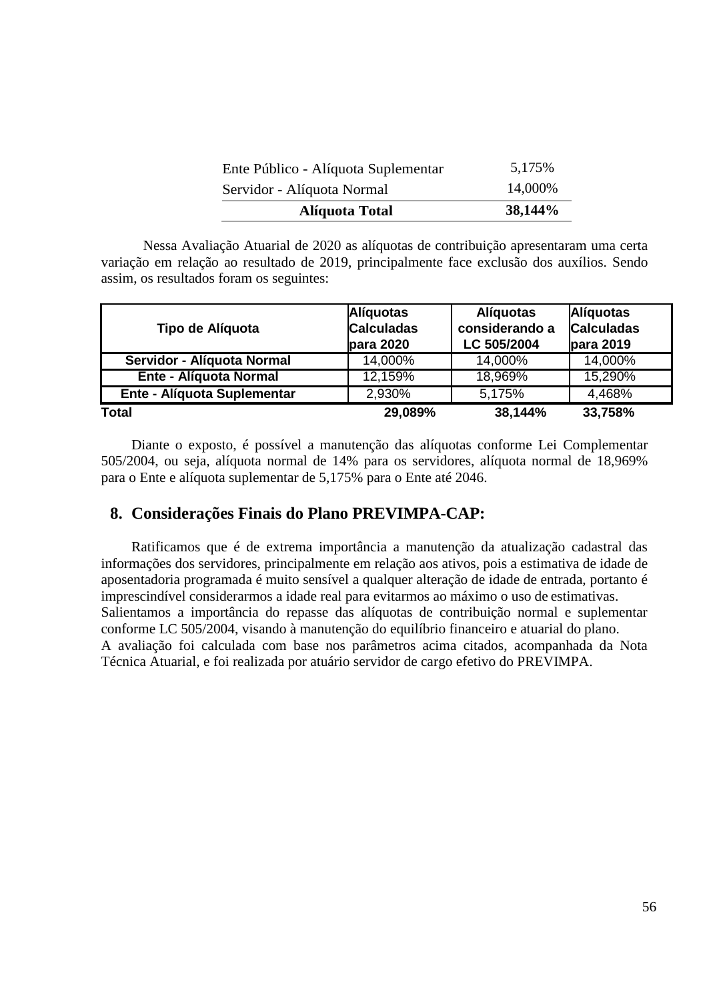| <b>Alíquota Total</b>               | 38,144% |
|-------------------------------------|---------|
| Servidor - Alíquota Normal          | 14,000% |
| Ente Público - Alíquota Suplementar | 5,175%  |

Nessa Avaliação Atuarial de 2020 as alíquotas de contribuição apresentaram uma certa variação em relação ao resultado de 2019, principalmente face exclusão dos auxílios. Sendo assim, os resultados foram os seguintes:

| Tipo de Alíquota              | <b>Alíquotas</b><br><b>Calculadas</b><br>para 2020 | <b>Alíquotas</b><br>considerando a<br>LC 505/2004 | <b>Alíquotas</b><br><b>Calculadas</b><br>para 2019 |
|-------------------------------|----------------------------------------------------|---------------------------------------------------|----------------------------------------------------|
| Servidor - Alíquota Normal    | 14,000%                                            | 14,000%                                           | 14,000%                                            |
| <b>Ente - Alíquota Normal</b> | 12,159%                                            | 18,969%                                           | 15,290%                                            |
| Ente - Alíquota Suplementar   | 2,930%                                             | 5,175%                                            | 4,468%                                             |
| <b>Total</b>                  | 29,089%                                            | 38,144%                                           | 33,758%                                            |

Diante o exposto, é possível a manutenção das alíquotas conforme Lei Complementar 505/2004, ou seja, alíquota normal de 14% para os servidores, alíquota normal de 18,969% para o Ente e alíquota suplementar de 5,175% para o Ente até 2046.

### **8. Considerações Finais do Plano PREVIMPA-CAP:**

Ratificamos que é de extrema importância a manutenção da atualização cadastral das informações dos servidores, principalmente em relação aos ativos, pois a estimativa de idade de aposentadoria programada é muito sensível a qualquer alteração de idade de entrada, portanto é imprescindível considerarmos a idade real para evitarmos ao máximo o uso de estimativas. Salientamos a importância do repasse das alíquotas de contribuição normal e suplementar conforme LC 505/2004, visando à manutenção do equilíbrio financeiro e atuarial do plano. A avaliação foi calculada com base nos parâmetros acima citados, acompanhada da Nota Técnica Atuarial, e foi realizada por atuário servidor de cargo efetivo do PREVIMPA.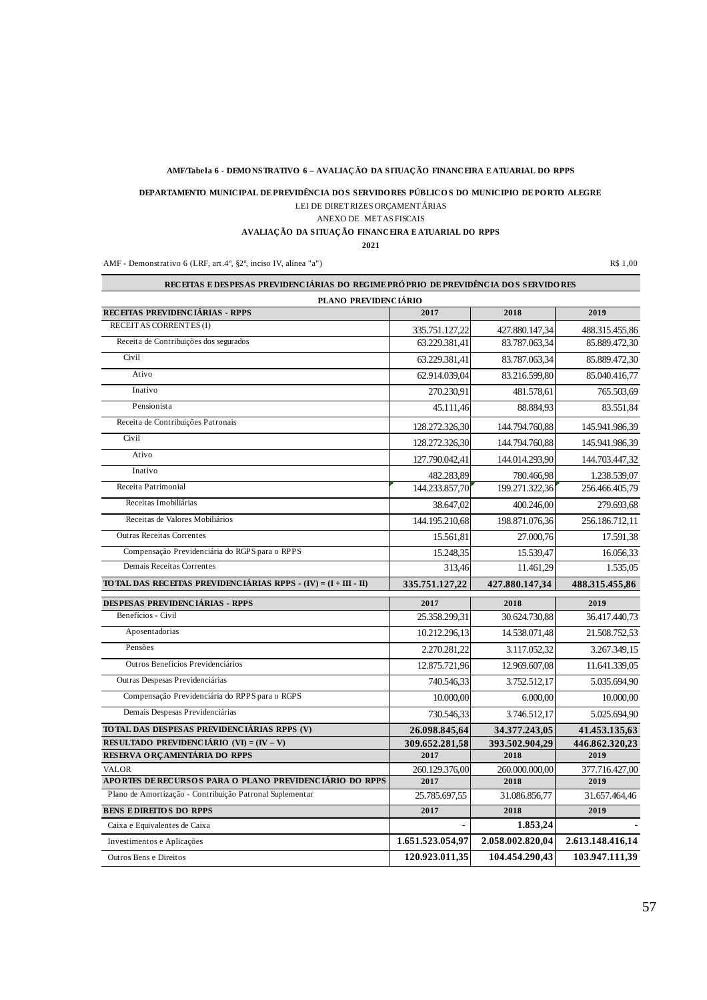#### **AMF/Tabela 6 - DEMO NSTRATIVO 6 – AVALIAÇÃO DA SITUAÇÃO FINANCEIRA E ATUARIAL DO RPPS**

LEI DE DIRETRIZES ORÇAMENTÁRIAS **DEPARTAMENTO MUNICIPAL DE PREVIDÊNCIA DO S SERVIDO RES PÚBLICO S DO MUNICIPIO DE PO RTO ALEGRE** 

#### ANEXO DE METAS FISCAIS

**AVALIAÇÃO DA SITUAÇÃO FINANCEIRA E ATUARIAL DO RPPS**

T.

**2021**

AMF - Demonstrativo 6 (LRF, art.4°, §2°, inciso IV, alínea "a") R\$ 1,00

| PLANO PREVIDENCIARIO                                                                      |                        |                        |                        |
|-------------------------------------------------------------------------------------------|------------------------|------------------------|------------------------|
| RECEITAS PREVIDENCIÁRIAS - RPPS                                                           | 2017                   | 2018                   | 2019                   |
| RECEIT AS CORRENTES (I)                                                                   | 335.751.127,22         | 427.880.147,34         | 488.315.455,86         |
| Receita de Contribuições dos segurados                                                    | 63.229.381,41          | 83.787.063,34          | 85.889.472,30          |
| Civil                                                                                     | 63.229.381,41          | 83.787.063,34          | 85.889.472,30          |
| Ativo                                                                                     | 62.914.039,04          | 83.216.599,80          | 85.040.416,77          |
| Inativo                                                                                   | 270.230,91             | 481.578,61             | 765.503,69             |
| Pensionista                                                                               | 45.111,46              | 88.884,93              | 83.551,84              |
| Receita de Contribuições Patronais                                                        | 128.272.326,30         | 144.794.760,88         | 145.941.986,39         |
| Civil                                                                                     | 128.272.326,30         | 144.794.760,88         | 145.941.986,39         |
| Ativo                                                                                     | 127.790.042,41         | 144.014.293,90         | 144.703.447,32         |
| Inativo                                                                                   | 482.283,89             | 780.466,98             | 1.238.539,07           |
| Receita Patrimonial                                                                       | 144.233.857,70         | 199.271.322,36         | 256.466.405,79         |
| Receitas Imobiliárias                                                                     | 38.647,02              | 400.246,00             | 279.693,68             |
| Receitas de Valores Mobiliários                                                           | 144.195.210.68         | 198.871.076.36         | 256.186.712.11         |
| <b>Outras Receitas Correntes</b>                                                          | 15.561.81              | 27.000,76              | 17.591,38              |
| Compensação Previdenciária do RGPS para o RPPS                                            | 15.248.35              | 15.539,47              | 16.056,33              |
| Demais Receitas Correntes                                                                 | 313.46                 | 11.461,29              | 1.535,05               |
| TO TAL DAS RECEITAS PREVIDENCIÁRIAS RPPS - $(IV) = (I + III - II)$                        | 335.751.127,22         | 427.880.147,34         | 488.315.455,86         |
| <b>DESPESAS PREVIDENCIÁRIAS - RPPS</b>                                                    | 2017                   | 2018                   | 2019                   |
| Benefícios - Civil                                                                        | 25.358.299,31          | 30.624.730,88          | 36.417.440,73          |
| Aposentadorias                                                                            |                        |                        |                        |
|                                                                                           | 10.212.296,13          | 14.538.071,48          | 21.508.752,53          |
| Pensões                                                                                   | 2.270.281,22           | 3.117.052,32           | 3.267.349,15           |
| Outros Benefícios Previdenciários                                                         | 12.875.721,96          | 12.969.607,08          | 11.641.339,05          |
| Outras Despesas Previdenciárias                                                           | 740.546,33             | 3.752.512,17           | 5.035.694,90           |
| Compensação Previdenciária do RPPS para o RGPS                                            | 10.000,00              | 6.000,00               | 10.000,00              |
| Demais Despesas Previdenciárias                                                           | 730.546,33             | 3.746.512,17           | 5.025.694,90           |
|                                                                                           |                        |                        |                        |
| TO TAL DAS DESPESAS PREVIDENCIÁRIAS RPPS (V)<br>RESULTADO PREVIDENCIÁRIO (VI) = $(V - V)$ | 26.098.845,64          | 34.377.243,05          | 41.453.135,63          |
| RESERVA ORÇAMENTÁRIA DO RPPS                                                              | 309.652.281,58<br>2017 | 393.502.904,29<br>2018 | 446.862.320,23<br>2019 |
| <b>VALOR</b>                                                                              | 260.129.376,00         | 260.000.000,00         | 377.716.427,00         |
| APORTES DE RECURSOS PARA O PLANO PREVIDENCIÁRIO DO RPPS                                   | 2017                   | 2018                   | 2019                   |
| Plano de Amortização - Contribuição Patronal Suplementar                                  | 25.785.697,55          | 31.086.856,77          | 31.657.464,46          |
| <b>BENS EDIREITOS DO RPPS</b>                                                             | 2017                   | 2018                   | 2019                   |
| Caixa e Equivalentes de Caixa                                                             |                        | 1.853,24               |                        |
| Investimentos e Aplicações                                                                | 1.651.523.054,97       | 2.058.002.820,04       | 2.613.148.416,14       |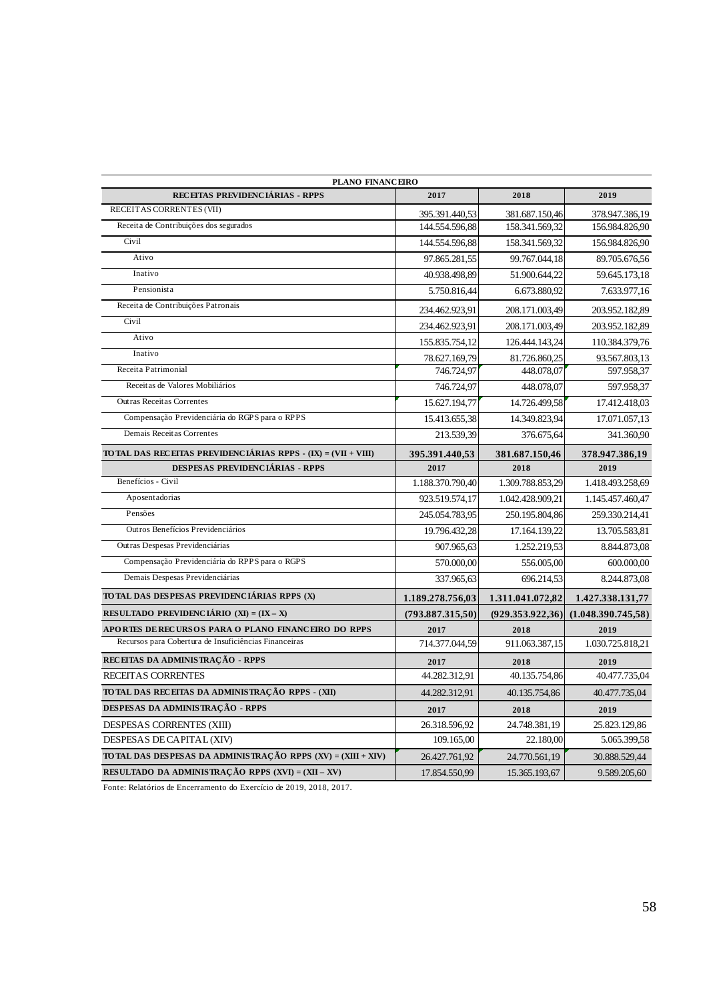| PLANO FINANCEIRO                                                |                  |                  |                    |  |  |
|-----------------------------------------------------------------|------------------|------------------|--------------------|--|--|
| RECEITAS PREVIDENCIÁRIAS - RPPS                                 | 2017             | 2018             | 2019               |  |  |
| RECEITAS CORRENTES (VII)                                        | 395.391.440,53   | 381.687.150,46   | 378.947.386,19     |  |  |
| Receita de Contribuições dos segurados                          | 144.554.596,88   | 158.341.569,32   | 156.984.826,90     |  |  |
| Civil                                                           | 144.554.596,88   | 158.341.569,32   | 156.984.826,90     |  |  |
| Ativo                                                           | 97.865.281,55    | 99.767.044,18    | 89.705.676,56      |  |  |
| Inativo                                                         | 40.938.498,89    | 51.900.644,22    | 59.645.173,18      |  |  |
| Pensionista                                                     | 5.750.816.44     | 6.673.880.92     | 7.633.977,16       |  |  |
| Receita de Contribuições Patronais                              | 234.462.923,91   | 208.171.003,49   | 203.952.182,89     |  |  |
| Civil                                                           | 234.462.923,91   | 208.171.003,49   | 203.952.182,89     |  |  |
| Ativo                                                           | 155.835.754,12   | 126.444.143,24   | 110.384.379,76     |  |  |
| Inativo                                                         | 78.627.169,79    | 81.726.860,25    | 93.567.803,13      |  |  |
| Receita Patrimonial                                             | 746.724,97       | 448.078,07       | 597.958,37         |  |  |
| Receitas de Valores Mobiliários                                 | 746.724.97       | 448.078,07       | 597.958,37         |  |  |
| <b>Outras Receitas Correntes</b>                                | 15.627.194,77    | 14.726.499,58    | 17.412.418,03      |  |  |
| Compensação Previdenciária do RGPS para o RPPS                  | 15.413.655,38    | 14.349.823,94    | 17.071.057,13      |  |  |
| Demais Receitas Correntes                                       | 213.539,39       | 376.675,64       | 341.360,90         |  |  |
| TO TAL DAS RECEITAS PREVIDENCIÁRIAS RPPS - (IX) = (VII + VIII)  | 395.391.440,53   | 381.687.150,46   | 378.947.386,19     |  |  |
| <b>DESPESAS PREVIDENCIÁRIAS - RPPS</b>                          | 2017             | 2018             | 2019               |  |  |
| Benefícios - Civil                                              | 1.188.370.790,40 | 1.309.788.853,29 | 1.418.493.258,69   |  |  |
| Aposentadorias                                                  | 923.519.574,17   | 1.042.428.909,21 | 1.145.457.460,47   |  |  |
| Pensões                                                         | 245.054.783,95   | 250.195.804,86   | 259.330.214,41     |  |  |
| Outros Benefícios Previdenciários                               | 19.796.432,28    | 17.164.139,22    | 13.705.583,81      |  |  |
| Outras Despesas Previdenciárias                                 | 907.965.63       | 1.252.219,53     | 8.844.873,08       |  |  |
| Compensação Previdenciária do RPPS para o RGPS                  | 570.000,00       | 556.005,00       | 600.000,00         |  |  |
| Demais Despesas Previdenciárias                                 | 337.965,63       | 696.214,53       | 8.244.873,08       |  |  |
| TO TAL DAS DESPESAS PREVIDENCIÁRIAS RPPS (X)                    | 1.189.278.756,03 | 1.311.041.072,82 | 1.427.338.131,77   |  |  |
| RESULTADO PREVIDENCIÁRIO (XI) = $(IX - X)$                      | (793.887.315,50) | (929.353.922.36) | (1.048.390.745.58) |  |  |
| APORTES DE RECURSOS PARA O PLANO FINANCEIRO DO RPPS             | 2017             | 2018             | 2019               |  |  |
| Recursos para Cobertura de Insuficiências Financeiras           | 714.377.044,59   | 911.063.387,15   | 1.030.725.818,21   |  |  |
| RECEITAS DA ADMINISTRAÇÃO - RPPS                                | 2017             | 2018             | 2019               |  |  |
| RECEITAS CORRENTES                                              | 44.282.312,91    | 40.135.754,86    | 40.477.735,04      |  |  |
| TO TAL DAS RECEITAS DA ADMINISTRAÇÃO RPPS - (XII)               | 44.282.312.91    | 40.135.754.86    | 40.477.735,04      |  |  |
| DESPESAS DA ADMINISTRAÇÃO - RPPS                                | 2017             | 2018             | 2019               |  |  |
| DESPESAS CORRENTES (XIII)                                       | 26.318.596,92    | 24.748.381,19    | 25.823.129,86      |  |  |
| DESPESAS DE CAPITAL (XIV)                                       | 109.165,00       | 22.180,00        | 5.065.399,58       |  |  |
| TO TAL DAS DESPESAS DA ADMINISTRAÇÃO RPPS $(XV) = (XIII + XIV)$ | 26.427.761,92    | 24.770.561,19    | 30.888.529,44      |  |  |
| RESULTADO DA ADMINISTRAÇÃO RPPS (XVI) = (XII – XV)              | 17.854.550,99    | 15.365.193,67    | 9.589.205,60       |  |  |
|                                                                 |                  |                  |                    |  |  |

Fonte: Relatórios de Encerramento do Exercício de 2019, 2018, 2017.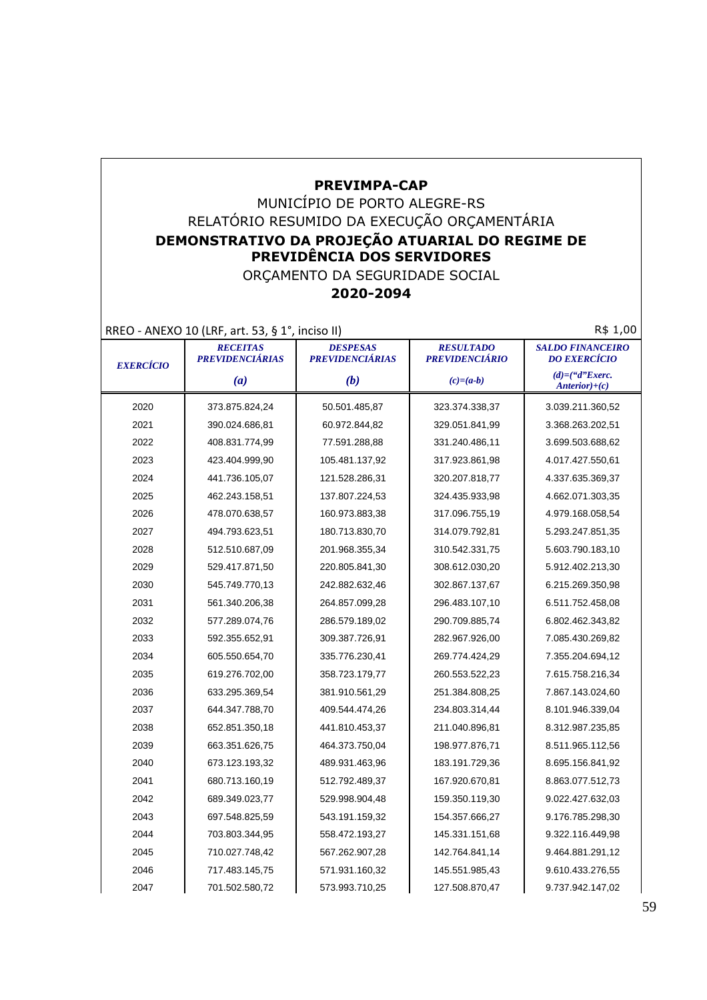### **PREVIMPA-CAP**

## MUNICÍPIO DE PORTO ALEGRE-RS RELATÓRIO RESUMIDO DA EXECUÇÃO ORÇAMENTÁRIA **DEMONSTRATIVO DA PROJEÇÃO ATUARIAL DO REGIME DE PREVIDÊNCIA DOS SERVIDORES**

#### ORÇAMENTO DA SEGURIDADE SOCIAL **2020-2094**

RREO - ANEXO 10 (LRF, art. 53, § 1°, inciso II) RREO - ANEXO 10 (LRF, art. 53, § 1°, inciso II)

| <b>EXERCÍCIO</b> | <b>RECEITAS</b><br><b>PREVIDENCIÁRIAS</b> | <b>DESPESAS</b><br><b>PREVIDENCIÁRIAS</b> | <b>RESULTADO</b><br><b>PREVIDENCIÁRIO</b> | <b>SALDO FINANCEIRO</b><br><b>DO EXERCÍCIO</b> |
|------------------|-------------------------------------------|-------------------------------------------|-------------------------------------------|------------------------------------------------|
|                  | (a)                                       | (b)                                       | $(c)=(a-b)$                               | $(d)=(``d"Exercise$<br>$Anterior)+(c)$         |
| 2020             | 373.875.824,24                            | 50.501.485,87                             | 323.374.338,37                            | 3.039.211.360,52                               |
| 2021             | 390.024.686,81                            | 60.972.844,82                             | 329.051.841,99                            | 3.368.263.202,51                               |
| 2022             | 408.831.774,99                            | 77.591.288,88                             | 331.240.486,11                            | 3.699.503.688,62                               |
| 2023             | 423.404.999,90                            | 105.481.137,92                            | 317.923.861,98                            | 4.017.427.550,61                               |
| 2024             | 441.736.105,07                            | 121.528.286,31                            | 320.207.818,77                            | 4.337.635.369,37                               |
| 2025             | 462.243.158,51                            | 137.807.224,53                            | 324.435.933,98                            | 4.662.071.303,35                               |
| 2026             | 478.070.638,57                            | 160.973.883,38                            | 317.096.755,19                            | 4.979.168.058,54                               |
| 2027             | 494.793.623,51                            | 180.713.830,70                            | 314.079.792,81                            | 5.293.247.851,35                               |
| 2028             | 512.510.687,09                            | 201.968.355,34                            | 310.542.331,75                            | 5.603.790.183,10                               |
| 2029             | 529.417.871,50                            | 220.805.841,30                            | 308.612.030,20                            | 5.912.402.213,30                               |
| 2030             | 545.749.770,13                            | 242.882.632,46                            | 302.867.137,67                            | 6.215.269.350,98                               |
| 2031             | 561.340.206,38                            | 264.857.099,28                            | 296.483.107,10                            | 6.511.752.458,08                               |
| 2032             | 577.289.074,76                            | 286.579.189,02                            | 290.709.885,74                            | 6.802.462.343,82                               |
| 2033             | 592.355.652,91                            | 309.387.726,91                            | 282.967.926,00                            | 7.085.430.269,82                               |
| 2034             | 605.550.654,70                            | 335.776.230,41                            | 269.774.424,29                            | 7.355.204.694,12                               |
| 2035             | 619.276.702,00                            | 358.723.179,77                            | 260.553.522,23                            | 7.615.758.216,34                               |
| 2036             | 633.295.369,54                            | 381.910.561,29                            | 251.384.808,25                            | 7.867.143.024,60                               |
| 2037             | 644.347.788,70                            | 409.544.474,26                            | 234.803.314,44                            | 8.101.946.339,04                               |
| 2038             | 652.851.350,18                            | 441.810.453,37                            | 211.040.896,81                            | 8.312.987.235,85                               |
| 2039             | 663.351.626,75                            | 464.373.750,04                            | 198.977.876,71                            | 8.511.965.112,56                               |
| 2040             | 673.123.193,32                            | 489.931.463,96                            | 183.191.729,36                            | 8.695.156.841,92                               |
| 2041             | 680.713.160,19                            | 512.792.489,37                            | 167.920.670,81                            | 8.863.077.512,73                               |
| 2042             | 689.349.023,77                            | 529.998.904,48                            | 159.350.119,30                            | 9.022.427.632,03                               |
| 2043             | 697.548.825,59                            | 543.191.159,32                            | 154.357.666,27                            | 9.176.785.298,30                               |
| 2044             | 703.803.344,95                            | 558.472.193,27                            | 145.331.151,68                            | 9.322.116.449,98                               |
| 2045             | 710.027.748,42                            | 567.262.907,28                            | 142.764.841,14                            | 9.464.881.291,12                               |
| 2046             | 717.483.145,75                            | 571.931.160,32                            | 145.551.985,43                            | 9.610.433.276,55                               |
| 2047             | 701.502.580,72                            | 573.993.710,25                            | 127.508.870,47                            | 9.737.942.147,02                               |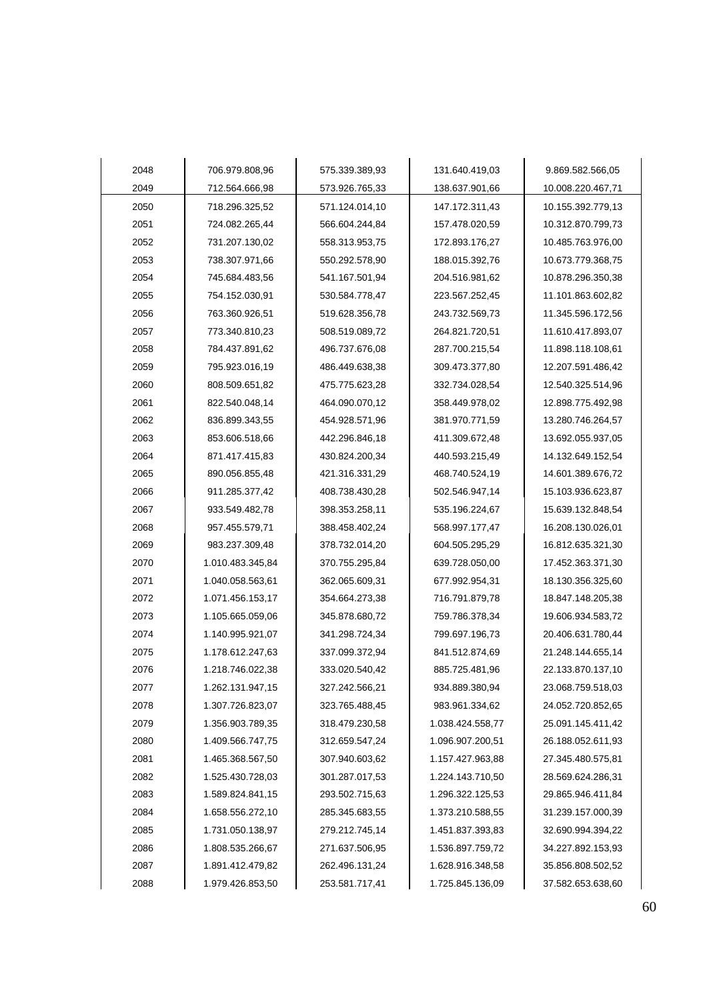| 2048 | 706.979.808,96   | 575.339.389,93 | 131.640.419,03   | 9.869.582.566,05  |
|------|------------------|----------------|------------------|-------------------|
| 2049 | 712.564.666,98   | 573.926.765,33 | 138.637.901,66   | 10.008.220.467,71 |
| 2050 | 718.296.325,52   | 571.124.014,10 | 147.172.311,43   | 10.155.392.779,13 |
| 2051 | 724.082.265,44   | 566.604.244,84 | 157.478.020,59   | 10.312.870.799,73 |
| 2052 | 731.207.130,02   | 558.313.953,75 | 172.893.176,27   | 10.485.763.976,00 |
| 2053 | 738.307.971,66   | 550.292.578,90 | 188.015.392,76   | 10.673.779.368,75 |
| 2054 | 745.684.483,56   | 541.167.501,94 | 204.516.981,62   | 10.878.296.350,38 |
| 2055 | 754.152.030,91   | 530.584.778,47 | 223.567.252,45   | 11.101.863.602,82 |
| 2056 | 763.360.926,51   | 519.628.356,78 | 243.732.569,73   | 11.345.596.172,56 |
| 2057 | 773.340.810,23   | 508.519.089,72 | 264.821.720,51   | 11.610.417.893,07 |
| 2058 | 784.437.891,62   | 496.737.676,08 | 287.700.215,54   | 11.898.118.108,61 |
| 2059 | 795.923.016,19   | 486.449.638,38 | 309.473.377,80   | 12.207.591.486,42 |
| 2060 | 808.509.651,82   | 475.775.623,28 | 332.734.028,54   | 12.540.325.514,96 |
| 2061 | 822.540.048,14   | 464.090.070,12 | 358.449.978,02   | 12.898.775.492,98 |
| 2062 | 836.899.343,55   | 454.928.571,96 | 381.970.771,59   | 13.280.746.264,57 |
| 2063 | 853.606.518,66   | 442.296.846,18 | 411.309.672,48   | 13.692.055.937,05 |
| 2064 | 871.417.415,83   | 430.824.200,34 | 440.593.215,49   | 14.132.649.152,54 |
| 2065 | 890.056.855,48   | 421.316.331,29 | 468.740.524,19   | 14.601.389.676,72 |
| 2066 | 911.285.377,42   | 408.738.430,28 | 502.546.947,14   | 15.103.936.623,87 |
| 2067 | 933.549.482,78   | 398.353.258,11 | 535.196.224,67   | 15.639.132.848,54 |
| 2068 | 957.455.579,71   | 388.458.402,24 | 568.997.177,47   | 16.208.130.026,01 |
| 2069 | 983.237.309,48   | 378.732.014,20 | 604.505.295,29   | 16.812.635.321,30 |
| 2070 | 1.010.483.345,84 | 370.755.295,84 | 639.728.050,00   | 17.452.363.371,30 |
| 2071 | 1.040.058.563,61 | 362.065.609,31 | 677.992.954,31   | 18.130.356.325,60 |
| 2072 | 1.071.456.153,17 | 354.664.273,38 | 716.791.879,78   | 18.847.148.205,38 |
| 2073 | 1.105.665.059,06 | 345.878.680,72 | 759.786.378,34   | 19.606.934.583,72 |
| 2074 | 1.140.995.921,07 | 341.298.724,34 | 799.697.196,73   | 20.406.631.780,44 |
| 2075 | 1.178.612.247,63 | 337.099.372,94 | 841.512.874,69   | 21.248.144.655,14 |
| 2076 | 1.218.746.022,38 | 333.020.540,42 | 885.725.481,96   | 22.133.870.137,10 |
| 2077 | 1.262.131.947,15 | 327.242.566,21 | 934.889.380,94   | 23.068.759.518,03 |
| 2078 | 1.307.726.823,07 | 323.765.488,45 | 983.961.334,62   | 24.052.720.852,65 |
| 2079 | 1.356.903.789,35 | 318.479.230,58 | 1.038.424.558,77 | 25.091.145.411,42 |
| 2080 | 1.409.566.747,75 | 312.659.547,24 | 1.096.907.200,51 | 26.188.052.611,93 |
| 2081 | 1.465.368.567,50 | 307.940.603,62 | 1.157.427.963,88 | 27.345.480.575,81 |
| 2082 | 1.525.430.728,03 | 301.287.017,53 | 1.224.143.710,50 | 28.569.624.286,31 |
| 2083 | 1.589.824.841,15 | 293.502.715,63 | 1.296.322.125,53 | 29.865.946.411,84 |
| 2084 | 1.658.556.272,10 | 285.345.683,55 | 1.373.210.588,55 | 31.239.157.000,39 |
| 2085 | 1.731.050.138,97 | 279.212.745,14 | 1.451.837.393,83 | 32.690.994.394,22 |
| 2086 | 1.808.535.266,67 | 271.637.506,95 | 1.536.897.759,72 | 34.227.892.153,93 |
| 2087 | 1.891.412.479,82 | 262.496.131,24 | 1.628.916.348,58 | 35.856.808.502,52 |
| 2088 | 1.979.426.853,50 | 253.581.717,41 | 1.725.845.136,09 | 37.582.653.638,60 |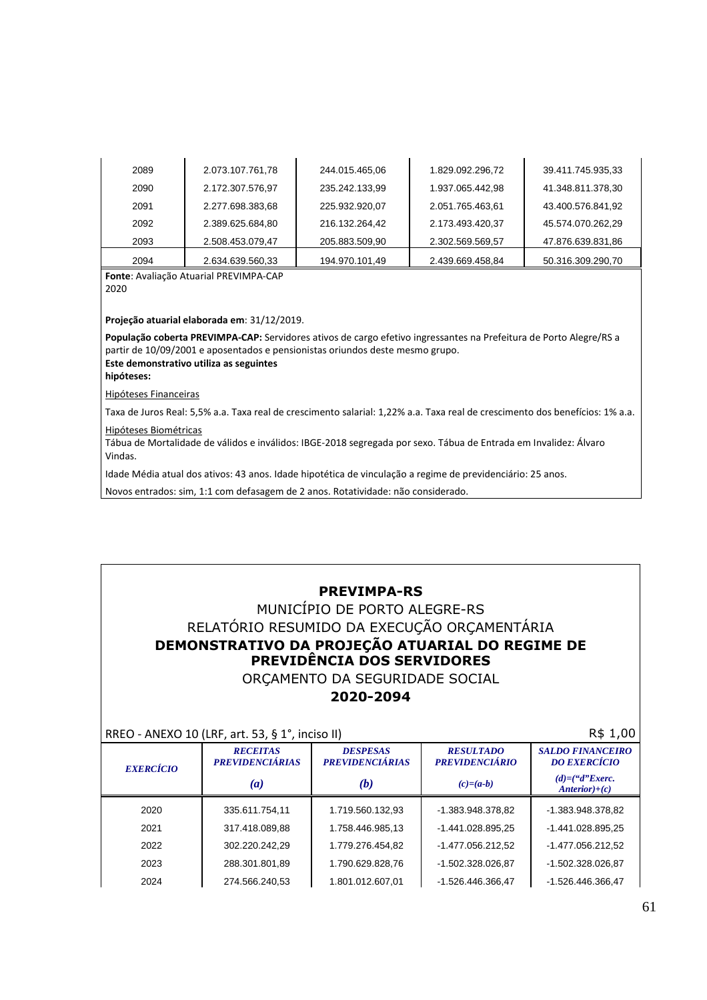| 2089 | 2.073.107.761,78 | 244.015.465,06 | 1.829.092.296,72 | 39.411.745.935,33 |
|------|------------------|----------------|------------------|-------------------|
| 2090 | 2.172.307.576,97 | 235.242.133,99 | 1.937.065.442,98 | 41.348.811.378,30 |
| 2091 | 2.277.698.383,68 | 225.932.920,07 | 2.051.765.463,61 | 43.400.576.841,92 |
| 2092 | 2.389.625.684,80 | 216.132.264.42 | 2.173.493.420.37 | 45.574.070.262.29 |
| 2093 | 2.508.453.079,47 | 205.883.509.90 | 2.302.569.569,57 | 47.876.639.831,86 |
| 2094 | 2.634.639.560,33 | 194.970.101,49 | 2.439.669.458.84 | 50.316.309.290.70 |

**Fonte**: Avaliação Atuarial PREVIMPA-CAP 2020

**Projeção atuarial elaborada em**: 31/12/2019.

**População coberta PREVIMPA-CAP:** Servidores ativos de cargo efetivo ingressantes na Prefeitura de Porto Alegre/RS a partir de 10/09/2001 e aposentados e pensionistas oriundos deste mesmo grupo. **Este demonstrativo utiliza as seguintes** 

**hipóteses:** 

Hipóteses Financeiras

Taxa de Juros Real: 5,5% a.a. Taxa real de crescimento salarial: 1,22% a.a. Taxa real de crescimento dos benefícios: 1% a.a.

Hipóteses Biométricas

Tábua de Mortalidade de válidos e inválidos: IBGE-2018 segregada por sexo. Tábua de Entrada em Invalidez: Álvaro Vindas.

Idade Média atual dos ativos: 43 anos. Idade hipotética de vinculação a regime de previdenciário: 25 anos.

Novos entrados: sim, 1:1 com defasagem de 2 anos. Rotatividade: não considerado.

### **PREVIMPA-RS**

### MUNICÍPIO DE PORTO ALEGRE-RS RELATÓRIO RESUMIDO DA EXECUÇÃO ORÇAMENTÁRIA **DEMONSTRATIVO DA PROJEÇÃO ATUARIAL DO REGIME DE PREVIDÊNCIA DOS SERVIDORES**  ORÇAMENTO DA SEGURIDADE SOCIAL

#### **2020-2094**

 $RRFO - ANFXO 10 (IRE art. 53, 8.1° inciso II)$   $R$ 1,00$ 

|                  | $MUCU - MNLNU 1U$ (LIVI, all. JJ, $3L$ , illuisu III |                                           |                                           | $1.4 + 1.00$                                   |
|------------------|------------------------------------------------------|-------------------------------------------|-------------------------------------------|------------------------------------------------|
| <b>EXERCÍCIO</b> | <b>RECEITAS</b><br><b>PREVIDENCIÁRIAS</b>            | <b>DESPESAS</b><br><b>PREVIDENCIÁRIAS</b> | <b>RESULTADO</b><br><b>PREVIDENCIÁRIO</b> | <b>SALDO FINANCEIRO</b><br><b>DO EXERCÍCIO</b> |
|                  | $\left(a\right)$                                     | (b)                                       | $(c)=(a-b)$                               | $(d)=(\mathcal{C}T)E$ xerc.<br>$Anterior)+(c)$ |
| 2020             | 335.611.754,11                                       | 1.719.560.132,93                          | -1.383.948.378,82                         | -1.383.948.378,82                              |
| 2021             | 317.418.089,88                                       | 1.758.446.985,13                          | -1.441.028.895,25                         | -1.441.028.895,25                              |
| 2022             | 302.220.242.29                                       | 1.779.276.454.82                          | -1.477.056.212.52                         | -1.477.056.212.52                              |
| 2023             | 288.301.801,89                                       | 1.790.629.828,76                          | -1.502.328.026,87                         | -1.502.328.026,87                              |
| 2024             | 274.566.240,53                                       | 1.801.012.607,01                          | -1.526.446.366.47                         | -1.526.446.366,47                              |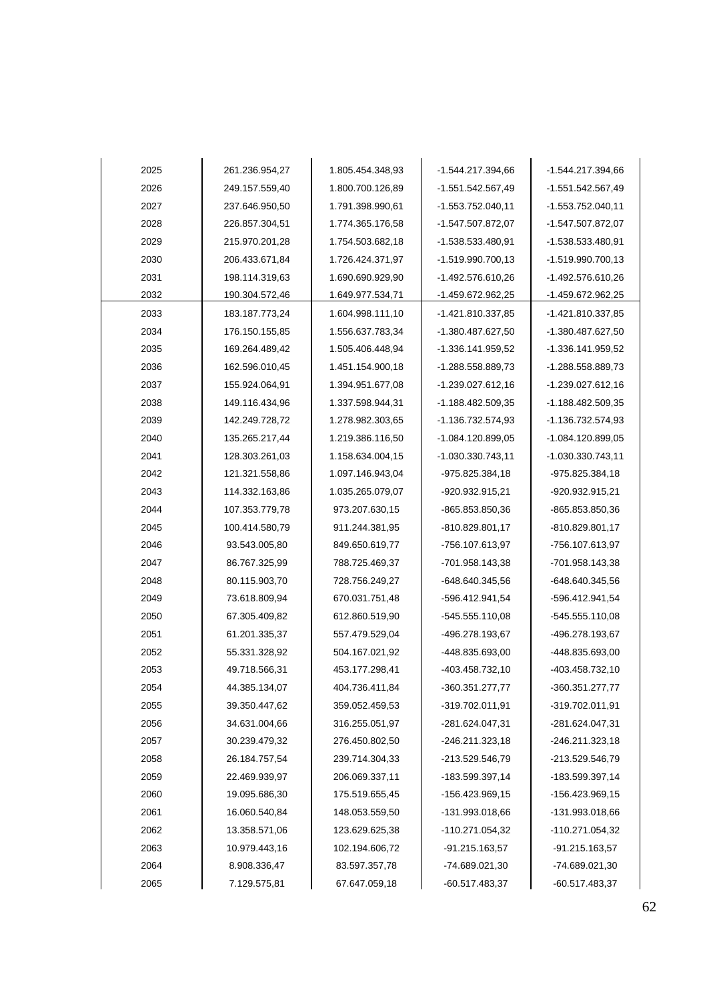| 2025 | 261.236.954,27 | 1.805.454.348,93 | -1.544.217.394,66   | -1.544.217.394,66   |
|------|----------------|------------------|---------------------|---------------------|
| 2026 | 249.157.559,40 | 1.800.700.126,89 | -1.551.542.567,49   | -1.551.542.567,49   |
| 2027 | 237.646.950,50 | 1.791.398.990,61 | $-1.553.752.040,11$ | $-1.553.752.040.11$ |
| 2028 | 226.857.304,51 | 1.774.365.176,58 | -1.547.507.872,07   | -1.547.507.872,07   |
| 2029 | 215.970.201,28 | 1.754.503.682,18 | -1.538.533.480,91   | -1.538.533.480,91   |
| 2030 | 206.433.671,84 | 1.726.424.371,97 | -1.519.990.700,13   | -1.519.990.700,13   |
| 2031 | 198.114.319,63 | 1.690.690.929,90 | -1.492.576.610,26   | -1.492.576.610,26   |
| 2032 | 190.304.572,46 | 1.649.977.534,71 | -1.459.672.962,25   | -1.459.672.962,25   |
| 2033 | 183.187.773,24 | 1.604.998.111,10 | -1.421.810.337,85   | -1.421.810.337,85   |
| 2034 | 176.150.155,85 | 1.556.637.783,34 | -1.380.487.627,50   | -1.380.487.627,50   |
| 2035 | 169.264.489,42 | 1.505.406.448,94 | -1.336.141.959,52   | -1.336.141.959,52   |
| 2036 | 162.596.010,45 | 1.451.154.900,18 | -1.288.558.889,73   | -1.288.558.889,73   |
| 2037 | 155.924.064,91 | 1.394.951.677,08 | -1.239.027.612,16   | -1.239.027.612,16   |
| 2038 | 149.116.434,96 | 1.337.598.944,31 | -1.188.482.509.35   | $-1.188.482.509.35$ |
| 2039 | 142.249.728,72 | 1.278.982.303,65 | $-1.136.732.574.93$ | -1.136.732.574,93   |
| 2040 | 135.265.217,44 | 1.219.386.116,50 | $-1.084.120.899.05$ | $-1.084.120.899.05$ |
| 2041 | 128.303.261,03 | 1.158.634.004,15 | $-1.030.330.743,11$ | $-1.030.330.743.11$ |
| 2042 | 121.321.558,86 | 1.097.146.943,04 | -975.825.384,18     | -975.825.384,18     |
| 2043 | 114.332.163,86 | 1.035.265.079,07 | -920.932.915,21     | -920.932.915,21     |
| 2044 | 107.353.779,78 | 973.207.630,15   | -865.853.850,36     | -865.853.850,36     |
| 2045 | 100.414.580,79 | 911.244.381,95   | -810.829.801,17     | -810.829.801,17     |
| 2046 | 93.543.005,80  | 849.650.619,77   | -756.107.613,97     | -756.107.613,97     |
| 2047 | 86.767.325,99  | 788.725.469,37   | -701.958.143,38     | -701.958.143,38     |
| 2048 | 80.115.903,70  | 728.756.249,27   | -648.640.345,56     | -648.640.345,56     |
| 2049 | 73.618.809,94  | 670.031.751,48   | -596.412.941,54     | -596.412.941,54     |
| 2050 | 67.305.409,82  | 612.860.519,90   | -545.555.110,08     | $-545.555.110,08$   |
| 2051 | 61.201.335,37  | 557.479.529,04   | -496.278.193,67     | -496.278.193,67     |
| 2052 | 55.331.328,92  | 504.167.021,92   | -448.835.693,00     | -448.835.693,00     |
| 2053 | 49.718.566,31  | 453.177.298,41   | -403.458.732,10     | -403.458.732,10     |
| 2054 | 44.385.134,07  | 404.736.411,84   | -360.351.277,77     | 360.351.277,77      |
| 2055 | 39.350.447,62  | 359.052.459,53   | -319.702.011,91     | -319.702.011,91     |
| 2056 | 34.631.004,66  | 316.255.051,97   | -281.624.047,31     | -281.624.047,31     |
| 2057 | 30.239.479,32  | 276.450.802,50   | -246.211.323,18     | $-246.211.323.18$   |
| 2058 | 26.184.757,54  | 239.714.304,33   | -213.529.546,79     | -213.529.546,79     |
| 2059 | 22.469.939,97  | 206.069.337,11   | -183.599.397,14     | -183.599.397,14     |
| 2060 | 19.095.686,30  | 175.519.655,45   | -156.423.969,15     | -156.423.969,15     |
| 2061 | 16.060.540,84  | 148.053.559,50   | -131.993.018,66     | -131.993.018,66     |
| 2062 | 13.358.571,06  | 123.629.625,38   | -110.271.054,32     | -110.271.054,32     |
| 2063 | 10.979.443,16  | 102.194.606,72   | -91.215.163,57      | $-91.215.163,57$    |
| 2064 | 8.908.336,47   | 83.597.357,78    | -74.689.021,30      | -74.689.021,30      |
| 2065 | 7.129.575,81   | 67.647.059,18    | -60.517.483,37      | $-60.517.483,37$    |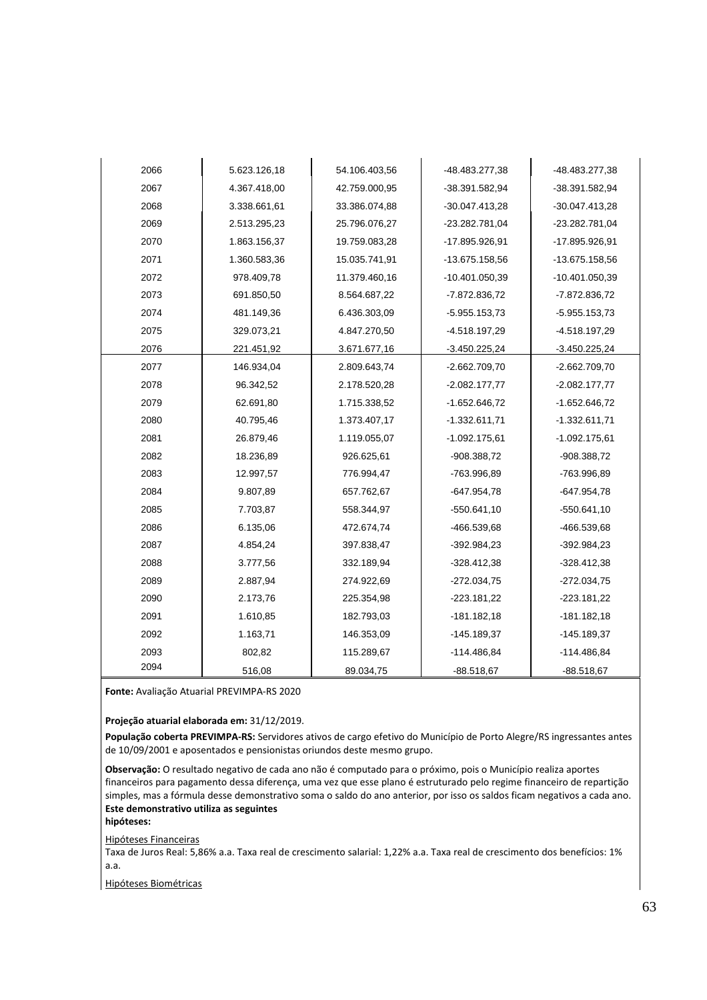| 2066 | 5.623.126,18 | 54.106.403,56 | -48.483.277,38  | -48.483.277,38   |
|------|--------------|---------------|-----------------|------------------|
| 2067 | 4.367.418,00 | 42.759.000,95 | -38.391.582,94  | -38.391.582,94   |
| 2068 | 3.338.661,61 | 33.386.074,88 | -30.047.413,28  | -30.047.413,28   |
| 2069 | 2.513.295,23 | 25.796.076,27 | -23.282.781,04  | -23.282.781,04   |
| 2070 | 1.863.156,37 | 19.759.083,28 | -17.895.926,91  | -17.895.926,91   |
| 2071 | 1.360.583,36 | 15.035.741,91 | -13.675.158,56  | -13.675.158,56   |
| 2072 | 978.409,78   | 11.379.460,16 | -10.401.050,39  | $-10.401.050,39$ |
| 2073 | 691.850,50   | 8.564.687,22  | -7.872.836,72   | $-7.872.836,72$  |
| 2074 | 481.149,36   | 6.436.303,09  | $-5.955.153.73$ | $-5.955.153,73$  |
| 2075 | 329.073,21   | 4.847.270,50  | -4.518.197,29   | -4.518.197,29    |
| 2076 | 221.451,92   | 3.671.677,16  | $-3.450.225,24$ | $-3.450.225,24$  |
| 2077 | 146.934,04   | 2.809.643,74  | $-2.662.709.70$ | $-2.662.709.70$  |
| 2078 | 96.342,52    | 2.178.520,28  | $-2.082.177,77$ | $-2.082.177,77$  |
| 2079 | 62.691,80    | 1.715.338,52  | $-1.652.646,72$ | $-1.652.646,72$  |
| 2080 | 40.795,46    | 1.373.407,17  | $-1.332.611,71$ | $-1.332.611,71$  |
| 2081 | 26.879,46    | 1.119.055,07  | $-1.092.175,61$ | $-1.092.175,61$  |
| 2082 | 18.236,89    | 926.625,61    | $-908.388,72$   | $-908.388,72$    |
| 2083 | 12.997,57    | 776.994,47    | -763.996.89     | -763.996,89      |
| 2084 | 9.807,89     | 657.762,67    | $-647.954,78$   | $-647.954.78$    |
| 2085 | 7.703,87     | 558.344,97    | $-550.641,10$   | $-550.641, 10$   |
| 2086 | 6.135,06     | 472.674,74    | -466.539,68     | -466.539,68      |
| 2087 | 4.854,24     | 397.838,47    | $-392.984.23$   | $-392.984.23$    |
| 2088 | 3.777,56     | 332.189,94    | $-328.412,38$   | $-328.412,38$    |
| 2089 | 2.887,94     | 274.922,69    | $-272.034,75$   | $-272.034,75$    |
| 2090 | 2.173,76     | 225.354,98    | $-223.181,22$   | $-223.181,22$    |
| 2091 | 1.610,85     | 182.793,03    | $-181.182,18$   | $-181.182,18$    |
| 2092 | 1.163,71     | 146.353,09    | $-145.189,37$   | $-145.189,37$    |
| 2093 | 802,82       | 115.289,67    | -114.486.84     | -114.486,84      |
| 2094 | 516,08       | 89.034,75     | $-88.518,67$    | $-88.518,67$     |

**Fonte:** Avaliação Atuarial PREVIMPA-RS 2020

**Projeção atuarial elaborada em:** 31/12/2019.

**População coberta PREVIMPA-RS:** Servidores ativos de cargo efetivo do Município de Porto Alegre/RS ingressantes antes de 10/09/2001 e aposentados e pensionistas oriundos deste mesmo grupo.

**Observação:** O resultado negativo de cada ano não é computado para o próximo, pois o Município realiza aportes financeiros para pagamento dessa diferença, uma vez que esse plano é estruturado pelo regime financeiro de repartição simples, mas a fórmula desse demonstrativo soma o saldo do ano anterior, por isso os saldos ficam negativos a cada ano. **Este demonstrativo utiliza as seguintes** 

**hipóteses:** 

Hipóteses Financeiras

Taxa de Juros Real: 5,86% a.a. Taxa real de crescimento salarial: 1,22% a.a. Taxa real de crescimento dos benefícios: 1% a.a.

Hipóteses Biométricas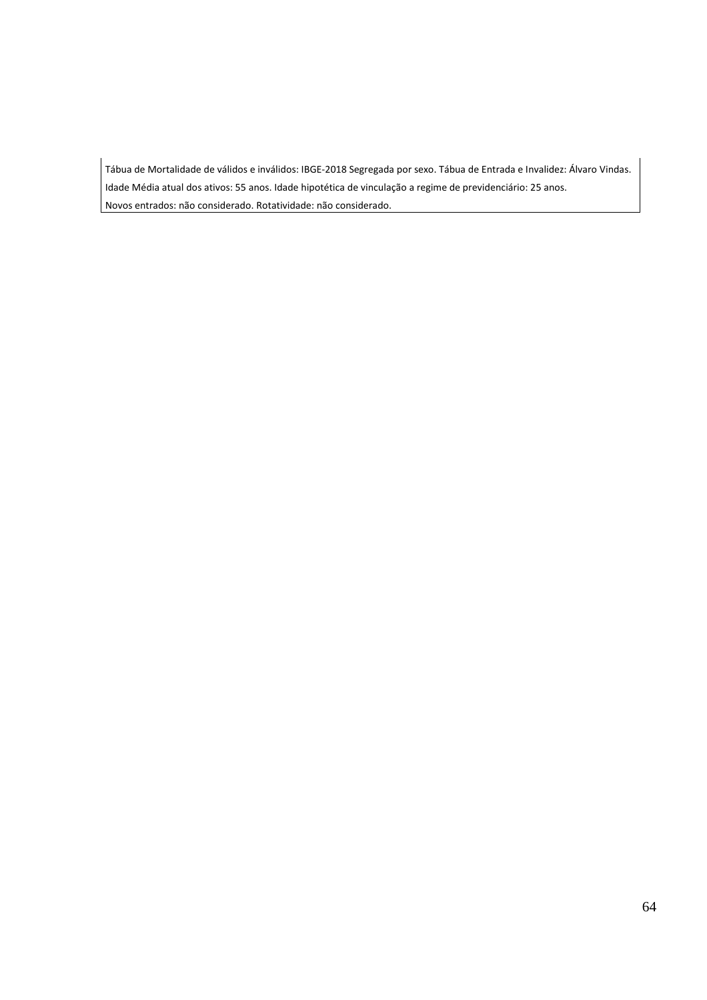Tábua de Mortalidade de válidos e inválidos: IBGE-2018 Segregada por sexo. Tábua de Entrada e Invalidez: Álvaro Vindas. Idade Média atual dos ativos: 55 anos. Idade hipotética de vinculação a regime de previdenciário: 25 anos. Novos entrados: não considerado. Rotatividade: não considerado.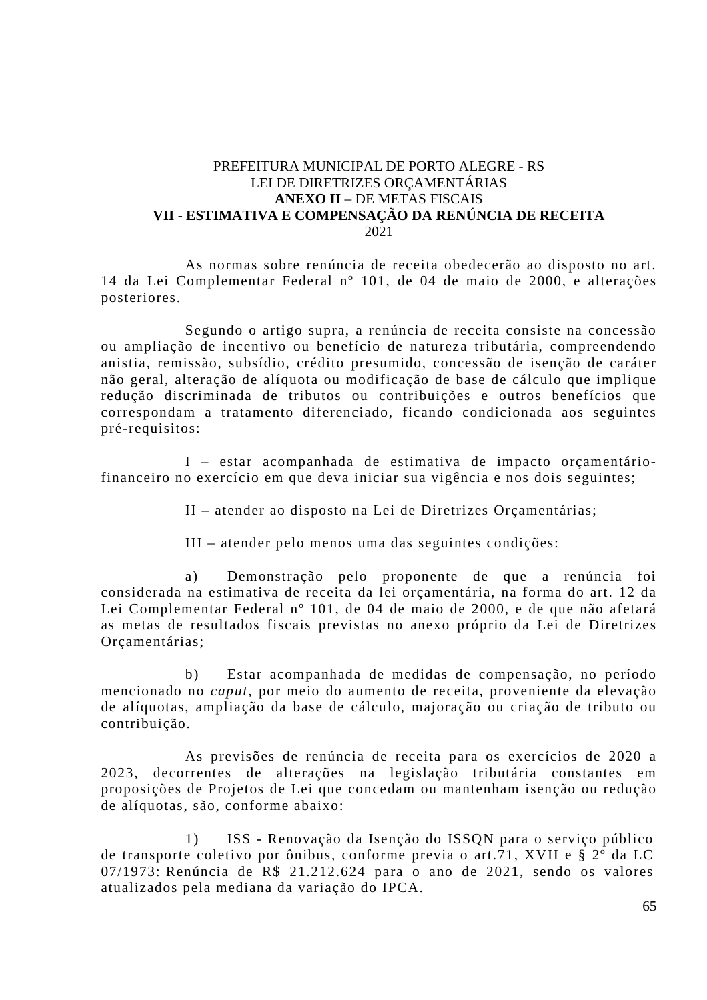### PREFEITURA MUNICIPAL DE PORTO ALEGRE - RS LEI DE DIRETRIZES ORÇAMENTÁRIAS **ANEXO II** – DE METAS FISCAIS **VII - ESTIMATIVA E COMPENSAÇÃO DA RENÚNCIA DE RECEITA**  2021

As normas sobre renúncia de receita obedecerão ao disposto no art. 14 da Lei Complementar Federal nº 101, de 04 de maio de 2000, e alterações posteriores.

Segundo o artigo supra, a renúncia de receita consiste na concessão ou ampliação de incentivo ou benefício de natureza tributária, compreendendo anistia, remissão, subsídio, crédito presumido, concessão de isenção de caráter não geral, alteração de alíquota ou modificação de base de cálculo que implique redução discriminada de tributos ou contribuições e outros benefícios que correspondam a tratamento diferenciado, ficando condicionada aos seguintes pré-requisitos:

I – estar acompanhada de estimativa de impacto orçamentáriofinanceiro no exercício em que deva iniciar sua vigência e nos dois seguintes;

II – atender ao disposto na Lei de Diretrizes Orçamentárias;

III – atender pelo menos uma das seguintes condições:

a) Demonstração pelo proponente de que a renúncia foi considerada na estimativa de receita da lei orçamentária, na forma do art. 12 da Lei Complementar Federal nº 101, de 04 de maio de 2000, e de que não afetará as metas de resultados fiscais previstas no anexo próprio da Lei de Diretrizes Orçamentárias;

b) Estar acompanhada de medidas de compensação, no período mencionado no *caput*, por meio do aumento de receita, proveniente da elevação de alíquotas, ampliação da base de cálculo, majoração ou criação de tributo ou contribuição.

As previsões de renúncia de receita para os exercícios de 2020 a 2023, decorrentes de alterações na legislação tributária constantes em proposições de Projetos de Lei que concedam ou mantenham isenção ou redução de alíquotas, são, conforme abaixo:

1) ISS - Renovação da Isenção do ISSQN para o serviço público de transporte coletivo por ônibus, conforme previa o art.71, XVII e § 2º da LC 07/1973: Renúncia de R\$ 21.212.624 para o ano de 2021, sendo os valores atualizados pela mediana da variação do IPCA.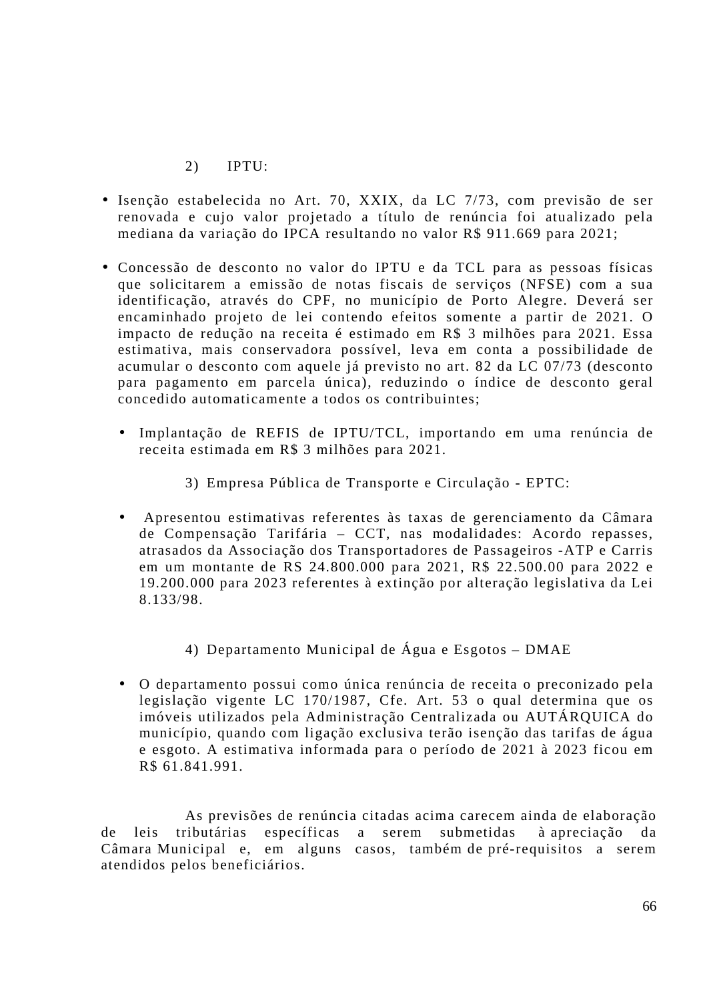2) IPTU:

- Isenção estabelecida no Art. 70, XXIX, da LC 7/73, com previsão de ser renovada e cujo valor projetado a título de renúncia foi atualizado pela mediana da variação do IPCA resultando no valor R\$ 911.669 para 2021;
- Concessão de desconto no valor do IPTU e da TCL para as pessoas físicas que solicitarem a emissão de notas fiscais de serviços (NFSE) com a sua identificação, através do CPF, no município de Porto Alegre. Deverá ser encaminhado projeto de lei contendo efeitos somente a partir de 2021. O impacto de redução na receita é estimado em R\$ 3 milhões para 2021. Essa estimativa, mais conservadora possível, leva em conta a possibilidade de acumular o desconto com aquele já previsto no art. 82 da LC 07/73 (desconto para pagamento em parcela única), reduzindo o índice de desconto geral concedido automaticamente a todos os contribuintes;
	- Implantação de REFIS de IPTU/TCL, importando em uma renúncia de receita estimada em R\$ 3 milhões para 2021.
		- 3) Empresa Pública de Transporte e Circulação EPTC:
	- Apresentou estimativas referentes às taxas de gerenciamento da Câmara de Compensação Tarifária – CCT, nas modalidades: Acordo repasses, atrasados da Associação dos Transportadores de Passageiros -ATP e Carris em um montante de RS 24.800.000 para 2021, R\$ 22.500.00 para 2022 e 19.200.000 para 2023 referentes à extinção por alteração legislativa da Lei 8.133/98.
		- 4) Departamento Municipal de Água e Esgotos DMAE
	- O departamento possui como única renúncia de receita o preconizado pela legislação vigente LC 170/1987, Cfe. Art. 53 o qual determina que os imóveis utilizados pela Administração Centralizada ou AUTÁRQUICA do município, quando com ligação exclusiva terão isenção das tarifas de água e esgoto. A estimativa informada para o período de 2021 à 2023 ficou em R\$ 61.841.991.

As previsões de renúncia citadas acima carecem ainda de elaboração de leis tributárias específicas a serem submetidas à apreciação da Câmara Municipal e, em alguns casos, também de pré-requisitos a serem atendidos pelos beneficiários.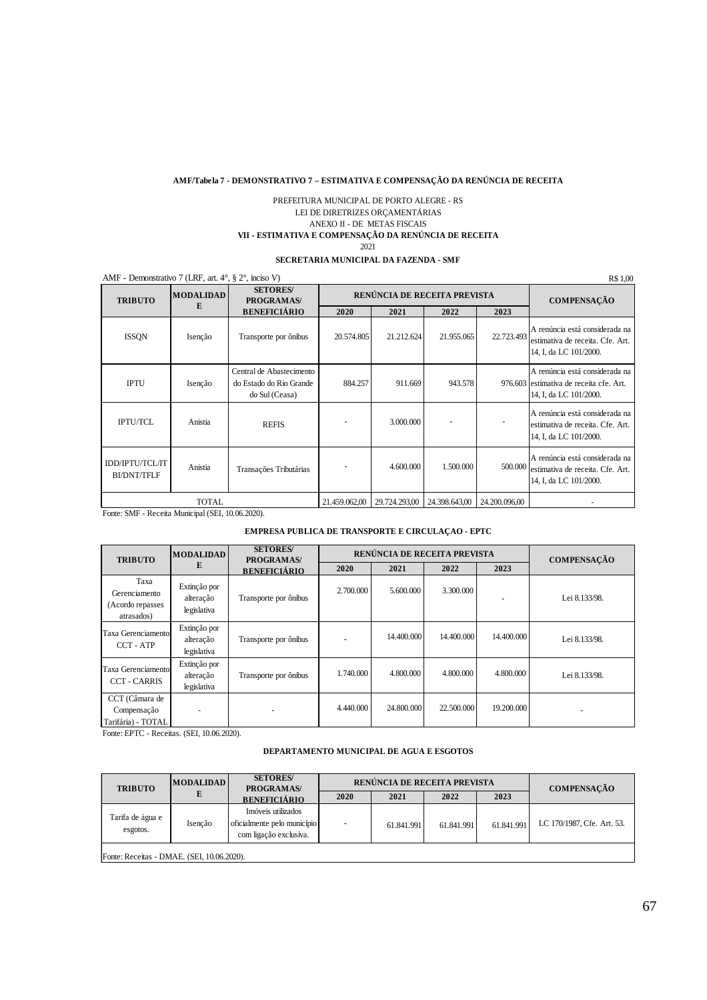#### **AMF/Tabela 7 - DEMONSTRATIVO 7 – ESTIMATIVA E COMPENSAÇÃO DA RENÚNCIA DE RECEITA**

#### PREFEITURA MUNICIPAL DE PORTO ALEGRE - RS LEI DE DIRETRIZES ORÇAMENTÁRIAS ANEXO II - DE METAS FISCAIS **VII - ESTIMATIVA E COMPENSAÇÃO DA RENÚNCIA DE RECEITA** 2021

#### **SECRETARIA MUNICIPAL DA FAZENDA - SMF**

| AMF - Demonstrativo 7 (LRF, art. $4^\circ$ , § $2^\circ$ , inciso V) |                       |                                                                       |               |               |                              |               | R\$ 1,00                                                                                             |
|----------------------------------------------------------------------|-----------------------|-----------------------------------------------------------------------|---------------|---------------|------------------------------|---------------|------------------------------------------------------------------------------------------------------|
| <b>TRIBUTO</b>                                                       | <b>MODALIDAD</b><br>E | <b>SETORES/</b><br>PROGRAMAS/                                         |               |               | RENÚNCIA DE RECEITA PREVISTA |               | <b>COMPENSAÇÃO</b>                                                                                   |
|                                                                      |                       | <b>BENEFICIÁRIO</b>                                                   | 2020          | 2021          | 2022                         | 2023          |                                                                                                      |
| ISSQN                                                                | Isenção               | Transporte por ônibus                                                 | 20.574.805    | 21.212.624    | 21.955.065                   | 22,723,493    | A renúncia está considerada na<br>estimativa de receita. Cfe. Art.<br>14, I, da LC 101/2000.         |
| <b>IPTU</b>                                                          | Isenção               | Central de Abastecimento<br>do Estado do Rio Grande<br>do Sul (Ceasa) | 884.257       | 911.669       | 943.578                      |               | A renúncia está considerada na<br>976.603 estimativa de receita cfe. Art.<br>14, I, da LC 101/2000.  |
| <b>IPTU/TCL</b>                                                      | Anistia               | <b>REFIS</b>                                                          |               | 3.000.000     |                              |               | A renúncia está considerada na<br>estimativa de receita. Cfe. Art.<br>14, I, da LC 101/2000.         |
| <b>IDD/IPTU/TCL/IT</b><br><b>BI/DNT/TFLF</b>                         | Anistia               | Transações Tributárias                                                |               | 4.600.000     | 1.500,000                    |               | A renúncia está considerada na<br>500.000 estimativa de receita. Cfe. Art.<br>14, I, da LC 101/2000. |
|                                                                      | TOTAL                 |                                                                       | 21.459.062,00 | 29.724.293,00 | 24.398.643,00                | 24.200.096,00 |                                                                                                      |

Fonte: SMF - Receita Municipal (SEI, 10.06.2020).

#### **EMPRESA PÚBLICA DE TRANSPORTE E CIRCULAÇÃO - EPTC**

| <b>TRIBUTO</b>                                          | <b>MODALIDAD</b>                         | <b>SETORES</b> /<br>PROGRAMAS/ | RENÚNCIA DE RECEITA PREVISTA |            |            |            | <b>COMPENSAÇÃO</b> |
|---------------------------------------------------------|------------------------------------------|--------------------------------|------------------------------|------------|------------|------------|--------------------|
|                                                         | Е                                        | <b>BENEFICIÁRIO</b>            | 2020                         | 2021       | 2022       | 2023       |                    |
| Taxa<br>Gerenciamento<br>(Acordo repasses<br>atrasados) | Extinção por<br>alteração<br>legislativa | Transporte por ônibus          | 2.700,000                    | 5.600,000  | 3.300,000  | -          | Lei 8.133/98.      |
| Taxa Gerenciamento<br>CCT - ATP                         | Extinção por<br>alteração<br>legislativa | Transporte por ônibus          |                              | 14.400.000 | 14.400.000 | 14.400.000 | Lei 8.133/98.      |
| Taxa Gerenciamento<br><b>CCT - CARRIS</b>               | Extinção por<br>alteração<br>legislativa | Transporte por ônibus          | 1.740.000                    | 4.800.000  | 4.800.000  | 4.800.000  | Lei 8.133/98.      |
| CCT (Câmara de<br>Compensação<br>Tarifária) - TOTAL     |                                          |                                | 4.440.000                    | 24,800,000 | 22,500,000 | 19.200.000 | -                  |

Fonte: EPTC - Receitas. (SEI, 10.06.2020).

#### **DEPARTAMENTO MUNICIPAL DE ÁGUA E ESGOTOS**

| <b>TRIBUTO</b><br>PROGRAMAS/<br>2021<br>2022<br>2023<br>2020<br><b>BENEFICIÁRIO</b><br>Imóveis utilizados<br>Tarifa de água e<br>oficialmente pelo município<br>Isenção<br>61.841.991<br>61.841.991<br>61.841.991<br>$\overline{\phantom{a}}$ | <b>COMPENSAÇÃO</b>         |
|-----------------------------------------------------------------------------------------------------------------------------------------------------------------------------------------------------------------------------------------------|----------------------------|
|                                                                                                                                                                                                                                               |                            |
| esgotos.<br>com ligação exclusiva.                                                                                                                                                                                                            | LC 170/1987, Cfe. Art. 53. |

Fonte: Receitas - DMAE. (SEI, 10.06.2020).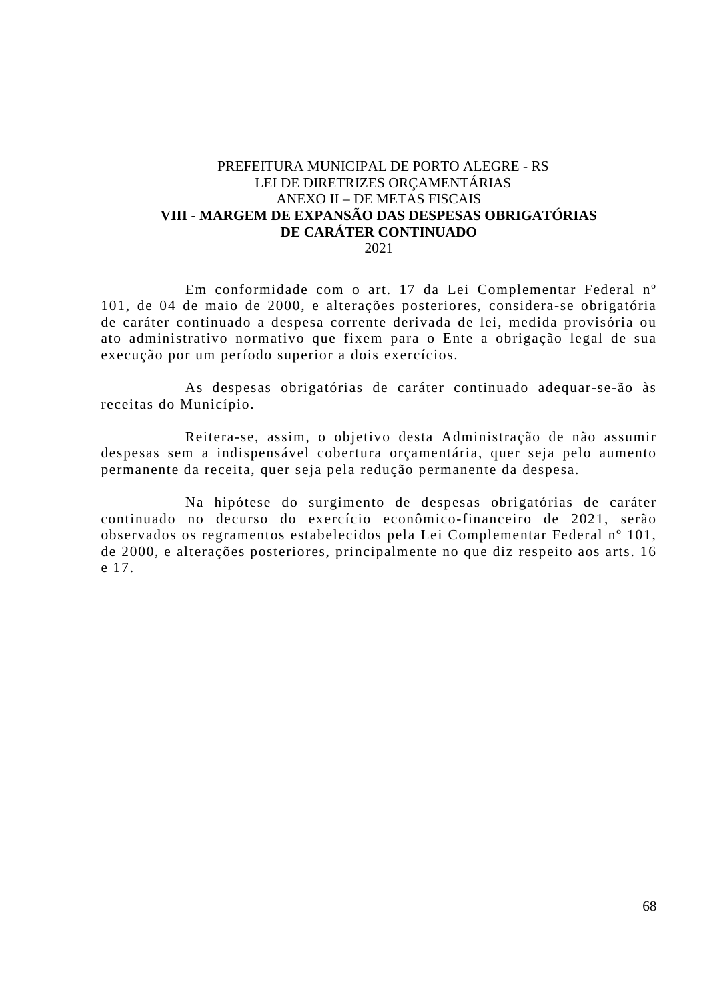#### PREFEITURA MUNICIPAL DE PORTO ALEGRE - RS LEI DE DIRETRIZES ORÇAMENTÁRIAS ANEXO II – DE METAS FISCAIS **VIII - MARGEM DE EXPANSÃO DAS DESPESAS OBRIGATÓRIAS DE CARÁTER CONTINUADO**  2021

Em conformidade com o art. 17 da Lei Complementar Federal nº 101, de 04 de maio de 2000, e alterações posteriores, considera-se obrigatória de caráter continuado a despesa corrente derivada de lei, medida provisória ou ato administrativo normativo que fixem para o Ente a obrigação legal de sua execução por um período superior a dois exercícios.

As despesas obrigatórias de caráter continuado adequar-se-ão às receitas do Município.

Reitera-se, assim, o objetivo desta Administração de não assumir despesas sem a indispensável cobertura orçamentária, quer seja pelo aumento permanente da receita, quer seja pela redução permanente da despesa.

Na hipótese do surgimento de despesas obrigatórias de caráter continuado no decurso do exercício econômico-financeiro de 2021, serão observados os regramentos estabelecidos pela Lei Complementar Federal nº 101, de 2000, e alterações posteriores, principalmente no que diz respeito aos arts. 16 e 17.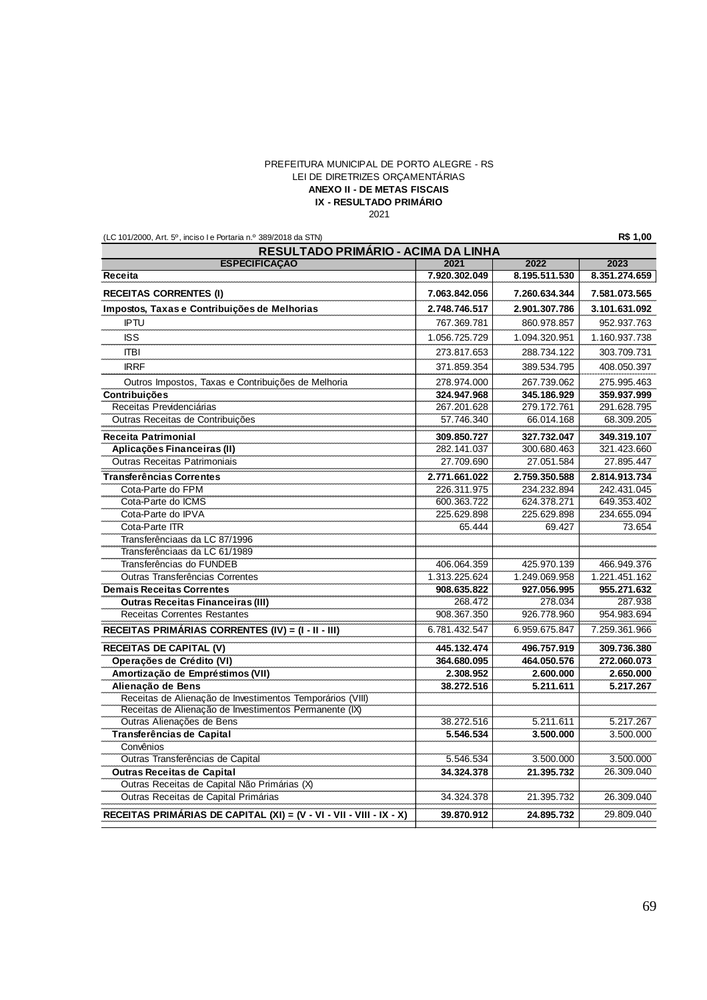#### PREFEITURA MUNICIPAL DE PORTO ALEGRE - RS LEI DE DIRETRIZES ORÇAMENTÁRIAS **IX - RESULTADO PRIMÁRIO** 2021 **ANEXO II - DE METAS FISCAIS**

(LC 101/2000, Art. 5º, inciso I e Portaria n.º 389/2018 da STN) **R\$ 1,00**

| 2023<br>8.351.274.659<br>7.581.073.565<br>3.101.631.092<br>952.937.763<br>1.160.937.738 |
|-----------------------------------------------------------------------------------------|
|                                                                                         |
|                                                                                         |
|                                                                                         |
|                                                                                         |
|                                                                                         |
|                                                                                         |
| 303.709.731                                                                             |
| 408.050.397                                                                             |
| 275.995.463                                                                             |
| 359.937.999                                                                             |
| 291.628.795                                                                             |
| 68.309.205                                                                              |
| 349.319.107                                                                             |
| 321.423.660                                                                             |
| 27.895.447                                                                              |
| 2.814.913.734                                                                           |
| 242.431.045                                                                             |
| 649.353.402                                                                             |
| 234.655.094                                                                             |
| 73.654                                                                                  |
|                                                                                         |
|                                                                                         |
| 466.949.376                                                                             |
| 1.221.451.162                                                                           |
| 955.271.632                                                                             |
| 287.938                                                                                 |
| 954.983.694                                                                             |
| 7.259.361.966                                                                           |
| 309.736.380                                                                             |
| 272.060.073                                                                             |
| 2.650.000                                                                               |
| 5.217.267                                                                               |
|                                                                                         |
|                                                                                         |
| 5.217.267                                                                               |
| 3.500.000                                                                               |
|                                                                                         |
| 3.500.000                                                                               |
| 26.309.040                                                                              |
|                                                                                         |
| 26.309.040                                                                              |
| 29.809.040                                                                              |
|                                                                                         |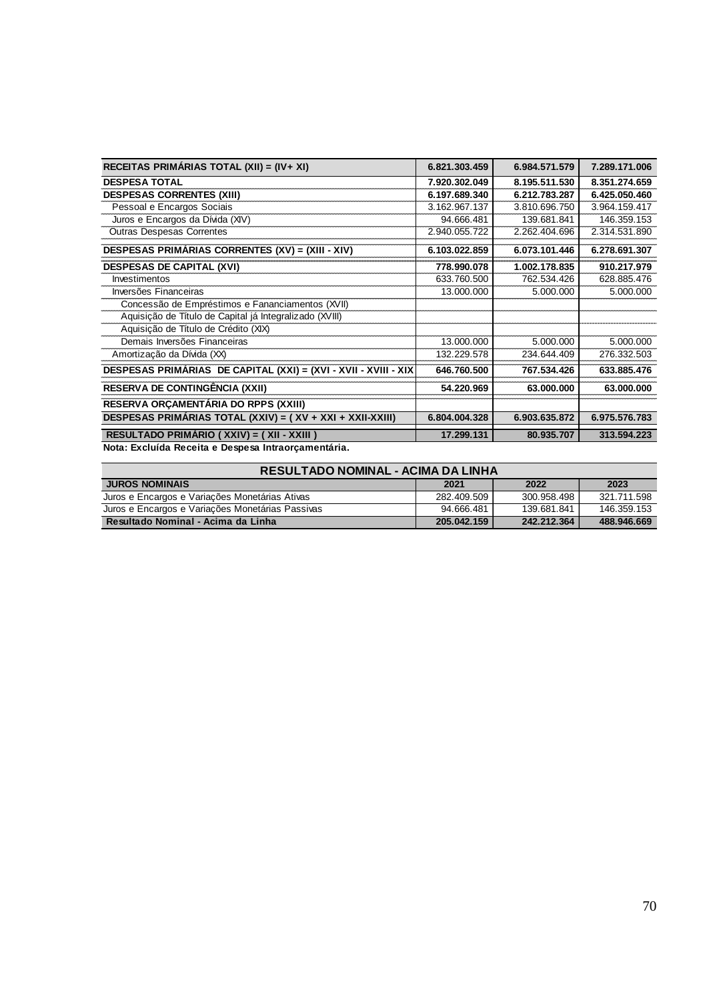| RECEITAS PRIMÁRIAS TOTAL (XII) = (IV+ XI)                       | 6.821.303.459 | 6.984.571.579 | 7.289.171.006 |
|-----------------------------------------------------------------|---------------|---------------|---------------|
| <b>DESPESA TOTAL</b>                                            | 7.920.302.049 | 8.195.511.530 | 8.351.274.659 |
| <b>DESPESAS CORRENTES (XIII)</b>                                | 6.197.689.340 | 6.212.783.287 | 6.425.050.460 |
| Pessoal e Encargos Sociais                                      | 3.162.967.137 | 3.810.696.750 | 3.964.159.417 |
| Juros e Encargos da Dívida (XIV)                                | 94.666.481    | 139.681.841   | 146.359.153   |
| <b>Outras Despesas Correntes</b>                                | 2.940.055.722 | 2.262.404.696 | 2.314.531.890 |
| DESPESAS PRIMÁRIAS CORRENTES (XV) = (XIII - XIV)                | 6.103.022.859 | 6.073.101.446 | 6.278.691.307 |
| <b>DESPESAS DE CAPITAL (XVI)</b>                                | 778.990.078   | 1.002.178.835 | 910.217.979   |
| Investimentos                                                   | 633.760.500   | 762.534.426   | 628.885.476   |
| Inversões Financeiras                                           | 13.000.000    | 5.000.000     | 5.000.000     |
| Concessão de Empréstimos e Fananciamentos (XVII)                |               |               |               |
| Aquisição de Título de Capital já Integralizado (XVIII)         |               |               |               |
| Aquisição de Título de Crédito (XIX)                            |               |               |               |
| Demais Inversões Financeiras                                    | 13.000.000    | 5.000.000     | 5.000.000     |
| Amortização da Dívida (XX)                                      | 132.229.578   | 234.644.409   | 276.332.503   |
| DESPESAS PRIMÁRIAS DE CAPITAL (XXI) = (XVI - XVII - XVIII - XIX | 646.760.500   | 767.534.426   | 633.885.476   |
| <b>RESERVA DE CONTINGÊNCIA (XXII)</b>                           | 54.220.969    | 63.000.000    | 63.000.000    |
| RESERVA ORÇAMENTÁRIA DO RPPS (XXIII)                            |               |               |               |
| DESPESAS PRIMÁRIAS TOTAL (XXIV) = (XV + XXI + XXII-XXIII)       | 6.804.004.328 | 6.903.635.872 | 6.975.576.783 |
| RESULTADO PRIMÁRIO (XXIV) = (XII - XXIII)                       | 17.299.131    | 80.935.707    | 313.594.223   |
| Nota: Excluída Receita e Despesa Intraorçamentária.             |               |               |               |

| RESULTADO NOMINAL - ACIMA DA LINHA               |             |             |             |  |  |
|--------------------------------------------------|-------------|-------------|-------------|--|--|
| <b>JUROS NOMINAIS</b>                            | 2021        | 2022        | 2023        |  |  |
| Juros e Encargos e Variações Monetárias Ativas   | 282.409.509 | 300.958.498 | 321.711.598 |  |  |
| Juros e Encargos e Variações Monetárias Passivas | 94.666.481  | 139.681.841 | 146.359.153 |  |  |
| Resultado Nominal - Acima da Linha               | 205.042.159 | 242.212.364 | 488.946.669 |  |  |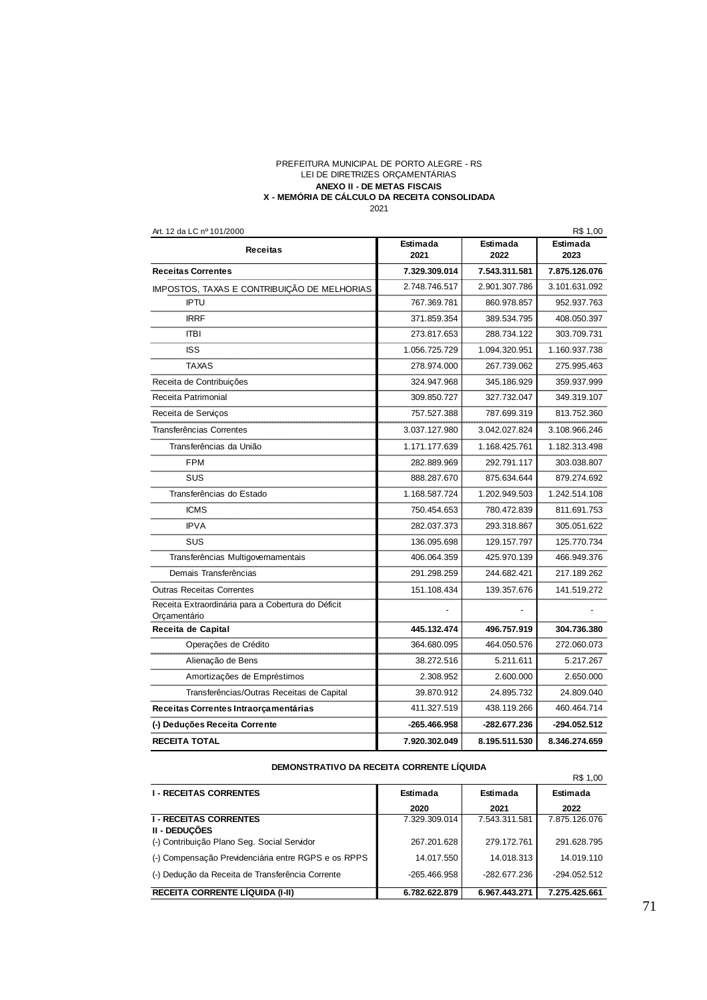#### **ANEXO II - DE METAS FISCAIS** PREFEITURA MUNICIPAL DE PORTO ALEGRE - RS LEI DE DIRETRIZES ORÇAMENTÁRIAS **X - MEMÓRIA DE CÁLCULO DA RECEITA CONSOLIDADA**  $2021$

| Art. 12 da LC nº 101/2000                                          |                  |                  | R\$ 1,00         |
|--------------------------------------------------------------------|------------------|------------------|------------------|
| <b>Receitas</b>                                                    | Estimada<br>2021 | Estimada<br>2022 | Estimada<br>2023 |
| <b>Receitas Correntes</b>                                          | 7.329.309.014    | 7.543.311.581    | 7.875.126.076    |
| IMPOSTOS, TAXAS E CONTRIBUIÇÃO DE MELHORIAS                        | 2.748.746.517    | 2.901.307.786    | 3.101.631.092    |
| <b>IPTU</b>                                                        | 767.369.781      | 860.978.857      | 952.937.763      |
| <b>IRRF</b>                                                        | 371.859.354      | 389.534.795      | 408.050.397      |
| ITBI                                                               | 273.817.653      | 288.734.122      | 303.709.731      |
| <b>ISS</b>                                                         | 1.056.725.729    | 1.094.320.951    | 1.160.937.738    |
| <b>TAXAS</b>                                                       | 278.974.000      | 267.739.062      | 275.995.463      |
| Receita de Contribuições                                           | 324.947.968      | 345.186.929      | 359.937.999      |
| Receita Patrimonial                                                | 309.850.727      | 327.732.047      | 349.319.107      |
| Receita de Serviços                                                | 757.527.388      | 787.699.319      | 813.752.360      |
| Transferências Correntes                                           | 3.037.127.980    | 3.042.027.824    | 3.108.966.246    |
| Transferências da União                                            | 1.171.177.639    | 1.168.425.761    | 1.182.313.498    |
| <b>FPM</b>                                                         | 282.889.969      | 292.791.117      | 303.038.807      |
| SUS                                                                | 888.287.670      | 875.634.644      | 879.274.692      |
| Transferências do Estado                                           | 1.168.587.724    | 1.202.949.503    | 1.242.514.108    |
| <b>ICMS</b>                                                        | 750.454.653      | 780.472.839      | 811.691.753      |
| <b>IPVA</b>                                                        | 282.037.373      | 293.318.867      | 305.051.622      |
| <b>SUS</b>                                                         | 136.095.698      | 129.157.797      | 125.770.734      |
| Transferências Multigovernamentais                                 | 406.064.359      | 425.970.139      | 466.949.376      |
| Demais Transferências                                              | 291.298.259      | 244.682.421      | 217.189.262      |
| <b>Outras Receitas Correntes</b>                                   | 151.108.434      | 139.357.676      | 141.519.272      |
| Receita Extraordinária para a Cobertura do Déficit<br>Orçamentário |                  |                  |                  |
| Receita de Capital                                                 | 445.132.474      | 496.757.919      | 304.736.380      |
| Operações de Crédito                                               | 364.680.095      | 464.050.576      | 272.060.073      |
| Alienação de Bens                                                  | 38.272.516       | 5.211.611        | 5.217.267        |
| Amortizações de Empréstimos                                        | 2.308.952        | 2.600.000        | 2.650.000        |
| Transferências/Outras Receitas de Capital                          | 39.870.912       | 24.895.732       | 24.809.040       |
| Receitas Correntes Intraorçamentárias                              | 411.327.519      | 438.119.266      | 460.464.714      |
| (-) Deduções Receita Corrente                                      | -265.466.958     | -282.677.236     | -294.052.512     |
| <b>RECEITA TOTAL</b>                                               | 7.920.302.049    | 8.195.511.530    | 8.346.274.659    |

| DEMONSTRATIVO DA RECEITA CORRENTE LIQUIDA |  |  |  |  |
|-------------------------------------------|--|--|--|--|
|-------------------------------------------|--|--|--|--|

| DEMONSTRATIVO DA REGEITA CORRENTE LIQUIDA           |               |               |               |  |
|-----------------------------------------------------|---------------|---------------|---------------|--|
|                                                     |               |               | R\$ 1,00      |  |
| <b>I - RECEITAS CORRENTES</b>                       | Estimada      | Estimada      | Estimada      |  |
|                                                     | 2020          | 2021          | 2022          |  |
| <b>I - RECEITAS CORRENTES</b><br>II - DEDUCÕES      | 7.329.309.014 | 7.543.311.581 | 7.875.126.076 |  |
| (-) Contribuição Plano Seg. Social Servidor         | 267.201.628   | 279.172.761   | 291.628.795   |  |
| (-) Compensação Previdenciária entre RGPS e os RPPS | 14.017.550    | 14.018.313    | 14.019.110    |  |
| (-) Dedução da Receita de Transferência Corrente    | -265.466.958  | -282.677.236  | -294.052.512  |  |
| <b>RECEITA CORRENTE LIQUIDA (I-II)</b>              | 6.782.622.879 | 6.967.443.271 | 7.275.425.661 |  |

71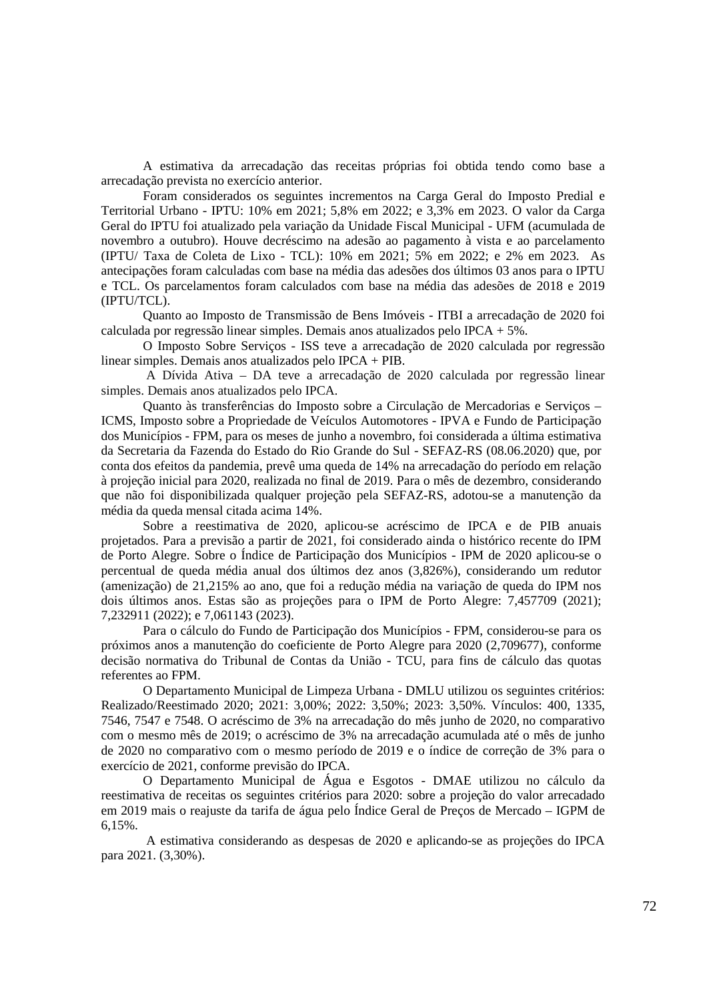A estimativa da arrecadação das receitas próprias foi obtida tendo como base a arrecadação prevista no exercício anterior.

Foram considerados os seguintes incrementos na Carga Geral do Imposto Predial e Territorial Urbano - IPTU: 10% em 2021; 5,8% em 2022; e 3,3% em 2023. O valor da Carga Geral do IPTU foi atualizado pela variação da Unidade Fiscal Municipal - UFM (acumulada de novembro a outubro). Houve decréscimo na adesão ao pagamento à vista e ao parcelamento (IPTU/ Taxa de Coleta de Lixo - TCL): 10% em 2021; 5% em 2022; e 2% em 2023. As antecipações foram calculadas com base na média das adesões dos últimos 03 anos para o IPTU e TCL. Os parcelamentos foram calculados com base na média das adesões de 2018 e 2019 (IPTU/TCL).

Quanto ao Imposto de Transmissão de Bens Imóveis - ITBI a arrecadação de 2020 foi calculada por regressão linear simples. Demais anos atualizados pelo IPCA + 5%.

O Imposto Sobre Serviços - ISS teve a arrecadação de 2020 calculada por regressão linear simples. Demais anos atualizados pelo IPCA + PIB.

A Dívida Ativa – DA teve a arrecadação de 2020 calculada por regressão linear simples. Demais anos atualizados pelo IPCA.

Quanto às transferências do Imposto sobre a Circulação de Mercadorias e Serviços – ICMS, Imposto sobre a Propriedade de Veículos Automotores - IPVA e Fundo de Participação dos Municípios - FPM, para os meses de junho a novembro, foi considerada a última estimativa da Secretaria da Fazenda do Estado do Rio Grande do Sul - SEFAZ-RS (08.06.2020) que, por conta dos efeitos da pandemia, prevê uma queda de 14% na arrecadação do período em relação à projeção inicial para 2020, realizada no final de 2019. Para o mês de dezembro, considerando que não foi disponibilizada qualquer projeção pela SEFAZ-RS, adotou-se a manutenção da média da queda mensal citada acima 14%.

Sobre a reestimativa de 2020, aplicou-se acréscimo de IPCA e de PIB anuais projetados. Para a previsão a partir de 2021, foi considerado ainda o histórico recente do IPM de Porto Alegre. Sobre o Índice de Participação dos Municípios - IPM de 2020 aplicou-se o percentual de queda média anual dos últimos dez anos (3,826%), considerando um redutor (amenização) de 21,215% ao ano, que foi a redução média na variação de queda do IPM nos dois últimos anos. Estas são as projeções para o IPM de Porto Alegre: 7,457709 (2021); 7,232911 (2022); e 7,061143 (2023).

Para o cálculo do Fundo de Participação dos Municípios - FPM, considerou-se para os próximos anos a manutenção do coeficiente de Porto Alegre para 2020 (2,709677), conforme decisão normativa do Tribunal de Contas da União - TCU, para fins de cálculo das quotas referentes ao FPM.

O Departamento Municipal de Limpeza Urbana - DMLU utilizou os seguintes critérios: Realizado/Reestimado 2020; 2021: 3,00%; 2022: 3,50%; 2023: 3,50%. Vínculos: 400, 1335, 7546, 7547 e 7548. O acréscimo de 3% na arrecadação do mês junho de 2020, no comparativo com o mesmo mês de 2019; o acréscimo de 3% na arrecadação acumulada até o mês de junho de 2020 no comparativo com o mesmo período de 2019 e o índice de correção de 3% para o exercício de 2021, conforme previsão do IPCA.

O Departamento Municipal de Água e Esgotos - DMAE utilizou no cálculo da reestimativa de receitas os seguintes critérios para 2020: sobre a projeção do valor arrecadado em 2019 mais o reajuste da tarifa de água pelo Índice Geral de Preços de Mercado – IGPM de 6,15%.

 A estimativa considerando as despesas de 2020 e aplicando-se as projeções do IPCA para 2021. (3,30%).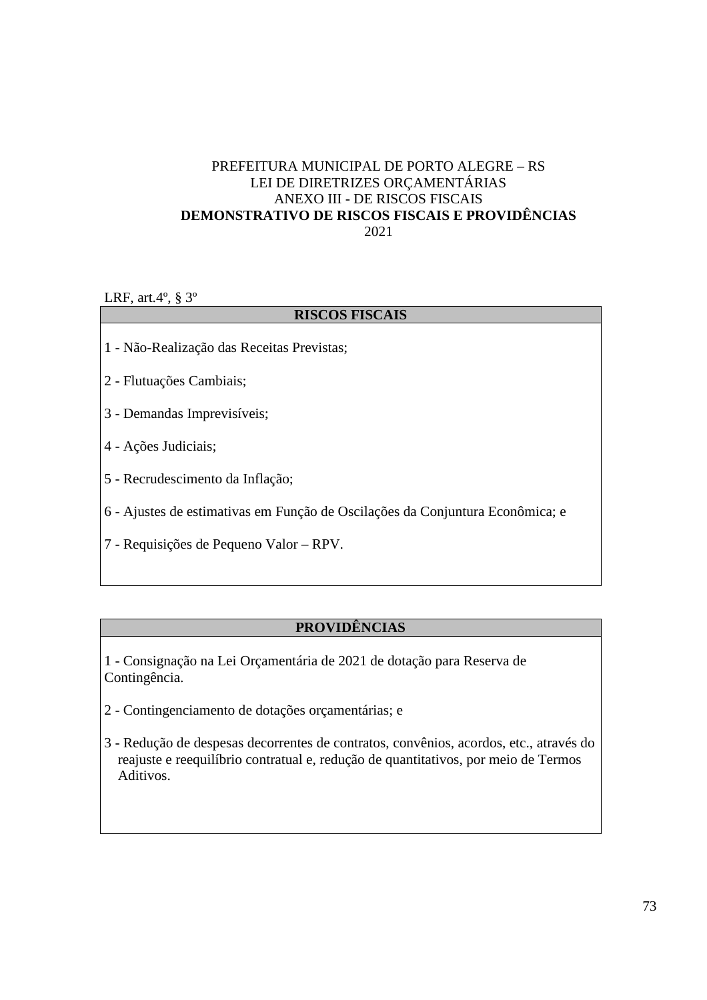### PREFEITURA MUNICIPAL DE PORTO ALEGRE – RS LEI DE DIRETRIZES ORÇAMENTÁRIAS ANEXO III - DE RISCOS FISCAIS **DEMONSTRATIVO DE RISCOS FISCAIS E PROVIDÊNCIAS**  2021

LRF, art.4º, § 3º

#### **RISCOS FISCAIS**

- 1 Não-Realização das Receitas Previstas;
- 2 Flutuações Cambiais;
- 3 Demandas Imprevisíveis;
- 4 Ações Judiciais;
- 5 Recrudescimento da Inflação;
- 6 Ajustes de estimativas em Função de Oscilações da Conjuntura Econômica; e
- 7 Requisições de Pequeno Valor RPV.

### **PROVIDÊNCIAS**

- 1 Consignação na Lei Orçamentária de 2021 de dotação para Reserva de Contingência.
- 2 Contingenciamento de dotações orçamentárias; e
- 3 Redução de despesas decorrentes de contratos, convênios, acordos, etc., através do reajuste e reequilíbrio contratual e, redução de quantitativos, por meio de Termos Aditivos.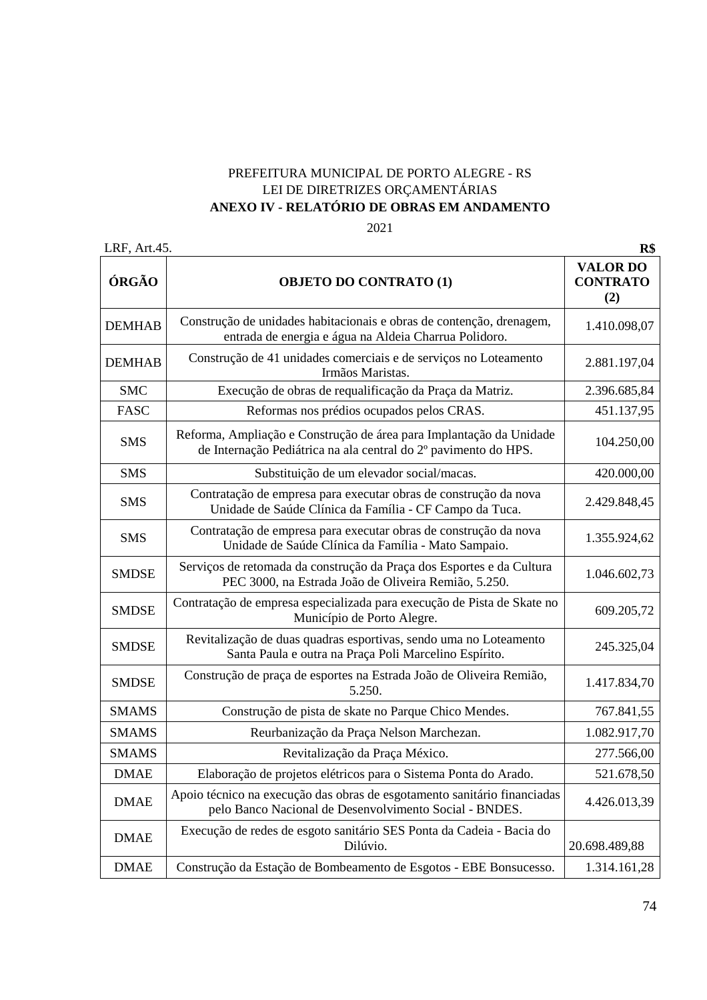### PREFEITURA MUNICIPAL DE PORTO ALEGRE - RS LEI DE DIRETRIZES ORÇAMENTÁRIAS **ANEXO IV - RELATÓRIO DE OBRAS EM ANDAMENTO**

2021

| LRF, Art.45.  |                                                                                                                                        | R\$                                       |
|---------------|----------------------------------------------------------------------------------------------------------------------------------------|-------------------------------------------|
| ÓRGÃO         | <b>OBJETO DO CONTRATO (1)</b>                                                                                                          | <b>VALOR DO</b><br><b>CONTRATO</b><br>(2) |
| <b>DEMHAB</b> | Construção de unidades habitacionais e obras de contenção, drenagem,<br>entrada de energia e água na Aldeia Charrua Polidoro.          | 1.410.098,07                              |
| <b>DEMHAB</b> | Construção de 41 unidades comerciais e de serviços no Loteamento<br>Irmãos Maristas.                                                   | 2.881.197,04                              |
| <b>SMC</b>    | Execução de obras de requalificação da Praça da Matriz.                                                                                | 2.396.685,84                              |
| <b>FASC</b>   | Reformas nos prédios ocupados pelos CRAS.                                                                                              | 451.137,95                                |
| <b>SMS</b>    | Reforma, Ampliação e Construção de área para Implantação da Unidade<br>de Internação Pediátrica na ala central do 2º pavimento do HPS. | 104.250,00                                |
| <b>SMS</b>    | Substituição de um elevador social/macas.                                                                                              | 420.000,00                                |
| <b>SMS</b>    | Contratação de empresa para executar obras de construção da nova<br>Unidade de Saúde Clínica da Família - CF Campo da Tuca.            | 2.429.848,45                              |
| <b>SMS</b>    | Contratação de empresa para executar obras de construção da nova<br>Unidade de Saúde Clínica da Família - Mato Sampaio.                | 1.355.924,62                              |
| <b>SMDSE</b>  | Serviços de retomada da construção da Praça dos Esportes e da Cultura<br>PEC 3000, na Estrada João de Oliveira Remião, 5.250.          | 1.046.602,73                              |
| <b>SMDSE</b>  | Contratação de empresa especializada para execução de Pista de Skate no<br>Município de Porto Alegre.                                  | 609.205,72                                |
| <b>SMDSE</b>  | Revitalização de duas quadras esportivas, sendo uma no Loteamento<br>Santa Paula e outra na Praça Poli Marcelino Espírito.             | 245.325,04                                |
| <b>SMDSE</b>  | Construção de praça de esportes na Estrada João de Oliveira Remião,<br>5.250.                                                          | 1.417.834,70                              |
| <b>SMAMS</b>  | Construção de pista de skate no Parque Chico Mendes.                                                                                   | 767.841,55                                |
| <b>SMAMS</b>  | Reurbanização da Praça Nelson Marchezan.                                                                                               | 1.082.917,70                              |
| <b>SMAMS</b>  | Revitalização da Praça México.                                                                                                         | 277.566,00                                |
| <b>DMAE</b>   | Elaboração de projetos elétricos para o Sistema Ponta do Arado.                                                                        | 521.678,50                                |
| <b>DMAE</b>   | Apoio técnico na execução das obras de esgotamento sanitário financiadas<br>pelo Banco Nacional de Desenvolvimento Social - BNDES.     | 4.426.013,39                              |
| <b>DMAE</b>   | Execução de redes de esgoto sanitário SES Ponta da Cadeia - Bacia do<br>Dilúvio.                                                       | 20.698.489,88                             |
| <b>DMAE</b>   | Construção da Estação de Bombeamento de Esgotos - EBE Bonsucesso.                                                                      | 1.314.161,28                              |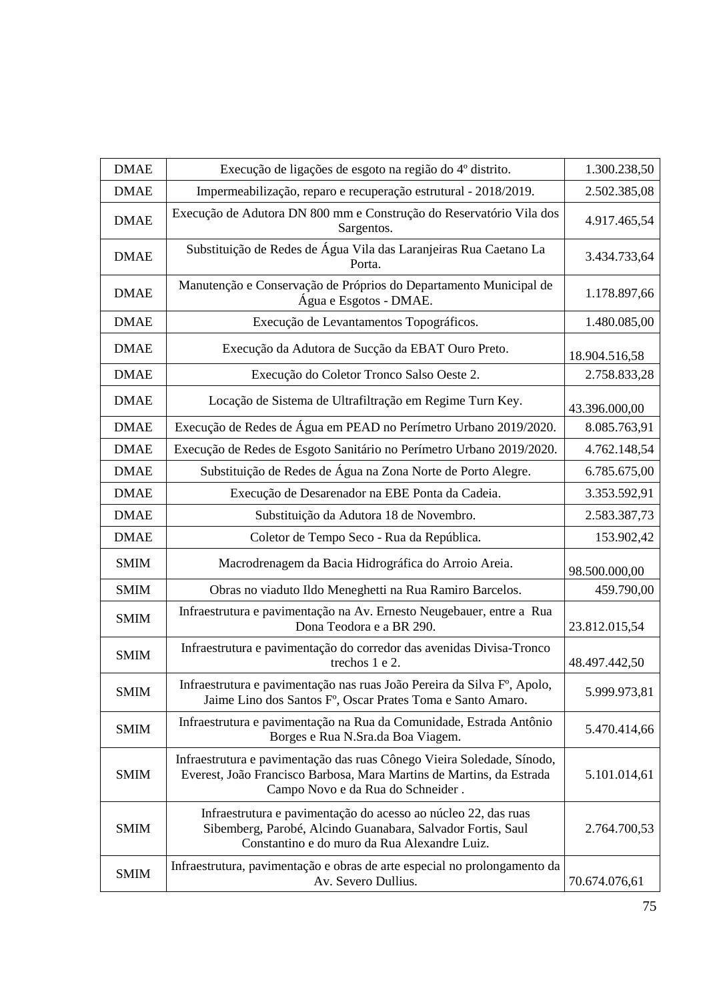| <b>DMAE</b> | Execução de ligações de esgoto na região do 4º distrito.                                                                                                                            | 1.300.238,50  |
|-------------|-------------------------------------------------------------------------------------------------------------------------------------------------------------------------------------|---------------|
| <b>DMAE</b> | Impermeabilização, reparo e recuperação estrutural - 2018/2019.                                                                                                                     | 2.502.385,08  |
| <b>DMAE</b> | Execução de Adutora DN 800 mm e Construção do Reservatório Vila dos<br>Sargentos.                                                                                                   | 4.917.465,54  |
| <b>DMAE</b> | Substituição de Redes de Água Vila das Laranjeiras Rua Caetano La<br>Porta.                                                                                                         | 3.434.733,64  |
| <b>DMAE</b> | Manutenção e Conservação de Próprios do Departamento Municipal de<br>Água e Esgotos - DMAE.                                                                                         | 1.178.897,66  |
| <b>DMAE</b> | Execução de Levantamentos Topográficos.                                                                                                                                             | 1.480.085,00  |
| <b>DMAE</b> | Execução da Adutora de Sucção da EBAT Ouro Preto.                                                                                                                                   | 18.904.516,58 |
| <b>DMAE</b> | Execução do Coletor Tronco Salso Oeste 2.                                                                                                                                           | 2.758.833,28  |
| <b>DMAE</b> | Locação de Sistema de Ultrafiltração em Regime Turn Key.                                                                                                                            | 43.396.000,00 |
| <b>DMAE</b> | Execução de Redes de Água em PEAD no Perímetro Urbano 2019/2020.                                                                                                                    | 8.085.763,91  |
| <b>DMAE</b> | Execução de Redes de Esgoto Sanitário no Perímetro Urbano 2019/2020.                                                                                                                | 4.762.148,54  |
| <b>DMAE</b> | Substituição de Redes de Água na Zona Norte de Porto Alegre.                                                                                                                        | 6.785.675,00  |
| <b>DMAE</b> | Execução de Desarenador na EBE Ponta da Cadeia.                                                                                                                                     | 3.353.592,91  |
| <b>DMAE</b> | Substituição da Adutora 18 de Novembro.                                                                                                                                             | 2.583.387,73  |
| <b>DMAE</b> | Coletor de Tempo Seco - Rua da República.                                                                                                                                           | 153.902,42    |
| <b>SMIM</b> | Macrodrenagem da Bacia Hidrográfica do Arroio Areia.                                                                                                                                | 98.500.000,00 |
| <b>SMIM</b> | Obras no viaduto Ildo Meneghetti na Rua Ramiro Barcelos.                                                                                                                            | 459.790,00    |
| <b>SMIM</b> | Infraestrutura e pavimentação na Av. Ernesto Neugebauer, entre a Rua<br>Dona Teodora e a BR 290.                                                                                    | 23.812.015,54 |
| <b>SMIM</b> | Infraestrutura e pavimentação do corredor das avenidas Divisa-Tronco<br>trechos 1 e 2.                                                                                              | 48.497.442,50 |
| <b>SMIM</b> | Infraestrutura e pavimentação nas ruas João Pereira da Silva F <sup>o</sup> , Apolo,<br>Jaime Lino dos Santos Fº, Oscar Prates Toma e Santo Amaro.                                  | 5.999.973,81  |
| <b>SMIM</b> | Infraestrutura e pavimentação na Rua da Comunidade, Estrada Antônio<br>Borges e Rua N.Sra.da Boa Viagem.                                                                            | 5.470.414,66  |
| <b>SMIM</b> | Infraestrutura e pavimentação das ruas Cônego Vieira Soledade, Sínodo,<br>Everest, João Francisco Barbosa, Mara Martins de Martins, da Estrada<br>Campo Novo e da Rua do Schneider. | 5.101.014,61  |
| <b>SMIM</b> | Infraestrutura e pavimentação do acesso ao núcleo 22, das ruas<br>Sibemberg, Parobé, Alcindo Guanabara, Salvador Fortis, Saul<br>Constantino e do muro da Rua Alexandre Luiz.       | 2.764.700,53  |
| <b>SMIM</b> | Infraestrutura, pavimentação e obras de arte especial no prolongamento da<br>Av. Severo Dullius.                                                                                    | 70.674.076,61 |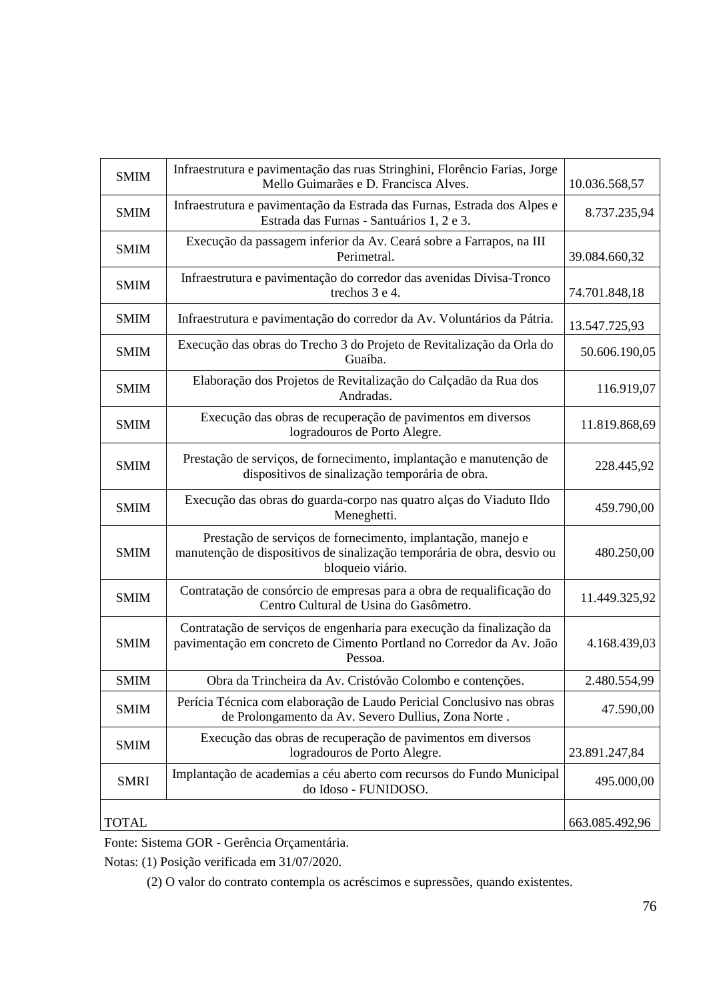| <b>SMIM</b>  | Infraestrutura e pavimentação das ruas Stringhini, Florêncio Farias, Jorge<br>Mello Guimarães e D. Francisca Alves.                                         | 10.036.568,57  |
|--------------|-------------------------------------------------------------------------------------------------------------------------------------------------------------|----------------|
| <b>SMIM</b>  | Infraestrutura e pavimentação da Estrada das Furnas, Estrada dos Alpes e<br>Estrada das Furnas - Santuários 1, 2 e 3.                                       | 8.737.235,94   |
| <b>SMIM</b>  | Execução da passagem inferior da Av. Ceará sobre a Farrapos, na III<br>Perimetral.                                                                          | 39.084.660,32  |
| <b>SMIM</b>  | Infraestrutura e pavimentação do corredor das avenidas Divisa-Tronco<br>trechos 3 e 4.                                                                      | 74.701.848,18  |
| <b>SMIM</b>  | Infraestrutura e pavimentação do corredor da Av. Voluntários da Pátria.                                                                                     | 13.547.725,93  |
| <b>SMIM</b>  | Execução das obras do Trecho 3 do Projeto de Revitalização da Orla do<br>Guaíba.                                                                            | 50.606.190,05  |
| <b>SMIM</b>  | Elaboração dos Projetos de Revitalização do Calçadão da Rua dos<br>Andradas.                                                                                | 116.919,07     |
| <b>SMIM</b>  | Execução das obras de recuperação de pavimentos em diversos<br>logradouros de Porto Alegre.                                                                 | 11.819.868,69  |
| <b>SMIM</b>  | Prestação de serviços, de fornecimento, implantação e manutenção de<br>dispositivos de sinalização temporária de obra.                                      | 228.445,92     |
| <b>SMIM</b>  | Execução das obras do guarda-corpo nas quatro alças do Viaduto Ildo<br>Meneghetti.                                                                          | 459.790,00     |
| <b>SMIM</b>  | Prestação de serviços de fornecimento, implantação, manejo e<br>manutenção de dispositivos de sinalização temporária de obra, desvio ou<br>bloqueio viário. | 480.250,00     |
| <b>SMIM</b>  | Contratação de consórcio de empresas para a obra de requalificação do<br>Centro Cultural de Usina do Gasômetro.                                             | 11.449.325,92  |
| <b>SMIM</b>  | Contratação de serviços de engenharia para execução da finalização da<br>pavimentação em concreto de Cimento Portland no Corredor da Av. João<br>Pessoa.    | 4.168.439,03   |
| <b>SMIM</b>  | Obra da Trincheira da Av. Cristóvão Colombo e contenções.                                                                                                   | 2.480.554,99   |
| <b>SMIM</b>  | Perícia Técnica com elaboração de Laudo Pericial Conclusivo nas obras<br>de Prolongamento da Av. Severo Dullius, Zona Norte.                                | 47.590,00      |
| <b>SMIM</b>  | Execução das obras de recuperação de pavimentos em diversos<br>logradouros de Porto Alegre.                                                                 | 23.891.247,84  |
| <b>SMRI</b>  | Implantação de academias a céu aberto com recursos do Fundo Municipal<br>do Idoso - FUNIDOSO.                                                               | 495.000,00     |
| <b>TOTAL</b> |                                                                                                                                                             | 663.085.492,96 |

Fonte: Sistema GOR - Gerência Orçamentária.

Notas: (1) Posição verificada em 31/07/2020.

(2) O valor do contrato contempla os acréscimos e supressões, quando existentes.